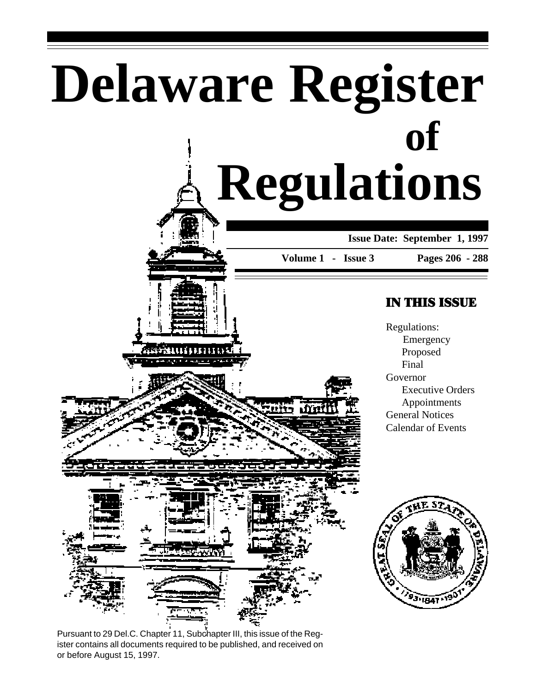# **Delaware Register Regulations of**

**Issue Date: September 1, 1997**

**Volume 1 - Issue 3**

. frin

#### **Pages 206 - 288**

### IN THIS ISSUE

Regulations: Emergency Proposed Final Governor Executive Orders Appointments General Notices Calendar of Events



0000000

Pursuant to 29 Del.C. Chapter 11, Subchapter III, this issue of the Register contains all documents required to be published, and received on or before August 15, 1997.

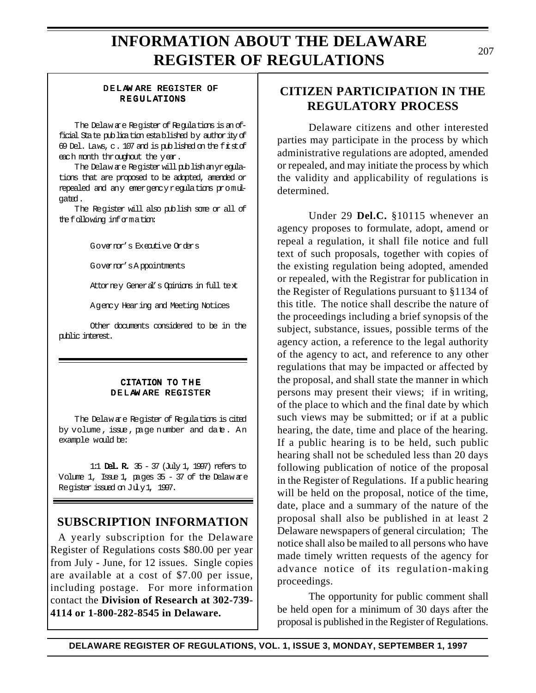#### DELAW ARE REGISTER OF REGULATIONS

The Delaw are Register of Regulations is an official State publication established by authority of 69 Del. Laws, c. 107 and is published on the firstof each month throughout the year.

The Delaw are Register will publish anyregulations that are proposed to be adopted, amended or repealed and any emergency regulations promulgated.

The Register will also publish some or all of the following information:

Governor's Executive Orders

Governor's A ppointments

Attorney General's Opinions in full text

Agency Hearing and Meeting Notices

Other documents considered to be in the public interest.

#### CITATION TO THE DELAW ARE REGISTER

The Delaw are Register of Regulations is cited by volume, issue, page number and date. An example would be:

1:1 Del. R. 35 - 37 (July 1, 1997) refers to Volume 1, Issue 1, pages 35 - 37 of the Delaw are Register issued on July 1, 1997.

### **SUBSCRIPTION INFORMATION**

A yearly subscription for the Delaware Register of Regulations costs \$80.00 per year from July - June, for 12 issues. Single copies are available at a cost of \$7.00 per issue, including postage. For more information contact the **Division of Research at 302-739- 4114 or 1-800-282-8545 in Delaware.**

### **CITIZEN PARTICIPATION IN THE REGULATORY PROCESS**

Delaware citizens and other interested parties may participate in the process by which administrative regulations are adopted, amended or repealed, and may initiate the process by which the validity and applicability of regulations is determined.

Under 29 **Del.C.** §10115 whenever an agency proposes to formulate, adopt, amend or repeal a regulation, it shall file notice and full text of such proposals, together with copies of the existing regulation being adopted, amended or repealed, with the Registrar for publication in the Register of Regulations pursuant to §1134 of this title. The notice shall describe the nature of the proceedings including a brief synopsis of the subject, substance, issues, possible terms of the agency action, a reference to the legal authority of the agency to act, and reference to any other regulations that may be impacted or affected by the proposal, and shall state the manner in which persons may present their views; if in writing, of the place to which and the final date by which such views may be submitted; or if at a public hearing, the date, time and place of the hearing. If a public hearing is to be held, such public hearing shall not be scheduled less than 20 days following publication of notice of the proposal in the Register of Regulations. If a public hearing will be held on the proposal, notice of the time, date, place and a summary of the nature of the proposal shall also be published in at least 2 Delaware newspapers of general circulation; The notice shall also be mailed to all persons who have made timely written requests of the agency for advance notice of its regulation-making proceedings.

The opportunity for public comment shall be held open for a minimum of 30 days after the proposal is published in the Register of Regulations.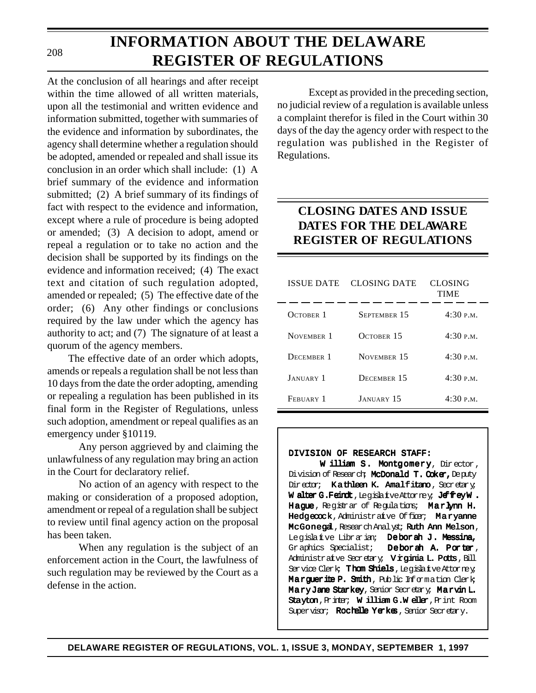#### 208

# **INFORMATION ABOUT THE DELAWARE REGISTER OF REGULATIONS**

At the conclusion of all hearings and after receipt within the time allowed of all written materials, upon all the testimonial and written evidence and information submitted, together with summaries of the evidence and information by subordinates, the agency shall determine whether a regulation should be adopted, amended or repealed and shall issue its conclusion in an order which shall include: (1) A brief summary of the evidence and information submitted; (2) A brief summary of its findings of fact with respect to the evidence and information, except where a rule of procedure is being adopted or amended; (3) A decision to adopt, amend or repeal a regulation or to take no action and the decision shall be supported by its findings on the evidence and information received; (4) The exact text and citation of such regulation adopted, amended or repealed; (5) The effective date of the order; (6) Any other findings or conclusions required by the law under which the agency has authority to act; and (7) The signature of at least a quorum of the agency members.

The effective date of an order which adopts, amends or repeals a regulation shall be not less than 10 days from the date the order adopting, amending or repealing a regulation has been published in its final form in the Register of Regulations, unless such adoption, amendment or repeal qualifies as an emergency under §10119.

Any person aggrieved by and claiming the unlawfulness of any regulation may bring an action in the Court for declaratory relief.

No action of an agency with respect to the making or consideration of a proposed adoption, amendment or repeal of a regulation shall be subject to review until final agency action on the proposal has been taken.

When any regulation is the subject of an enforcement action in the Court, the lawfulness of such regulation may be reviewed by the Court as a defense in the action.

Except as provided in the preceding section, no judicial review of a regulation is available unless a complaint therefor is filed in the Court within 30 days of the day the agency order with respect to the regulation was published in the Register of Regulations.

### **CLOSING DATES AND ISSUE DATES FOR THE DELAWARE REGISTER OF REGULATIONS**

| <b>ISSUE DATE</b> | CLOSING DATE      | CLOSING<br><b>TIME</b> |
|-------------------|-------------------|------------------------|
| OCTOBER 1         | SEPTEMBER 15      | 4:30 P.M.              |
| NOVEMBER 1        | OCTOBER 15        | 4:30 P.M.              |
| DECEMBER 1        | NOVEMBER 15       | 4:30 P.M.              |
| <b>JANUARY</b> 1  | DECEMBER 15       | 4:30P.M.               |
| FEBUARY 1         | <b>JANUARY 15</b> | 4:30P.M.               |

#### DIVISION OF RESEARCH STAFF:

W illiam S. Montgomery, Director, Division of Research; McDonald T. Coker, Deputy Director; Kathleen K. Amalfitano, Secretary; W alter G.Feindt, Legislatve Attorney; JeffreyW. Hague, Registrar of Regulations; Marlynn H. Hedgecock, Administrative Officer; Maryanne McGonegal, Research Analyst; Ruth Ann Melson, Legislative Librarian; Deborah J. Messina, Graphics Specialist; Deborah A. Porter, Administrative Secretary; Virginia L. Potts, Bill Service Clerk; Thom Shiels, Legislative Attorney; Marquerite P. Smith, Public Information Clerk; Mary Jane Starkey, Senior Secretary; Marvin L. Stayton, Printer; William G.Weller, Print Room Supervisor; Rochelle Yerkes, Senior Secretary.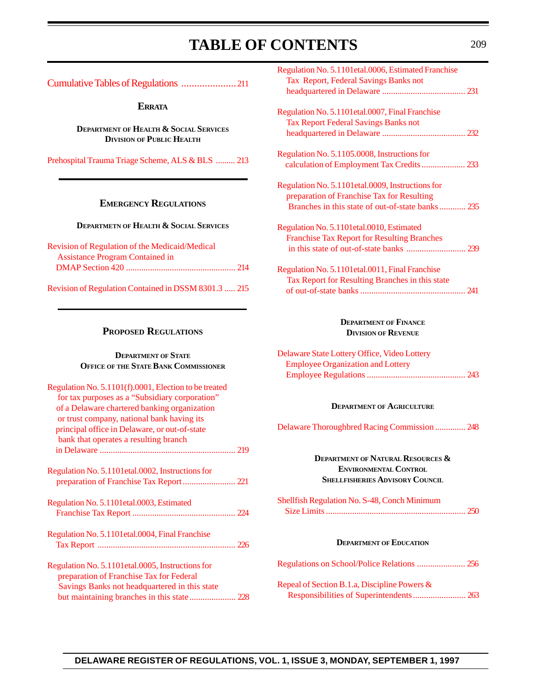### TABLE OF CONTENTS 209

<span id="page-3-0"></span>[Cumulative Tables of Regulations](#page-5-0) .....................211

**ERRATA**

**DEPARTMENT OF HEALTH & SOCIAL SERVICES DIVISION OF PUBLIC HEALTH**

[Prehospital Trauma Triage Scheme, ALS & BLS](#page-7-0) ......... 213

#### **EMERGENCY REGULATIONS**

#### **DEPARTMETN OF HEALTH & SOCIAL SERVICES**

| Revision of Regulation of the Medicaid/Medical |  |
|------------------------------------------------|--|
| <b>Assistance Program Contained in</b>         |  |
|                                                |  |
|                                                |  |

[Revision of Regulation Contained in DSSM 8301.3](#page-9-0) ..... 215

#### **PROPOSED REGULATIONS**

#### **DEPARTMENT OF STATE OFFICE OF THE STATE BANK COMMISSIONER**

| Regulation No. 5.1101(f).0001, Election to be treated |  |
|-------------------------------------------------------|--|
| for tax purposes as a "Subsidiary corporation"        |  |
| of a Delaware chartered banking organization          |  |
| or trust company, national bank having its            |  |
| principal office in Delaware, or out-of-state         |  |
| bank that operates a resulting branch                 |  |
|                                                       |  |
|                                                       |  |
| Regulation No. 5.1101etal.0002, Instructions for      |  |
|                                                       |  |
| Regulation No. 5.1101 et al.0003, Estimated           |  |
|                                                       |  |
|                                                       |  |
| Regulation No. 5.1101etal.0004, Final Franchise       |  |
|                                                       |  |
| Regulation No. 5.1101 et al.0005, Instructions for    |  |
|                                                       |  |
| preparation of Franchise Tax for Federal              |  |
| Savings Banks not headquartered in this state         |  |
|                                                       |  |

| Regulation No. 5.1101 et al.0006, Estimated Franchise<br>Tax Report, Federal Savings Banks not                                                     |  |
|----------------------------------------------------------------------------------------------------------------------------------------------------|--|
| Regulation No. 5.1101 et al.0007, Final Franchise<br><b>Tax Report Federal Savings Banks not</b>                                                   |  |
| Regulation No. 5.1105.0008, Instructions for                                                                                                       |  |
| Regulation No. 5.1101etal.0009, Instructions for<br>preparation of Franchise Tax for Resulting<br>Branches in this state of out-of-state banks 235 |  |
| Regulation No. 5.1101etal.0010, Estimated<br><b>Franchise Tax Report for Resulting Branches</b>                                                    |  |
| Regulation No. 5.1101 et al.0011, Final Franchise<br>Tax Report for Resulting Branches in this state                                               |  |

#### **DEPARTMENT OF FINANCE DIVISION OF REVENUE**

| Delaware State Lottery Office, Video Lottery |  |
|----------------------------------------------|--|
| <b>Employee Organization and Lottery</b>     |  |
|                                              |  |

#### **DEPARTMENT OF AGRICULTURE**

[Delaware Thoroughbred Racing Commission](#page-42-0) .............. 248

#### **DEPARTMENT OF NATURAL RESOURCES & ENVIRONMENTAL CONTROL SHELLFISHERIES ADVISORY COUNCIL**

Shellfish Regulation No. S-48, Conch Minimum  [Size Limits................................................................](#page-44-0) 250

#### **DEPARTMENT OF EDUCATION**

Repeal of Section B.1.a, Discipline Powers &  [Responsibilities of Superintendents........................](#page-57-0) 263

#### **DELAWARE REGISTER OF REGULATIONS, VOL. 1, ISSUE 3, MONDAY, SEPTEMBER 1, 1997**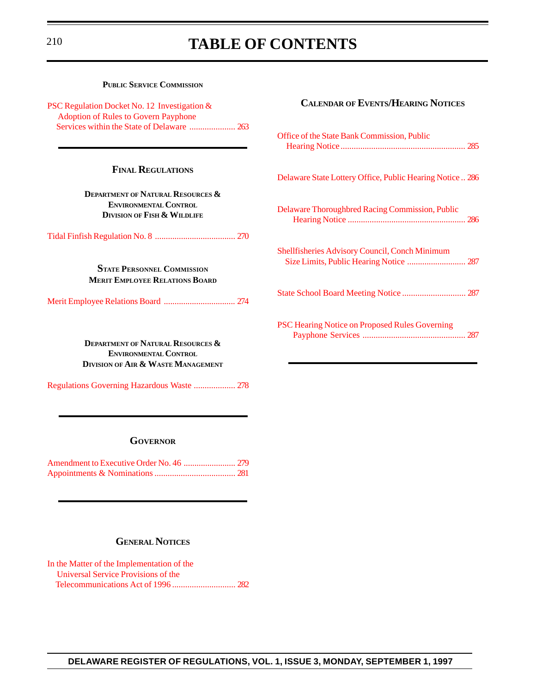### <sup>210</sup> **TABLE OF CONTENTS**

| <b>PUBLIC SERVICE COMMISSION</b>                                                                                              |                                                          |
|-------------------------------------------------------------------------------------------------------------------------------|----------------------------------------------------------|
| PSC Regulation Docket No. 12 Investigation &<br><b>Adoption of Rules to Govern Payphone</b>                                   | <b>CALENDAR OF EVENTS/HEARING NOTICES</b>                |
|                                                                                                                               | Office of the State Bank Commission, Public              |
| <b>FINAL REGULATIONS</b>                                                                                                      | Delaware State Lottery Office, Public Hearing Notice 286 |
| <b>DEPARTMENT OF NATURAL RESOURCES &amp;</b><br><b>ENVIRONMENTAL CONTROL</b><br><b>DIVISION OF FISH &amp; WILDLIFE</b>        | Delaware Thoroughbred Racing Commission, Public          |
|                                                                                                                               |                                                          |
| <b>STATE PERSONNEL COMMISSION</b><br><b>MERIT EMPLOYEE RELATIONS BOARD</b>                                                    | Shellfisheries Advisory Council, Conch Minimum           |
|                                                                                                                               | State School Board Meeting Notice  287                   |
| <b>DEPARTMENT OF NATURAL RESOURCES &amp;</b><br><b>ENVIRONMENTAL CONTROL</b><br><b>DIVISION OF AIR &amp; WASTE MANAGEMENT</b> | PSC Hearing Notice on Proposed Rules Governing           |
| Regulations Governing Hazardous Waste  278                                                                                    |                                                          |

#### **GOVERNOR**

[Amendment to Executive Order No. 46](#page-73-0) ........................ 279 [Appointments & Nominations.....................................](#page-75-0) 281

#### **GENERAL NOTICES**

[In the Matter of the Implementation of the](#page-76-0) Universal Service Provisions of the Telecommunications Act of 1996 ............................. 282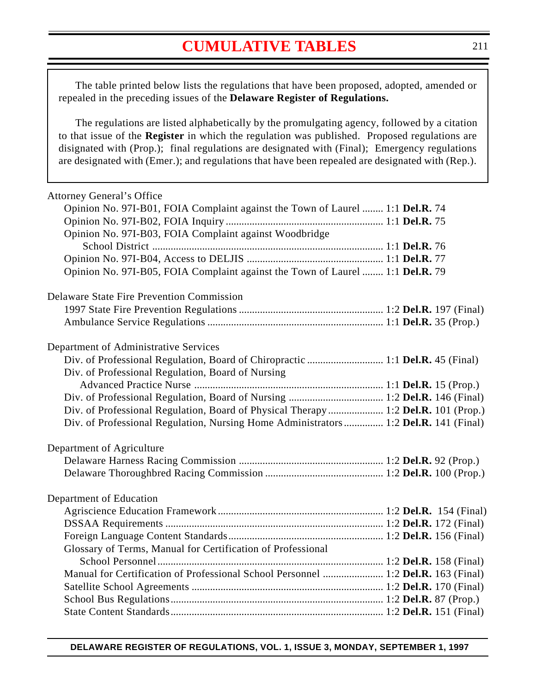### **[CUMULATIVE TABLES](#page-3-0)**

<span id="page-5-0"></span>The table printed below lists the regulations that have been proposed, adopted, amended or repealed in the preceding issues of the **Delaware Register of Regulations.**

The regulations are listed alphabetically by the promulgating agency, followed by a citation to that issue of the **Register** in which the regulation was published. Proposed regulations are disignated with (Prop.); final regulations are designated with (Final); Emergency regulations are designated with (Emer.); and regulations that have been repealed are designated with (Rep.).

| <b>Attorney General's Office</b>                                                    |  |
|-------------------------------------------------------------------------------------|--|
| Opinion No. 97I-B01, FOIA Complaint against the Town of Laurel  1:1 Del.R. 74       |  |
|                                                                                     |  |
| Opinion No. 97I-B03, FOIA Complaint against Woodbridge                              |  |
|                                                                                     |  |
|                                                                                     |  |
| Opinion No. 97I-B05, FOIA Complaint against the Town of Laurel  1:1 Del.R. 79       |  |
| <b>Delaware State Fire Prevention Commission</b>                                    |  |
|                                                                                     |  |
|                                                                                     |  |
| Department of Administrative Services                                               |  |
|                                                                                     |  |
| Div. of Professional Regulation, Board of Nursing                                   |  |
|                                                                                     |  |
|                                                                                     |  |
| Div. of Professional Regulation, Board of Physical Therapy  1:2 Del.R. 101 (Prop.)  |  |
| Div. of Professional Regulation, Nursing Home Administrators 1:2 Del.R. 141 (Final) |  |
| Department of Agriculture                                                           |  |
|                                                                                     |  |
|                                                                                     |  |
| Department of Education                                                             |  |
|                                                                                     |  |
|                                                                                     |  |
|                                                                                     |  |
| Glossary of Terms, Manual for Certification of Professional                         |  |
|                                                                                     |  |
| Manual for Certification of Professional School Personnel  1:2 Del.R. 163 (Final)   |  |
|                                                                                     |  |
|                                                                                     |  |
|                                                                                     |  |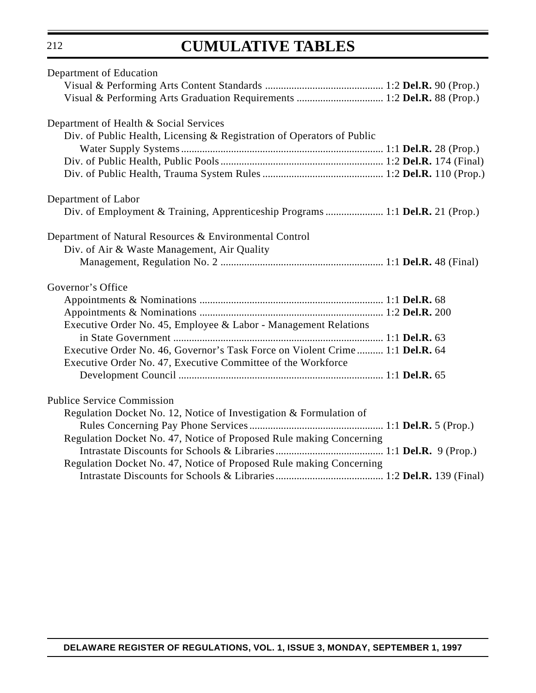# **CUMULATIVE TABLES**

| Department of Education                                                                                                                      |  |
|----------------------------------------------------------------------------------------------------------------------------------------------|--|
|                                                                                                                                              |  |
|                                                                                                                                              |  |
| Department of Health & Social Services                                                                                                       |  |
| Div. of Public Health, Licensing & Registration of Operators of Public                                                                       |  |
|                                                                                                                                              |  |
|                                                                                                                                              |  |
|                                                                                                                                              |  |
| Department of Labor                                                                                                                          |  |
| Div. of Employment & Training, Apprenticeship Programs  1:1 Del.R. 21 (Prop.)                                                                |  |
| Department of Natural Resources & Environmental Control                                                                                      |  |
| Div. of Air & Waste Management, Air Quality                                                                                                  |  |
|                                                                                                                                              |  |
| Governor's Office                                                                                                                            |  |
|                                                                                                                                              |  |
|                                                                                                                                              |  |
| Executive Order No. 45, Employee & Labor - Management Relations                                                                              |  |
|                                                                                                                                              |  |
| Executive Order No. 46, Governor's Task Force on Violent Crime 1:1 Del.R. 64<br>Executive Order No. 47, Executive Committee of the Workforce |  |
|                                                                                                                                              |  |
| <b>Publice Service Commission</b>                                                                                                            |  |
| Regulation Docket No. 12, Notice of Investigation & Formulation of                                                                           |  |
|                                                                                                                                              |  |
| Regulation Docket No. 47, Notice of Proposed Rule making Concerning                                                                          |  |
|                                                                                                                                              |  |
| Regulation Docket No. 47, Notice of Proposed Rule making Concerning                                                                          |  |
|                                                                                                                                              |  |
|                                                                                                                                              |  |

212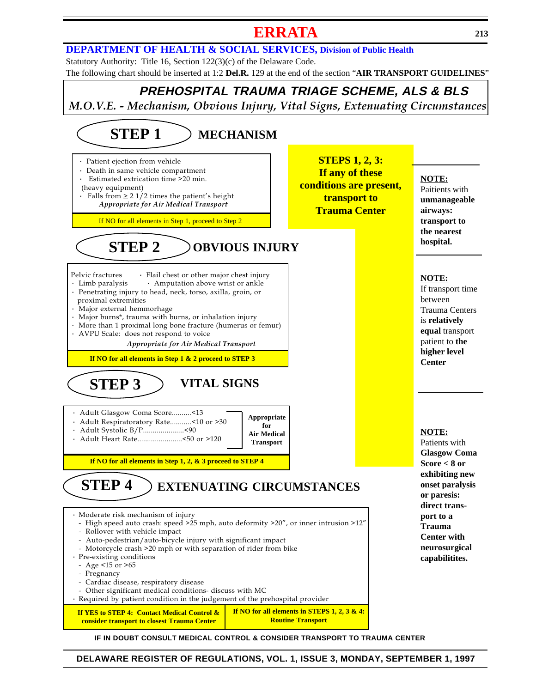### **[ERRATA](#page-3-0) <sup>213</sup>**

#### <span id="page-7-0"></span>**[DEPARTMENT OF HEALTH & SOCIAL SERVICES, Division of Public Health](http://www.state.de.us/govern/agencies/dhss/irm/dph/dphhome.htm)**

Statutory Authority: Title 16, Section 122(3)(c) of the Delaware Code. The following chart should be inserted at 1:2 **Del.R.** 129 at the end of the section "**AIR TRANSPORT GUIDELINES**"

### **PREHOSPITAL TRAUMA TRIAGE SCHEME, ALS & BLS** M.O.V.E. - Mechanism, Obvious Injury, Vital Signs, Extenuating Circumstances

#### · Patient ejection from vehicle Death in same vehicle compartment Estimated extrication time >20 min. (heavy equipment) • Falls from  $\geq 2$  1/2 times the patient's height Appropriate for Air Medical Transport Pelvic fractures · Flail chest or other major chest injury<br>
· Limb paralysis · Amputation above wrist or ankle • Amputation above wrist or ankle · Penetrating injury to head, neck, torso, axilla, groin, or proximal extremities · Major external hemmorhage · Major burns\*, trauma with burns, or inhalation injury · More than 1 proximal long bone fracture (humerus or femur) · AVPU Scale: does not respond to voice Appropriate for Air Medical Transport · Adult Glasgow Coma Score..........<13 · Adult Respiratoratory Rate...........<10 or >30 · Adult Systolic B/P.....................<90 · Adult Heart Rate.......................<50 or >120 · Moderate risk mechanism of injury - High speed auto crash: speed >25 mph, auto deformity >20", or inner intrusion >12" - Rollover with vehicle impact - Auto-pedestrian/auto-bicycle injury with significant impact - Motorcycle crash >20 mph or with separation of rider from bike · Pre-existing conditions - Age <15 or >65 - Pregnancy - Cardiac disease, respiratory disease - Other significant medical conditions- discuss with MC · Required by patient condition in the judgement of the prehospital provider **MECHANISM STEPS 1, 2, 3: If any of these conditions are present, transport to Trauma Center hospital. OBVIOUS INJURY Appropriate for Air Medical Transport EXTENUATING CIRCUMSTANCES VITAL SIGNS STEP 4** If NO for all elements in Step 1, proceed to Step 2 **STEP 3 STEP 2 STEP 1 If NO for all elements in Step 1 & 2 proceed to STEP 3 If NO for all elements in Step 1, 2, & 3 proceed to STEP 4 If YES to STEP 4: Contact Medical Control & consider transport to closest Trauma Center If NO for all elements in STEPS 1, 2, 3 & 4: Routine Transport**

**NOTE:** Paitients with **unmanageable airways: transport to the nearest**

#### **NOTE:**

If transport time between Trauma Centers is **relatively equal** transport patient to **the higher level Center**

#### **NOTE:**

Patients with **Glasgow Coma Score < 8 or exhibiting new onset paralysis or paresis: direct transport to a Trauma Center with neurosurgical capabilitites.**

#### **DELAWARE REGISTER OF REGULATIONS, VOL. 1, ISSUE 3, MONDAY, SEPTEMBER 1, 1997**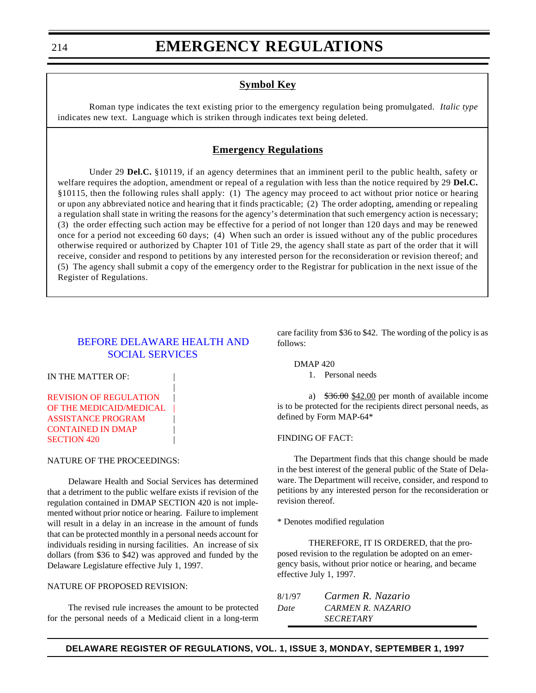#### **Symbol Key**

<span id="page-8-0"></span>Roman type indicates the text existing prior to the emergency regulation being promulgated. *Italic type* indicates new text. Language which is striken through indicates text being deleted.

#### **Emergency Regulations**

Under 29 **Del.C.** §10119, if an agency determines that an imminent peril to the public health, safety or welfare requires the adoption, amendment or repeal of a regulation with less than the notice required by 29 **Del.C.** §10115, then the following rules shall apply: (1) The agency may proceed to act without prior notice or hearing or upon any abbreviated notice and hearing that it finds practicable; (2) The order adopting, amending or repealing a regulation shall state in writing the reasons for the agency's determination that such emergency action is necessary; (3) the order effecting such action may be effective for a period of not longer than 120 days and may be renewed once for a period not exceeding 60 days; (4) When such an order is issued without any of the public procedures otherwise required or authorized by Chapter 101 of Title 29, the agency shall state as part of the order that it will receive, consider and respond to petitions by any interested person for the reconsideration or revision thereof; and (5) The agency shall submit a copy of the emergency order to the Registrar for publication in the next issue of the Register of Regulations.

#### [BEFORE DELAWARE HEALTH AND](http://www.state.de.us/govern/agencies/dhss/irm/dhss.htm) SOCIAL SERVICES

|

IN THE MATTER OF:

#### REVISION OF REGULATION | [OF THE MEDICAID/MEDICAL](#page-3-0) ASSISTANCE PROGRAM | CONTAINED IN DMAP **SECTION 420**

#### NATURE OF THE PROCEEDINGS:

Delaware Health and Social Services has determined that a detriment to the public welfare exists if revision of the regulation contained in DMAP SECTION 420 is not implemented without prior notice or hearing. Failure to implement will result in a delay in an increase in the amount of funds that can be protected monthly in a personal needs account for individuals residing in nursing facilities. An increase of six dollars (from \$36 to \$42) was approved and funded by the Delaware Legislature effective July 1, 1997.

#### NATURE OF PROPOSED REVISION:

The revised rule increases the amount to be protected for the personal needs of a Medicaid client in a long-term care facility from \$36 to \$42. The wording of the policy is as follows:

DMAP 420

1. Personal needs

a)  $$36.00 \underline{12.00}$  per month of available income is to be protected for the recipients direct personal needs, as defined by Form MAP-64\*

#### FINDING OF FACT:

The Department finds that this change should be made in the best interest of the general public of the State of Delaware. The Department will receive, consider, and respond to petitions by any interested person for the reconsideration or revision thereof.

\* Denotes modified regulation

THEREFORE, IT IS ORDERED, that the proposed revision to the regulation be adopted on an emergency basis, without prior notice or hearing, and became effective July 1, 1997.

| 8/1/97 | Carmen R. Nazario       |
|--------|-------------------------|
| Date   | CARMEN R. NAZARIO       |
|        | <i><b>SECRETARY</b></i> |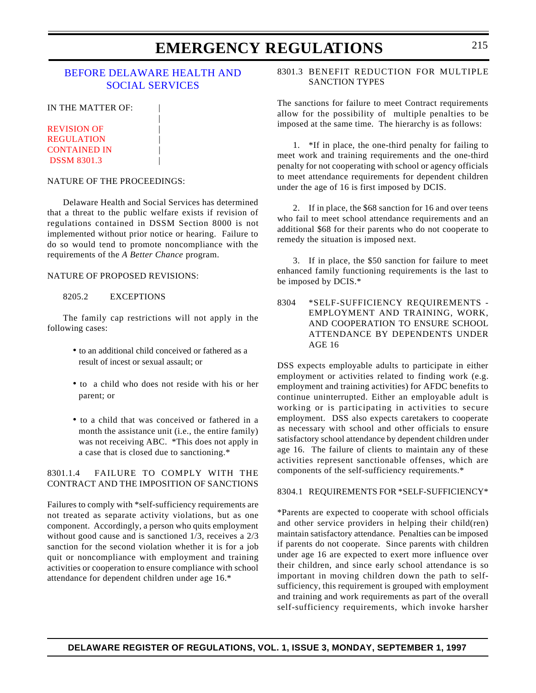### **EMERGENCY REGULATIONS** 215

#### <span id="page-9-0"></span>[BEFORE DELAWARE HEALTH AND](http://www.state.de.us/govern/agencies/dhss/irm/dhss.htm) SOCIAL SERVICES

|

IN THE MATTER OF:

**REVISION OF REGULATION** [CONTAINED IN](#page-3-0) | DSSM 8301.3 |

#### NATURE OF THE PROCEEDINGS:

Delaware Health and Social Services has determined that a threat to the public welfare exists if revision of regulations contained in DSSM Section 8000 is not implemented without prior notice or hearing. Failure to do so would tend to promote noncompliance with the requirements of the *A Better Chance* program.

#### NATURE OF PROPOSED REVISIONS:

#### 8205.2 EXCEPTIONS

The family cap restrictions will not apply in the following cases:

- to an additional child conceived or fathered as a result of incest or sexual assault; or
- to a child who does not reside with his or her parent; or
- to a child that was conceived or fathered in a month the assistance unit (i.e., the entire family) was not receiving ABC. \*This does not apply in a case that is closed due to sanctioning.\*

#### 8301.1.4 FAILURE TO COMPLY WITH THE CONTRACT AND THE IMPOSITION OF SANCTIONS

Failures to comply with \*self-sufficiency requirements are not treated as separate activity violations, but as one component. Accordingly, a person who quits employment without good cause and is sanctioned 1/3, receives a 2/3 sanction for the second violation whether it is for a job quit or noncompliance with employment and training activities or cooperation to ensure compliance with school attendance for dependent children under age 16.\*

8301.3 BENEFIT REDUCTION FOR MULTIPLE SANCTION TYPES

The sanctions for failure to meet Contract requirements allow for the possibility of multiple penalties to be imposed at the same time. The hierarchy is as follows:

1. \*If in place, the one-third penalty for failing to meet work and training requirements and the one-third penalty for not cooperating with school or agency officials to meet attendance requirements for dependent children under the age of 16 is first imposed by DCIS.

2. If in place, the \$68 sanction for 16 and over teens who fail to meet school attendance requirements and an additional \$68 for their parents who do not cooperate to remedy the situation is imposed next.

3. If in place, the \$50 sanction for failure to meet enhanced family functioning requirements is the last to be imposed by DCIS.\*

8304 \*SELF-SUFFICIENCY REQUIREMENTS - EMPLOYMENT AND TRAINING, WORK, AND COOPERATION TO ENSURE SCHOOL ATTENDANCE BY DEPENDENTS UNDER AGE 16

DSS expects employable adults to participate in either employment or activities related to finding work (e.g. employment and training activities) for AFDC benefits to continue uninterrupted. Either an employable adult is working or is participating in activities to secure employment. DSS also expects caretakers to cooperate as necessary with school and other officials to ensure satisfactory school attendance by dependent children under age 16. The failure of clients to maintain any of these activities represent sanctionable offenses, which are components of the self-sufficiency requirements.\*

8304.1 REQUIREMENTS FOR \*SELF-SUFFICIENCY\*

\*Parents are expected to cooperate with school officials and other service providers in helping their child(ren) maintain satisfactory attendance. Penalties can be imposed if parents do not cooperate. Since parents with children under age 16 are expected to exert more influence over their children, and since early school attendance is so important in moving children down the path to selfsufficiency, this requirement is grouped with employment and training and work requirements as part of the overall self-sufficiency requirements, which invoke harsher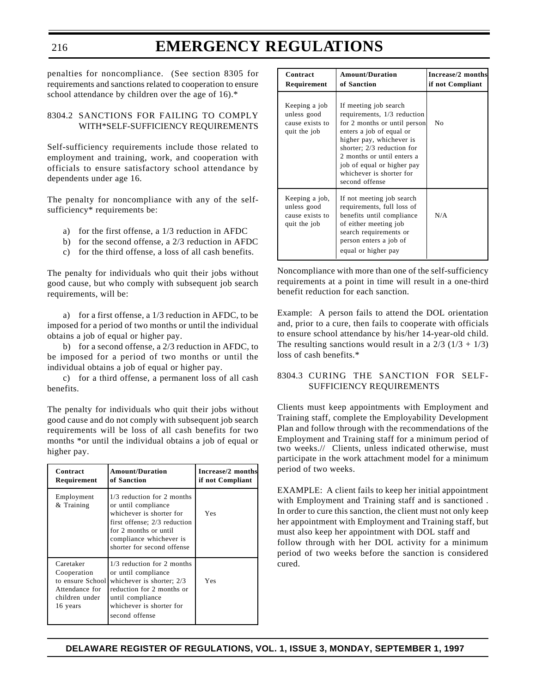### **EMERGENCY REGULATIONS**

penalties for noncompliance. (See section 8305 for requirements and sanctions related to cooperation to ensure school attendance by children over the age of 16).\*

216

#### 8304.2 SANCTIONS FOR FAILING TO COMPLY WITH\*SELF-SUFFICIENCY REQUIREMENTS

Self-sufficiency requirements include those related to employment and training, work, and cooperation with officials to ensure satisfactory school attendance by dependents under age 16.

The penalty for noncompliance with any of the selfsufficiency\* requirements be:

- a) for the first offense, a 1/3 reduction in AFDC
- b) for the second offense, a 2/3 reduction in AFDC
- c) for the third offense, a loss of all cash benefits.

The penalty for individuals who quit their jobs without good cause, but who comply with subsequent job search requirements, will be:

a) for a first offense, a 1/3 reduction in AFDC, to be imposed for a period of two months or until the individual obtains a job of equal or higher pay.

b) for a second offense, a 2/3 reduction in AFDC, to be imposed for a period of two months or until the individual obtains a job of equal or higher pay.

c) for a third offense, a permanent loss of all cash benefits.

The penalty for individuals who quit their jobs without good cause and do not comply with subsequent job search requirements will be loss of all cash benefits for two months \*or until the individual obtains a job of equal or higher pay.

| Contract<br>Requirement                                                                      | <b>Amount/Duration</b><br>of Sanction                                                                                                                                                           | Increase/2 months<br>if not Compliant |
|----------------------------------------------------------------------------------------------|-------------------------------------------------------------------------------------------------------------------------------------------------------------------------------------------------|---------------------------------------|
| Employment<br>& Training                                                                     | 1/3 reduction for 2 months<br>or until compliance<br>whichever is shorter for<br>first offense; 2/3 reduction<br>for 2 months or until<br>compliance whichever is<br>shorter for second offense | Yes                                   |
| Caretaker<br>Cooperation<br>to ensure School<br>Attendance for<br>children under<br>16 years | 1/3 reduction for 2 months<br>or until compliance<br>whichever is shorter; 2/3<br>reduction for 2 months or<br>until compliance<br>whichever is shorter for<br>second offense                   | Yes                                   |

| Contract<br>Requirement                                          | <b>Amount/Duration</b><br>of Sanction                                                                                                                                                                                                                                                | Increase/2 months<br>if not Compliant |
|------------------------------------------------------------------|--------------------------------------------------------------------------------------------------------------------------------------------------------------------------------------------------------------------------------------------------------------------------------------|---------------------------------------|
| Keeping a job<br>unless good<br>cause exists to<br>quit the job  | If meeting job search<br>requirements, 1/3 reduction<br>for 2 months or until person<br>enters a job of equal or<br>higher pay, whichever is<br>shorter; 2/3 reduction for<br>2 months or until enters a<br>job of equal or higher pay<br>whichever is shorter for<br>second offense | N <sub>0</sub>                        |
| Keeping a job,<br>unless good<br>cause exists to<br>quit the job | If not meeting job search<br>requirements, full loss of<br>benefits until compliance<br>of either meeting job<br>search requirements or<br>person enters a job of<br>equal or higher pay                                                                                             | N/A                                   |

Noncompliance with more than one of the self-sufficiency requirements at a point in time will result in a one-third benefit reduction for each sanction.

Example: A person fails to attend the DOL orientation and, prior to a cure, then fails to cooperate with officials to ensure school attendance by his/her 14-year-old child. The resulting sanctions would result in a  $2/3$  ( $1/3 + 1/3$ ) loss of cash benefits.\*

#### 8304.3 CURING THE SANCTION FOR SELF-SUFFICIENCY REQUIREMENTS

Clients must keep appointments with Employment and Training staff, complete the Employability Development Plan and follow through with the recommendations of the Employment and Training staff for a minimum period of two weeks.// Clients, unless indicated otherwise, must participate in the work attachment model for a minimum period of two weeks.

EXAMPLE: A client fails to keep her initial appointment with Employment and Training staff and is sanctioned . In order to cure this sanction, the client must not only keep her appointment with Employment and Training staff, but must also keep her appointment with DOL staff and follow through with her DOL activity for a minimum period of two weeks before the sanction is considered cured.

**DELAWARE REGISTER OF REGULATIONS, VOL. 1, ISSUE 3, MONDAY, SEPTEMBER 1, 1997**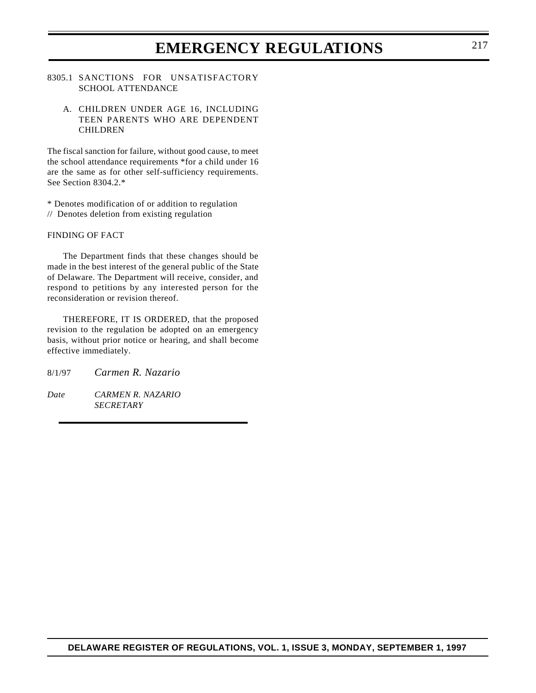### **EMERGENCY REGULATIONS** 217

#### 8305.1 SANCTIONS FOR UNSATISFACTORY SCHOOL ATTENDANCE

#### A. CHILDREN UNDER AGE 16, INCLUDING TEEN PARENTS WHO ARE DEPENDENT CHILDREN

The fiscal sanction for failure, without good cause, to meet the school attendance requirements \*for a child under 16 are the same as for other self-sufficiency requirements. See Section 8304.2.\*

\* Denotes modification of or addition to regulation

// Denotes deletion from existing regulation

#### FINDING OF FACT

The Department finds that these changes should be made in the best interest of the general public of the State of Delaware. The Department will receive, consider, and respond to petitions by any interested person for the reconsideration or revision thereof.

THEREFORE, IT IS ORDERED, that the proposed revision to the regulation be adopted on an emergency basis, without prior notice or hearing, and shall become effective immediately.

- 8/1/97 *Carmen R. Nazario*
- *Date CARMEN R. NAZARIO SECRETARY*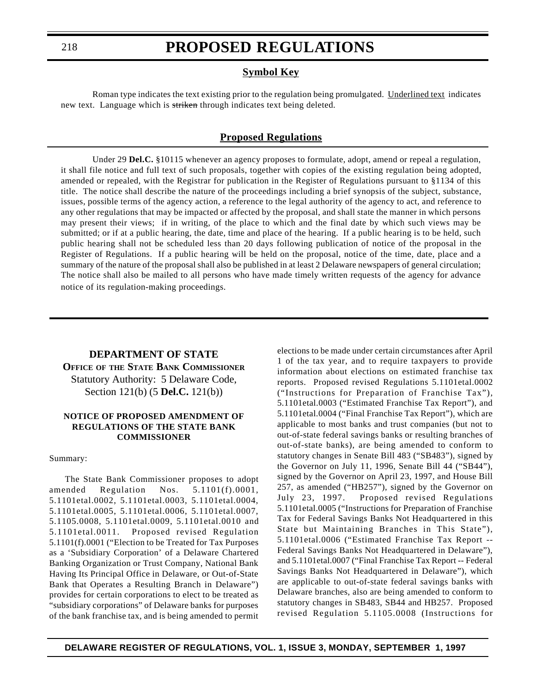#### **Symbol Key**

Roman type indicates the text existing prior to the regulation being promulgated. Underlined text indicates new text. Language which is striken through indicates text being deleted.

#### **Proposed Regulations**

Under 29 **Del.C.** §10115 whenever an agency proposes to formulate, adopt, amend or repeal a regulation, it shall file notice and full text of such proposals, together with copies of the existing regulation being adopted, amended or repealed, with the Registrar for publication in the Register of Regulations pursuant to §1134 of this title. The notice shall describe the nature of the proceedings including a brief synopsis of the subject, substance, issues, possible terms of the agency action, a reference to the legal authority of the agency to act, and reference to any other regulations that may be impacted or affected by the proposal, and shall state the manner in which persons may present their views; if in writing, of the place to which and the final date by which such views may be submitted; or if at a public hearing, the date, time and place of the hearing. If a public hearing is to be held, such public hearing shall not be scheduled less than 20 days following publication of notice of the proposal in the Register of Regulations. If a public hearing will be held on the proposal, notice of the time, date, place and a summary of the nature of the proposal shall also be published in at least 2 Delaware newspapers of general circulation; The notice shall also be mailed to all persons who have made timely written requests of the agency for advance notice of its regulation-making proceedings.

### **DEPARTMENT OF STATE OFFICE OF THE STATE BANK COMMISSIONER** Statutory Authority: 5 Delaware Code, Section 121(b) (5 **Del.C.** 121(b))

#### **NOTICE OF PROPOSED AMENDMENT OF REGULATIONS OF THE STATE BANK COMMISSIONER**

#### Summary:

The State Bank Commissioner proposes to adopt amended Regulation Nos. 5.1101(f).0001, 5.1101etal.0002, 5.1101etal.0003, 5.1101etal.0004, 5.1101etal.0005, 5.1101etal.0006, 5.1101etal.0007, 5.1105.0008, 5.1101etal.0009, 5.1101etal.0010 and 5.1101etal.0011. Proposed revised Regulation 5.1101(f).0001 ("Election to be Treated for Tax Purposes as a 'Subsidiary Corporation' of a Delaware Chartered Banking Organization or Trust Company, National Bank Having Its Principal Office in Delaware, or Out-of-State Bank that Operates a Resulting Branch in Delaware") provides for certain corporations to elect to be treated as "subsidiary corporations" of Delaware banks for purposes of the bank franchise tax, and is being amended to permit elections to be made under certain circumstances after April 1 of the tax year, and to require taxpayers to provide information about elections on estimated franchise tax reports. Proposed revised Regulations 5.1101etal.0002 ("Instructions for Preparation of Franchise Tax"), 5.1101etal.0003 ("Estimated Franchise Tax Report"), and 5.1101etal.0004 ("Final Franchise Tax Report"), which are applicable to most banks and trust companies (but not to out-of-state federal savings banks or resulting branches of out-of-state banks), are being amended to conform to statutory changes in Senate Bill 483 ("SB483"), signed by the Governor on July 11, 1996, Senate Bill 44 ("SB44"), signed by the Governor on April 23, 1997, and House Bill 257, as amended ("HB257"), signed by the Governor on July 23, 1997. Proposed revised Regulations 5.1101etal.0005 ("Instructions for Preparation of Franchise Tax for Federal Savings Banks Not Headquartered in this State but Maintaining Branches in This State"), 5.1101etal.0006 ("Estimated Franchise Tax Report -- Federal Savings Banks Not Headquartered in Delaware"), and 5.1101etal.0007 ("Final Franchise Tax Report -- Federal Savings Banks Not Headquartered in Delaware"), which are applicable to out-of-state federal savings banks with Delaware branches, also are being amended to conform to statutory changes in SB483, SB44 and HB257. Proposed revised Regulation 5.1105.0008 (Instructions for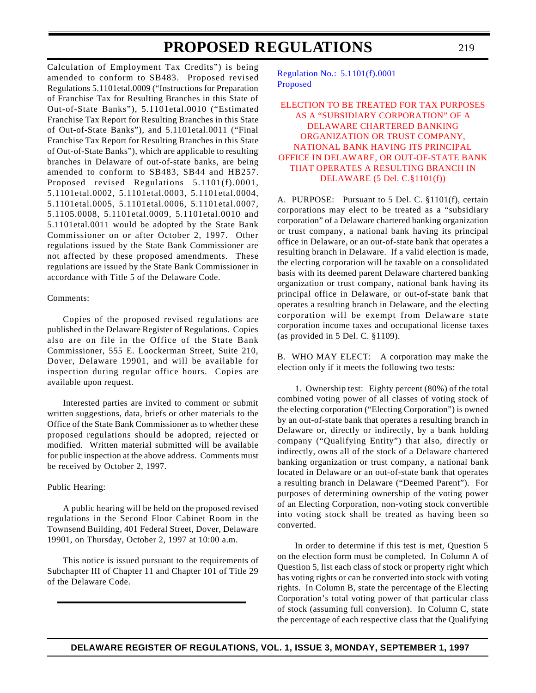<span id="page-13-0"></span>Calculation of Employment Tax Credits") is being amended to conform to SB483. Proposed revised Regulations 5.1101etal.0009 ("Instructions for Preparation of Franchise Tax for Resulting Branches in this State of Out-of-State Banks"), 5.1101etal.0010 ("Estimated Franchise Tax Report for Resulting Branches in this State of Out-of-State Banks"), and 5.1101etal.0011 ("Final Franchise Tax Report for Resulting Branches in this State of Out-of-State Banks"), which are applicable to resulting branches in Delaware of out-of-state banks, are being amended to conform to SB483, SB44 and HB257. Proposed revised Regulations 5.1101(f).0001, 5.1101etal.0002, 5.1101etal.0003, 5.1101etal.0004, 5.1101etal.0005, 5.1101etal.0006, 5.1101etal.0007, 5.1105.0008, 5.1101etal.0009, 5.1101etal.0010 and 5.1101etal.0011 would be adopted by the State Bank Commissioner on or after October 2, 1997. Other regulations issued by the State Bank Commissioner are not affected by these proposed amendments. These regulations are issued by the State Bank Commissioner in accordance with Title 5 of the Delaware Code.

#### Comments:

Copies of the proposed revised regulations are published in the Delaware Register of Regulations. Copies also are on file in the Office of the State Bank Commissioner, 555 E. Loockerman Street, Suite 210, Dover, Delaware 19901, and will be available for inspection during regular office hours. Copies are available upon request.

Interested parties are invited to comment or submit written suggestions, data, briefs or other materials to the Office of the State Bank Commissioner as to whether these proposed regulations should be adopted, rejected or modified. Written material submitted will be available for public inspection at the above address. Comments must be received by October 2, 1997.

#### Public Hearing:

A public hearing will be held on the proposed revised regulations in the Second Floor Cabinet Room in the Townsend Building, 401 Federal Street, Dover, Delaware 19901, on Thursday, October 2, 1997 at 10:00 a.m.

This notice is issued pursuant to the requirements of Subchapter III of Chapter 11 and Chapter 101 of Title 29 of the Delaware Code.

[Regulation No.:](http://www.state.de.us/govern/agencies/bank/bank.htm) 5.1101(f).0001 Proposed

#### ELECTION TO BE TREATED FOR TAX PURPOSES AS A "SUBSIDIARY CORPORATION" OF A DELAWARE CHARTERED BANKING ORGANIZATION OR TRUST COMPANY, NATIONAL BANK HAVING ITS PRINCIPAL [OFFICE IN DELAWARE, OR OUT-OF-STATE BANK](#page-3-0) THAT OPERATES A RESULTING BRANCH IN DELAWARE (5 Del. C.§1101(f))

A. PURPOSE: Pursuant to 5 Del. C. §1101(f), certain corporations may elect to be treated as a "subsidiary corporation" of a Delaware chartered banking organization or trust company, a national bank having its principal office in Delaware, or an out-of-state bank that operates a resulting branch in Delaware. If a valid election is made, the electing corporation will be taxable on a consolidated basis with its deemed parent Delaware chartered banking organization or trust company, national bank having its principal office in Delaware, or out-of-state bank that operates a resulting branch in Delaware, and the electing corporation will be exempt from Delaware state corporation income taxes and occupational license taxes (as provided in 5 Del. C. §1109).

B. WHO MAY ELECT: A corporation may make the election only if it meets the following two tests:

1. Ownership test: Eighty percent (80%) of the total combined voting power of all classes of voting stock of the electing corporation ("Electing Corporation") is owned by an out-of-state bank that operates a resulting branch in Delaware or, directly or indirectly, by a bank holding company ("Qualifying Entity") that also, directly or indirectly, owns all of the stock of a Delaware chartered banking organization or trust company, a national bank located in Delaware or an out-of-state bank that operates a resulting branch in Delaware ("Deemed Parent"). For purposes of determining ownership of the voting power of an Electing Corporation, non-voting stock convertible into voting stock shall be treated as having been so converted.

In order to determine if this test is met, Question 5 on the election form must be completed. In Column A of Question 5, list each class of stock or property right which has voting rights or can be converted into stock with voting rights. In Column B, state the percentage of the Electing Corporation's total voting power of that particular class of stock (assuming full conversion). In Column C, state the percentage of each respective class that the Qualifying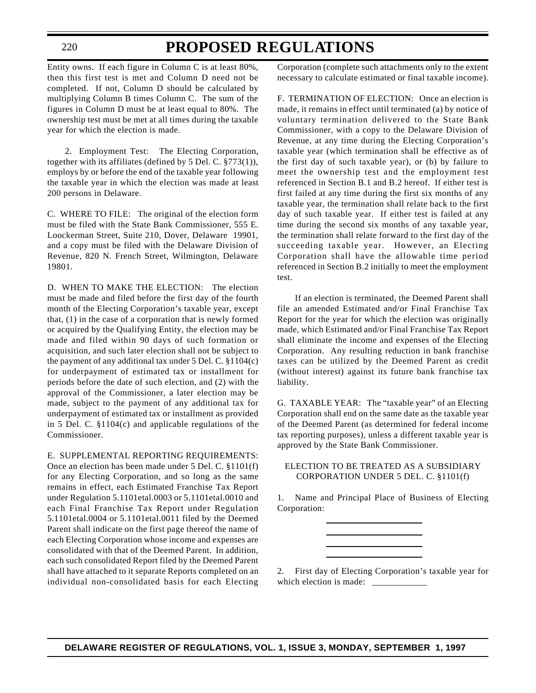220

### **PROPOSED REGULATIONS**

Entity owns. If each figure in Column C is at least 80%, then this first test is met and Column D need not be completed. If not, Column D should be calculated by multiplying Column B times Column C. The sum of the figures in Column D must be at least equal to 80%. The ownership test must be met at all times during the taxable year for which the election is made.

2. Employment Test: The Electing Corporation, together with its affiliates (defined by 5 Del. C. §773(1)), employs by or before the end of the taxable year following the taxable year in which the election was made at least 200 persons in Delaware.

C. WHERE TO FILE: The original of the election form must be filed with the State Bank Commissioner, 555 E. Loockerman Street, Suite 210, Dover, Delaware 19901, and a copy must be filed with the Delaware Division of Revenue, 820 N. French Street, Wilmington, Delaware 19801.

D. WHEN TO MAKE THE ELECTION: The election must be made and filed before the first day of the fourth month of the Electing Corporation's taxable year, except that, (1) in the case of a corporation that is newly formed or acquired by the Qualifying Entity, the election may be made and filed within 90 days of such formation or acquisition, and such later election shall not be subject to the payment of any additional tax under 5 Del. C. §1104(c) for underpayment of estimated tax or installment for periods before the date of such election, and (2) with the approval of the Commissioner, a later election may be made, subject to the payment of any additional tax for underpayment of estimated tax or installment as provided in 5 Del. C. §1104(c) and applicable regulations of the Commissioner.

E. SUPPLEMENTAL REPORTING REQUIREMENTS: Once an election has been made under 5 Del. C. §1101(f) for any Electing Corporation, and so long as the same remains in effect, each Estimated Franchise Tax Report under Regulation 5.1101etal.0003 or 5.1101etal.0010 and each Final Franchise Tax Report under Regulation 5.1101etal.0004 or 5.1101etal.0011 filed by the Deemed Parent shall indicate on the first page thereof the name of each Electing Corporation whose income and expenses are consolidated with that of the Deemed Parent. In addition, each such consolidated Report filed by the Deemed Parent shall have attached to it separate Reports completed on an individual non-consolidated basis for each Electing Corporation (complete such attachments only to the extent necessary to calculate estimated or final taxable income).

F. TERMINATION OF ELECTION: Once an election is made, it remains in effect until terminated (a) by notice of voluntary termination delivered to the State Bank Commissioner, with a copy to the Delaware Division of Revenue, at any time during the Electing Corporation's taxable year (which termination shall be effective as of the first day of such taxable year), or (b) by failure to meet the ownership test and the employment test referenced in Section B.1 and B.2 hereof. If either test is first failed at any time during the first six months of any taxable year, the termination shall relate back to the first day of such taxable year. If either test is failed at any time during the second six months of any taxable year, the termination shall relate forward to the first day of the succeeding taxable year. However, an Electing Corporation shall have the allowable time period referenced in Section B.2 initially to meet the employment test.

If an election is terminated, the Deemed Parent shall file an amended Estimated and/or Final Franchise Tax Report for the year for which the election was originally made, which Estimated and/or Final Franchise Tax Report shall eliminate the income and expenses of the Electing Corporation. Any resulting reduction in bank franchise taxes can be utilized by the Deemed Parent as credit (without interest) against its future bank franchise tax liability.

G. TAXABLE YEAR: The "taxable year" of an Electing Corporation shall end on the same date as the taxable year of the Deemed Parent (as determined for federal income tax reporting purposes), unless a different taxable year is approved by the State Bank Commissioner.

#### ELECTION TO BE TREATED AS A SUBSIDIARY CORPORATION UNDER 5 DEL. C. §1101(f)

1. Name and Principal Place of Business of Electing Corporation:

2. First day of Electing Corporation's taxable year for which election is made:  $\frac{ }{ }$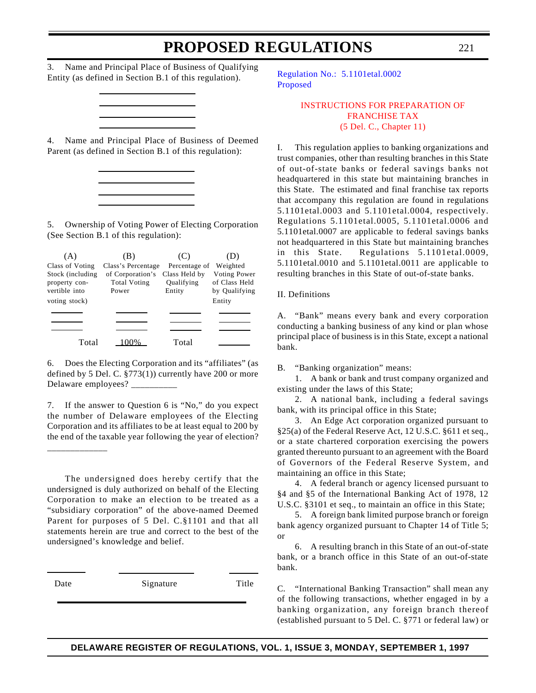<span id="page-15-0"></span>3. Name and Principal Place of Business of Qualifying Entity (as defined in Section B.1 of this regulation).

4. Name and Principal Place of Business of Deemed Parent (as defined in Section B.1 of this regulation):

5. Ownership of Voting Power of Electing Corporation (See Section B.1 of this regulation):

|                                                    |                                                  | (C)                                   | ו ע                                            |
|----------------------------------------------------|--------------------------------------------------|---------------------------------------|------------------------------------------------|
| Class of Voting                                    | Class's Percentage                               | Percentage of                         | Weighted                                       |
| Stock (including<br>property con-<br>vertible into | of Corporation's<br><b>Total Voting</b><br>Power | Class Held by<br>Qualifying<br>Entity | Voting Power<br>of Class Held<br>by Qualifying |
| voting stock)                                      |                                                  |                                       | Entity                                         |
|                                                    |                                                  |                                       |                                                |
|                                                    |                                                  |                                       |                                                |
|                                                    |                                                  |                                       |                                                |
| Total                                              |                                                  | Total                                 |                                                |

6. Does the Electing Corporation and its "affiliates" (as defined by 5 Del. C. §773(1)) currently have 200 or more Delaware employees? \_\_\_\_\_\_\_\_\_\_\_

7. If the answer to Question 6 is "No," do you expect the number of Delaware employees of the Electing Corporation and its affiliates to be at least equal to 200 by the end of the taxable year following the year of election?

\_\_\_\_\_\_\_\_\_\_\_\_\_

The undersigned does hereby certify that the undersigned is duly authorized on behalf of the Electing Corporation to make an election to be treated as a "subsidiary corporation" of the above-named Deemed Parent for purposes of 5 Del. C.§1101 and that all statements herein are true and correct to the best of the undersigned's knowledge and belief.

Date Signature Title

[Regulation No.: 5.1101etal.0002](http://www.state.de.us/govern/agencies/bank/bank.htm) Proposed

> [INSTRUCTIONS FOR PREPARATION OF](#page-3-0) FRANCHISE TAX (5 Del. C., Chapter 11)

I. This regulation applies to banking organizations and trust companies, other than resulting branches in this State of out-of-state banks or federal savings banks not headquartered in this state but maintaining branches in this State. The estimated and final franchise tax reports that accompany this regulation are found in regulations 5.1101etal.0003 and 5.1101etal.0004, respectively. Regulations 5.1101etal.0005, 5.1101etal.0006 and 5.1101etal.0007 are applicable to federal savings banks not headquartered in this State but maintaining branches in this State. Regulations 5.1101etal.0009, 5.1101etal.0010 and 5.1101etal.0011 are applicable to resulting branches in this State of out-of-state banks.

II. Definitions

A. "Bank" means every bank and every corporation conducting a banking business of any kind or plan whose principal place of business is in this State, except a national bank.

B. "Banking organization" means:

1. A bank or bank and trust company organized and existing under the laws of this State;

2. A national bank, including a federal savings bank, with its principal office in this State;

3. An Edge Act corporation organized pursuant to §25(a) of the Federal Reserve Act, 12 U.S.C. §611 et seq., or a state chartered corporation exercising the powers granted thereunto pursuant to an agreement with the Board of Governors of the Federal Reserve System, and maintaining an office in this State;

4. A federal branch or agency licensed pursuant to §4 and §5 of the International Banking Act of 1978, 12 U.S.C. §3101 et seq., to maintain an office in this State;

5. A foreign bank limited purpose branch or foreign bank agency organized pursuant to Chapter 14 of Title 5; or

6. A resulting branch in this State of an out-of-state bank, or a branch office in this State of an out-of-state bank.

C. "International Banking Transaction" shall mean any of the following transactions, whether engaged in by a banking organization, any foreign branch thereof (established pursuant to 5 Del. C. §771 or federal law) or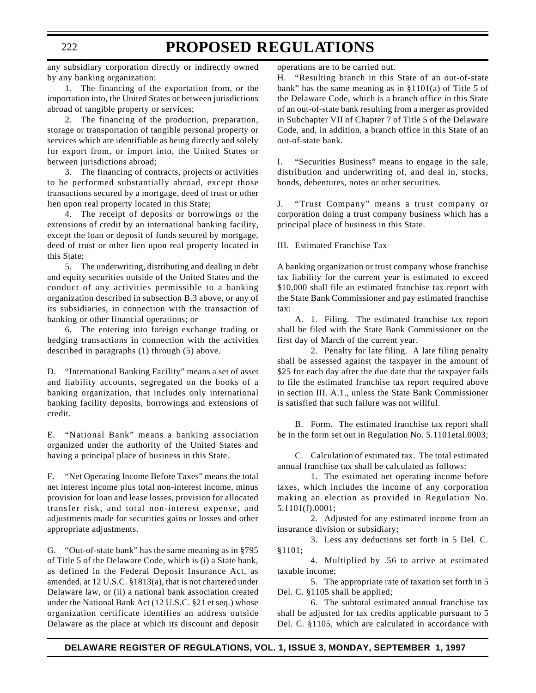any subsidiary corporation directly or indirectly owned by any banking organization:

1. The financing of the exportation from, or the importation into, the United States or between jurisdictions abroad of tangible property or services;

2. The financing of the production, preparation, storage or transportation of tangible personal property or services which are identifiable as being directly and solely for export from, or import into, the United States or between jurisdictions abroad;

3. The financing of contracts, projects or activities to be performed substantially abroad, except those transactions secured by a mortgage, deed of trust or other lien upon real property located in this State;

4. The receipt of deposits or borrowings or the extensions of credit by an international banking facility, except the loan or deposit of funds secured by mortgage, deed of trust or other lien upon real property located in this State;

5. The underwriting, distributing and dealing in debt and equity securities outside of the United States and the conduct of any activities permissible to a banking organization described in subsection B.3 above, or any of its subsidiaries, in connection with the transaction of banking or other financial operations; or

6. The entering into foreign exchange trading or hedging transactions in connection with the activities described in paragraphs (1) through (5) above.

D. "International Banking Facility" means a set of asset and liability accounts, segregated on the books of a banking organization, that includes only international banking facility deposits, borrowings and extensions of credit.

E. "National Bank" means a banking association organized under the authority of the United States and having a principal place of business in this State.

F. "Net Operating Income Before Taxes" means the total net interest income plus total non-interest income, minus provision for loan and lease losses, provision for allocated transfer risk, and total non-interest expense, and adjustments made for securities gains or losses and other appropriate adjustments.

G. "Out-of-state bank" has the same meaning as in §795 of Title 5 of the Delaware Code, which is (i) a State bank, as defined in the Federal Deposit Insurance Act, as amended, at 12 U.S.C. §1813(a), that is not chartered under Delaware law, or (ii) a national bank association created under the National Bank Act (12 U.S.C. §21 et seq.) whose organization certificate identifies an address outside Delaware as the place at which its discount and deposit operations are to be carried out.

H. "Resulting branch in this State of an out-of-state bank" has the same meaning as in §1101(a) of Title 5 of the Delaware Code, which is a branch office in this State of an out-of-state bank resulting from a merger as provided in Subchapter VII of Chapter 7 of Title 5 of the Delaware Code, and, in addition, a branch office in this State of an out-of-state bank.

I. "Securities Business" means to engage in the sale, distribution and underwriting of, and deal in, stocks, bonds, debentures, notes or other securities.

J. "Trust Company" means a trust company or corporation doing a trust company business which has a principal place of business in this State.

III. Estimated Franchise Tax

A banking organization or trust company whose franchise tax liability for the current year is estimated to exceed \$10,000 shall file an estimated franchise tax report with the State Bank Commissioner and pay estimated franchise tax:

A. 1. Filing. The estimated franchise tax report shall be filed with the State Bank Commissioner on the first day of March of the current year.

2. Penalty for late filing. A late filing penalty shall be assessed against the taxpayer in the amount of \$25 for each day after the due date that the taxpayer fails to file the estimated franchise tax report required above in section III. A.1., unless the State Bank Commissioner is satisfied that such failure was not willful.

B. Form. The estimated franchise tax report shall be in the form set out in Regulation No. 5.1101etal.0003;

C. Calculation of estimated tax. The total estimated annual franchise tax shall be calculated as follows:

1. The estimated net operating income before taxes, which includes the income of any corporation making an election as provided in Regulation No. 5.1101(f).0001;

2. Adjusted for any estimated income from an insurance division or subsidiary;

3. Less any deductions set forth in 5 Del. C. §1101;

4. Multiplied by .56 to arrive at estimated taxable income;

5. The appropriate rate of taxation set forth in 5 Del. C. §1105 shall be applied;

6. The subtotal estimated annual franchise tax shall be adjusted for tax credits applicable pursuant to 5 Del. C. §1105, which are calculated in accordance with

#### 222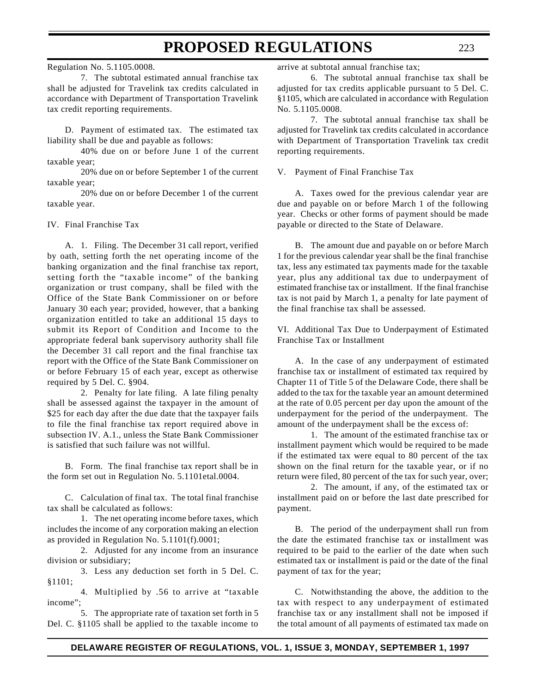Regulation No. 5.1105.0008.

7. The subtotal estimated annual franchise tax shall be adjusted for Travelink tax credits calculated in accordance with Department of Transportation Travelink tax credit reporting requirements.

D. Payment of estimated tax. The estimated tax liability shall be due and payable as follows:

40% due on or before June 1 of the current taxable year;

20% due on or before September 1 of the current taxable year;

20% due on or before December 1 of the current taxable year.

IV. Final Franchise Tax

A. 1. Filing. The December 31 call report, verified by oath, setting forth the net operating income of the banking organization and the final franchise tax report, setting forth the "taxable income" of the banking organization or trust company, shall be filed with the Office of the State Bank Commissioner on or before January 30 each year; provided, however, that a banking organization entitled to take an additional 15 days to submit its Report of Condition and Income to the appropriate federal bank supervisory authority shall file the December 31 call report and the final franchise tax report with the Office of the State Bank Commissioner on or before February 15 of each year, except as otherwise required by 5 Del. C. §904.

2. Penalty for late filing. A late filing penalty shall be assessed against the taxpayer in the amount of \$25 for each day after the due date that the taxpayer fails to file the final franchise tax report required above in subsection IV. A.1., unless the State Bank Commissioner is satisfied that such failure was not willful.

B. Form. The final franchise tax report shall be in the form set out in Regulation No. 5.1101etal.0004.

C. Calculation of final tax. The total final franchise tax shall be calculated as follows:

1. The net operating income before taxes, which includes the income of any corporation making an election as provided in Regulation No. 5.1101(f).0001;

2. Adjusted for any income from an insurance division or subsidiary;

3. Less any deduction set forth in 5 Del. C. §1101;

4. Multiplied by .56 to arrive at "taxable income";

5. The appropriate rate of taxation set forth in 5 Del. C. §1105 shall be applied to the taxable income to arrive at subtotal annual franchise tax;

6. The subtotal annual franchise tax shall be adjusted for tax credits applicable pursuant to 5 Del. C. §1105, which are calculated in accordance with Regulation No. 5.1105.0008.

7. The subtotal annual franchise tax shall be adjusted for Travelink tax credits calculated in accordance with Department of Transportation Travelink tax credit reporting requirements.

V. Payment of Final Franchise Tax

A. Taxes owed for the previous calendar year are due and payable on or before March 1 of the following year. Checks or other forms of payment should be made payable or directed to the State of Delaware.

B. The amount due and payable on or before March 1 for the previous calendar year shall be the final franchise tax, less any estimated tax payments made for the taxable year, plus any additional tax due to underpayment of estimated franchise tax or installment. If the final franchise tax is not paid by March 1, a penalty for late payment of the final franchise tax shall be assessed.

VI. Additional Tax Due to Underpayment of Estimated Franchise Tax or Installment

A. In the case of any underpayment of estimated franchise tax or installment of estimated tax required by Chapter 11 of Title 5 of the Delaware Code, there shall be added to the tax for the taxable year an amount determined at the rate of 0.05 percent per day upon the amount of the underpayment for the period of the underpayment. The amount of the underpayment shall be the excess of:

1. The amount of the estimated franchise tax or installment payment which would be required to be made if the estimated tax were equal to 80 percent of the tax shown on the final return for the taxable year, or if no return were filed, 80 percent of the tax for such year, over;

2. The amount, if any, of the estimated tax or installment paid on or before the last date prescribed for payment.

B. The period of the underpayment shall run from the date the estimated franchise tax or installment was required to be paid to the earlier of the date when such estimated tax or installment is paid or the date of the final payment of tax for the year;

C. Notwithstanding the above, the addition to the tax with respect to any underpayment of estimated franchise tax or any installment shall not be imposed if the total amount of all payments of estimated tax made on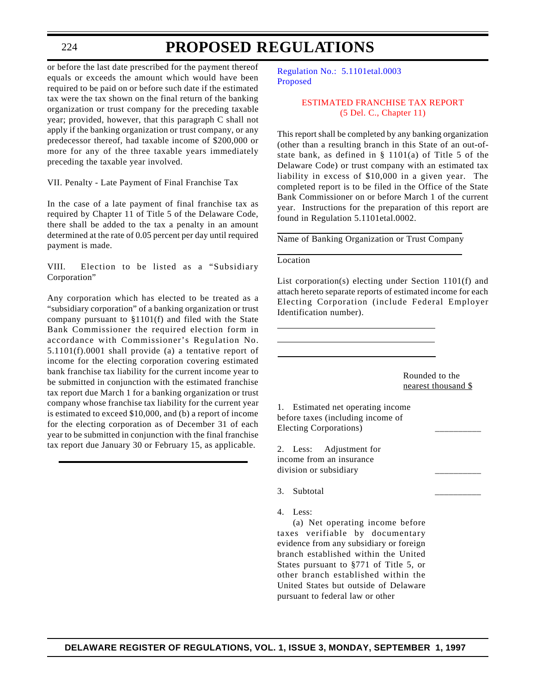<span id="page-18-0"></span>224

### **PROPOSED REGULATIONS**

or before the last date prescribed for the payment thereof equals or exceeds the amount which would have been required to be paid on or before such date if the estimated tax were the tax shown on the final return of the banking organization or trust company for the preceding taxable year; provided, however, that this paragraph C shall not apply if the banking organization or trust company, or any predecessor thereof, had taxable income of \$200,000 or more for any of the three taxable years immediately preceding the taxable year involved.

VII. Penalty - Late Payment of Final Franchise Tax

In the case of a late payment of final franchise tax as required by Chapter 11 of Title 5 of the Delaware Code, there shall be added to the tax a penalty in an amount determined at the rate of 0.05 percent per day until required payment is made.

VIII. Election to be listed as a "Subsidiary Corporation"

Any corporation which has elected to be treated as a "subsidiary corporation" of a banking organization or trust company pursuant to §1101(f) and filed with the State Bank Commissioner the required election form in accordance with Commissioner's Regulation No. 5.1101(f).0001 shall provide (a) a tentative report of income for the electing corporation covering estimated bank franchise tax liability for the current income year to be submitted in conjunction with the estimated franchise tax report due March 1 for a banking organization or trust company whose franchise tax liability for the current year is estimated to exceed \$10,000, and (b) a report of income for the electing corporation as of December 31 of each year to be submitted in conjunction with the final franchise tax report due January 30 or February 15, as applicable.

[Regulation No.: 5.1101etal.0003](http://www.state.de.us/govern/agencies/bank/bank.htm) Proposed

#### [ESTIMATED FRANCHISE TAX REPORT](#page-3-0) (5 Del. C., Chapter 11)

This report shall be completed by any banking organization (other than a resulting branch in this State of an out-ofstate bank, as defined in § 1101(a) of Title 5 of the Delaware Code) or trust company with an estimated tax liability in excess of \$10,000 in a given year. The completed report is to be filed in the Office of the State Bank Commissioner on or before March 1 of the current year. Instructions for the preparation of this report are found in Regulation 5.1101etal.0002.

Name of Banking Organization or Trust Company

#### Location

List corporation(s) electing under Section 1101(f) and attach hereto separate reports of estimated income for each Electing Corporation (include Federal Employer Identification number).

> Rounded to the nearest thousand \$

1. Estimated net operating income before taxes (including income of Electing Corporations) \_\_\_\_\_\_\_\_\_\_

2. Less: Adjustment for income from an insurance division or subsidiary \_\_\_\_\_\_\_\_\_\_

3. Subtotal

4. Less:

(a) Net operating income before taxes verifiable by documentary evidence from any subsidiary or foreign branch established within the United States pursuant to §771 of Title 5, or other branch established within the United States but outside of Delaware pursuant to federal law or other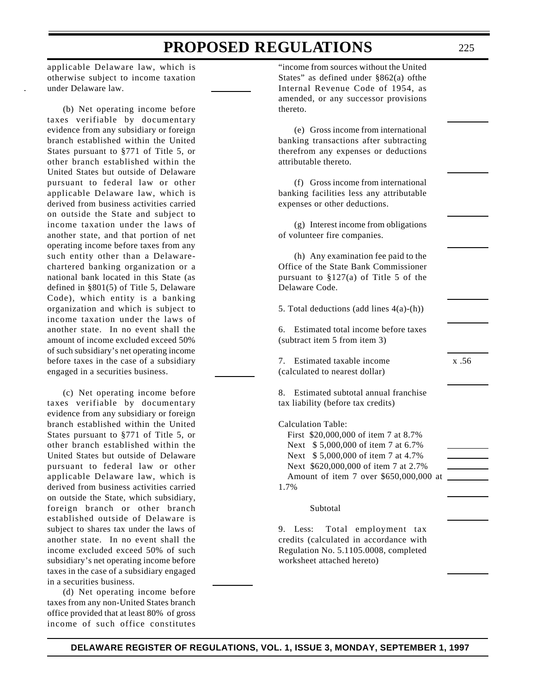applicable Delaware law, which is otherwise subject to income taxation under Delaware law.

(b) Net operating income before taxes verifiable by documentary evidence from any subsidiary or foreign branch established within the United States pursuant to §771 of Title 5, or other branch established within the United States but outside of Delaware pursuant to federal law or other applicable Delaware law, which is derived from business activities carried on outside the State and subject to income taxation under the laws of another state, and that portion of net operating income before taxes from any such entity other than a Delawarechartered banking organization or a national bank located in this State (as defined in §801(5) of Title 5, Delaware Code), which entity is a banking organization and which is subject to income taxation under the laws of another state. In no event shall the amount of income excluded exceed 50% of such subsidiary's net operating income before taxes in the case of a subsidiary engaged in a securities business.

(c) Net operating income before taxes verifiable by documentary evidence from any subsidiary or foreign branch established within the United States pursuant to §771 of Title 5, or other branch established within the United States but outside of Delaware pursuant to federal law or other applicable Delaware law, which is derived from business activities carried on outside the State, which subsidiary, foreign branch or other branch established outside of Delaware is subject to shares tax under the laws of another state. In no event shall the income excluded exceed 50% of such subsidiary's net operating income before taxes in the case of a subsidiary engaged in a securities business.

(d) Net operating income before taxes from any non-United States branch office provided that at least 80% of gross income of such office constitutes

"income from sources without the United States" as defined under §862(a) ofthe Internal Revenue Code of 1954, as amended, or any successor provisions thereto.

(e) Gross income from international banking transactions after subtracting therefrom any expenses or deductions attributable thereto.

(f) Gross income from international banking facilities less any attributable expenses or other deductions.

(g) Interest income from obligations of volunteer fire companies.

(h) Any examination fee paid to the Office of the State Bank Commissioner pursuant to  $$127(a)$  of Title 5 of the Delaware Code.

5. Total deductions (add lines 4(a)-(h))

6. Estimated total income before taxes (subtract item 5 from item 3)

7. Estimated taxable income x .56 (calculated to nearest dollar)

8. Estimated subtotal annual franchise tax liability (before tax credits)

Calculation Table: First \$20,000,000 of item 7 at 8.7% Next \$ 5,000,000 of item 7 at 6.7% Next \$ 5,000,000 of item 7 at 4.7% Next \$620,000,000 of item 7 at 2.7% Amount of item 7 over \$650,000,000 at 1.7%

#### Subtotal

9. Less: Total employment tax credits (calculated in accordance with Regulation No. 5.1105.0008, completed worksheet attached hereto)

#### **DELAWARE REGISTER OF REGULATIONS, VOL. 1, ISSUE 3, MONDAY, SEPTEMBER 1, 1997**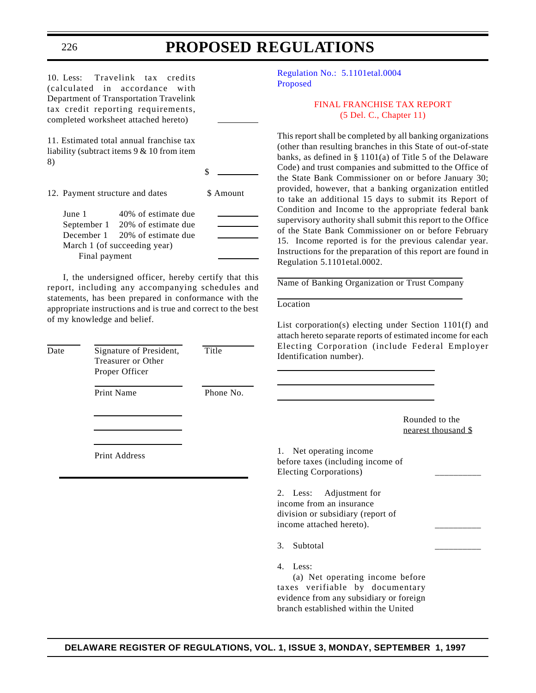10. Less: Travelink tax credits (calculated in accordance with Department of Transportation Travelink tax credit reporting requirements, completed worksheet attached hereto)

11. Estimated total annual franchise tax liability (subtract items 9 & 10 from item 8)

\$

12. Payment structure and dates \$ Amount

June 1 40% of estimate due September 1 20% of estimate due December 1 20% of estimate due March 1 (of succeeding year) Final payment

I, the undersigned officer, hereby certify that this report, including any accompanying schedules and statements, has been prepared in conformance with the appropriate instructions and is true and correct to the best of my knowledge and belief.

| Date | Signature of President,<br>Treasurer or Other<br>Proper Officer | Title     | Electing Corporation (include Federal Employ<br>Identification number).                                                 |
|------|-----------------------------------------------------------------|-----------|-------------------------------------------------------------------------------------------------------------------------|
|      | Print Name                                                      | Phone No. |                                                                                                                         |
|      |                                                                 |           | Rounded to the<br>nearest thousand \$                                                                                   |
|      | Print Address                                                   |           | 1. Net operating income<br>before taxes (including income of<br>Electing Corporations)                                  |
|      |                                                                 |           | 2. Less:<br>Adjustment for<br>income from an insurance<br>division or subsidiary (report of<br>income attached hereto). |
|      |                                                                 |           | Subtotal<br>3.                                                                                                          |
|      |                                                                 |           | Less:<br>4.<br>(a) Net operating income before                                                                          |

[Regulation No.: 5.1101etal.0004](http://www.state.de.us/govern/agencies/bank/bank.htm) Proposed

> [FINAL FRANCHISE TAX REPORT](#page-3-0) (5 Del. C., Chapter 11)

This report shall be completed by all banking organizations (other than resulting branches in this State of out-of-state banks, as defined in § 1101(a) of Title 5 of the Delaware Code) and trust companies and submitted to the Office of the State Bank Commissioner on or before January 30; provided, however, that a banking organization entitled to take an additional 15 days to submit its Report of Condition and Income to the appropriate federal bank supervisory authority shall submit this report to the Office of the State Bank Commissioner on or before February 15. Income reported is for the previous calendar year. Instructions for the preparation of this report are found in Regulation 5.1101etal.0002.

Name of Banking Organization or Trust Company

Location

List corporation(s) electing under Section 1101(f) and attach hereto separate reports of estimated income for each lude Federal Employer

ne before taxes verifiable by documentary evidence from any subsidiary or foreign branch established within the United

<span id="page-20-0"></span>226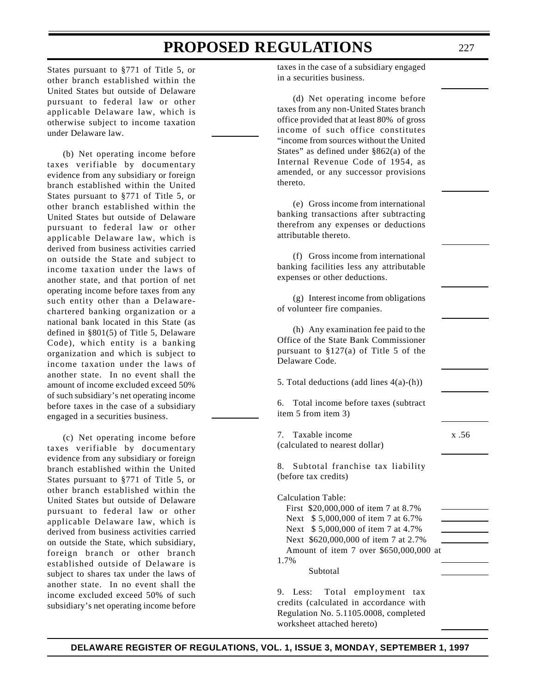States pursuant to §771 of Title 5, or other branch established within the United States but outside of Delaware pursuant to federal law or other applicable Delaware law, which is otherwise subject to income taxation under Delaware law.

(b) Net operating income before taxes verifiable by documentary evidence from any subsidiary or foreign branch established within the United States pursuant to §771 of Title 5, or other branch established within the United States but outside of Delaware pursuant to federal law or other applicable Delaware law, which is derived from business activities carried on outside the State and subject to income taxation under the laws of another state, and that portion of net operating income before taxes from any such entity other than a Delawarechartered banking organization or a national bank located in this State (as defined in §801(5) of Title 5, Delaware Code), which entity is a banking organization and which is subject to income taxation under the laws of another state. In no event shall the amount of income excluded exceed 50% of such subsidiary's net operating income before taxes in the case of a subsidiary engaged in a securities business.

(c) Net operating income before taxes verifiable by documentary evidence from any subsidiary or foreign branch established within the United States pursuant to §771 of Title 5, or other branch established within the United States but outside of Delaware pursuant to federal law or other applicable Delaware law, which is derived from business activities carried on outside the State, which subsidiary, foreign branch or other branch established outside of Delaware is subject to shares tax under the laws of another state. In no event shall the income excluded exceed 50% of such subsidiary's net operating income before

taxes in the case of a subsidiary engaged in a securities business.

(d) Net operating income before taxes from any non-United States branch office provided that at least 80% of gross income of such office constitutes "income from sources without the United States" as defined under §862(a) of the Internal Revenue Code of 1954, as amended, or any successor provisions thereto.

(e) Gross income from international banking transactions after subtracting therefrom any expenses or deductions attributable thereto.

(f) Gross income from international banking facilities less any attributable expenses or other deductions.

(g) Interest income from obligations of volunteer fire companies.

(h) Any examination fee paid to the Office of the State Bank Commissioner pursuant to §127(a) of Title 5 of the Delaware Code.

5. Total deductions (add lines 4(a)-(h))

6. Total income before taxes (subtract item 5 from item 3)

7. Taxable income x .56 (calculated to nearest dollar)

8. Subtotal franchise tax liability (before tax credits)

Calculation Table: First \$20,000,000 of item 7 at 8.7% Next \$ 5,000,000 of item 7 at 6.7% Next \$ 5,000,000 of item 7 at 4.7% Next \$620,000,000 of item 7 at 2.7% Amount of item 7 over \$650,000,000 at 1.7%

Subtotal

9. Less: Total employment tax credits (calculated in accordance with Regulation No. 5.1105.0008, completed worksheet attached hereto)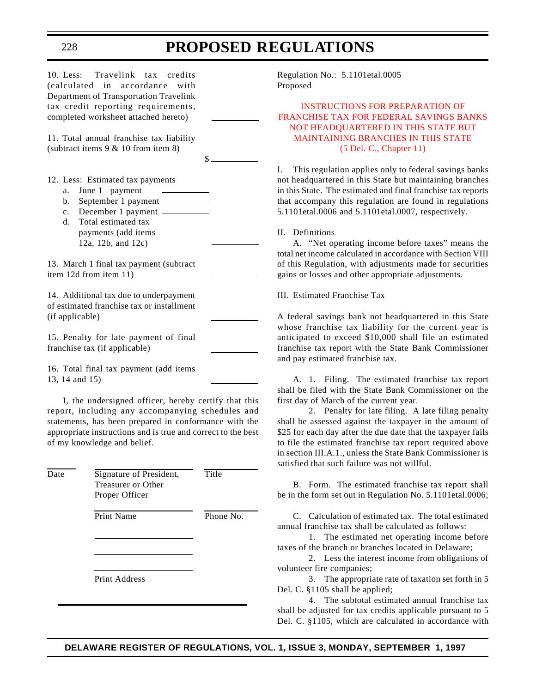\$

10. Less: Travelink tax credits (calculated in accordance with Department of Transportation Travelink tax credit reporting requirements, completed worksheet attached hereto)

11. Total annual franchise tax liability (subtract items 9 & 10 from item 8)

12. Less: Estimated tax payments

- a. June 1 payment
- b. September 1 payment
- c. December 1 payment
- d. Total estimated tax payments (add items
- 12a, 12b, and 12c)

13. March 1 final tax payment (subtract item 12d from item 11)

14. Additional tax due to underpayment of estimated franchise tax or installment (if applicable)

15. Penalty for late payment of final franchise tax (if applicable)

16. Total final tax payment (add items 13, 14 and 15)

I, the undersigned officer, hereby certify that this report, including any accompanying schedules and statements, has been prepared in conformance with the appropriate instructions and is true and correct to the best of my knowledge and belief.

| Date | Signature of President,<br>Treasurer or Other<br>Proper Officer | Title     |
|------|-----------------------------------------------------------------|-----------|
|      | <b>Print Name</b>                                               | Phone No. |
|      | <b>Print Address</b>                                            |           |

Regulation No.: 5.1101etal.0005 Proposed

#### INSTRUCTIONS FOR PREPARATION OF [FRANCHISE TAX FOR FEDERAL SAVINGS BANKS](#page-3-0) NOT HEADQUARTERED IN THIS STATE BUT MAINTAINING BRANCHES IN THIS STATE (5 Del. C., Chapter 11)

I. This regulation applies only to federal savings banks not headquartered in this State but maintaining branches in this State. The estimated and final franchise tax reports that accompany this regulation are found in regulations 5.1101etal.0006 and 5.1101etal.0007, respectively.

#### II. Definitions

A. "Net operating income before taxes" means the total net income calculated in accordance with Section VIII of this Regulation, with adjustments made for securities gains or losses and other appropriate adjustments.

III. Estimated Franchise Tax

A federal savings bank not headquartered in this State whose franchise tax liability for the current year is anticipated to exceed \$10,000 shall file an estimated franchise tax report with the State Bank Commissioner and pay estimated franchise tax.

A. 1. Filing. The estimated franchise tax report shall be filed with the State Bank Commissioner on the first day of March of the current year.

2. Penalty for late filing. A late filing penalty shall be assessed against the taxpayer in the amount of \$25 for each day after the due date that the taxpayer fails to file the estimated franchise tax report required above in section III.A.1., unless the State Bank Commissioner is satisfied that such failure was not willful.

B. Form. The estimated franchise tax report shall be in the form set out in Regulation No. 5.1101etal.0006;

C. Calculation of estimated tax. The total estimated annual franchise tax shall be calculated as follows:

1. The estimated net operating income before taxes of the branch or branches located in Delaware;

2. Less the interest income from obligations of volunteer fire companies;

3. The appropriate rate of taxation set forth in 5 Del. C. §1105 shall be applied;

4. The subtotal estimated annual franchise tax shall be adjusted for tax credits applicable pursuant to 5 Del. C. §1105, which are calculated in accordance with

#### **DELAWARE REGISTER OF REGULATIONS, VOL. 1, ISSUE 3, MONDAY, SEPTEMBER 1, 1997**

<span id="page-22-0"></span>228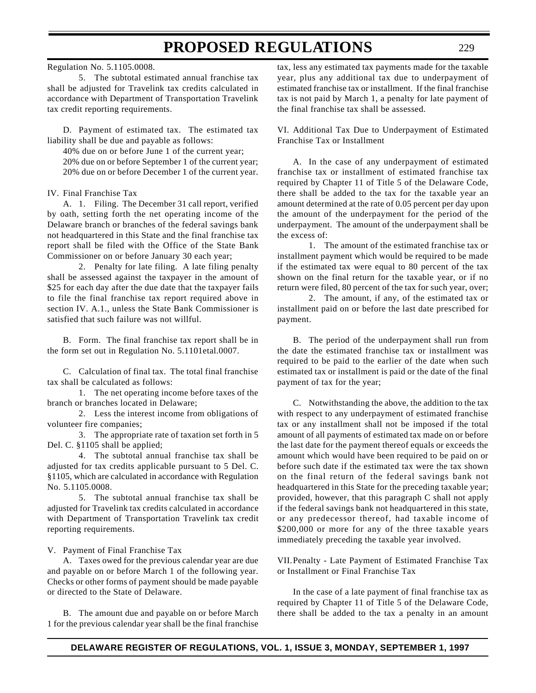Regulation No. 5.1105.0008.

5. The subtotal estimated annual franchise tax shall be adjusted for Travelink tax credits calculated in accordance with Department of Transportation Travelink tax credit reporting requirements.

D. Payment of estimated tax. The estimated tax liability shall be due and payable as follows:

40% due on or before June 1 of the current year; 20% due on or before September 1 of the current year; 20% due on or before December 1 of the current year.

IV. Final Franchise Tax

A. 1. Filing. The December 31 call report, verified by oath, setting forth the net operating income of the Delaware branch or branches of the federal savings bank not headquartered in this State and the final franchise tax report shall be filed with the Office of the State Bank Commissioner on or before January 30 each year;

2. Penalty for late filing. A late filing penalty shall be assessed against the taxpayer in the amount of \$25 for each day after the due date that the taxpayer fails to file the final franchise tax report required above in section IV. A.1., unless the State Bank Commissioner is satisfied that such failure was not willful.

B. Form. The final franchise tax report shall be in the form set out in Regulation No. 5.1101etal.0007.

C. Calculation of final tax. The total final franchise tax shall be calculated as follows:

1. The net operating income before taxes of the branch or branches located in Delaware;

2. Less the interest income from obligations of volunteer fire companies;

3. The appropriate rate of taxation set forth in 5 Del. C. §1105 shall be applied;

4. The subtotal annual franchise tax shall be adjusted for tax credits applicable pursuant to 5 Del. C. §1105, which are calculated in accordance with Regulation No. 5.1105.0008.

5. The subtotal annual franchise tax shall be adjusted for Travelink tax credits calculated in accordance with Department of Transportation Travelink tax credit reporting requirements.

#### V. Payment of Final Franchise Tax

A. Taxes owed for the previous calendar year are due and payable on or before March 1 of the following year. Checks or other forms of payment should be made payable or directed to the State of Delaware.

B. The amount due and payable on or before March 1 for the previous calendar year shall be the final franchise

tax, less any estimated tax payments made for the taxable year, plus any additional tax due to underpayment of estimated franchise tax or installment. If the final franchise tax is not paid by March 1, a penalty for late payment of the final franchise tax shall be assessed.

229

VI. Additional Tax Due to Underpayment of Estimated Franchise Tax or Installment

A. In the case of any underpayment of estimated franchise tax or installment of estimated franchise tax required by Chapter 11 of Title 5 of the Delaware Code, there shall be added to the tax for the taxable year an amount determined at the rate of 0.05 percent per day upon the amount of the underpayment for the period of the underpayment. The amount of the underpayment shall be the excess of:

1. The amount of the estimated franchise tax or installment payment which would be required to be made if the estimated tax were equal to 80 percent of the tax shown on the final return for the taxable year, or if no return were filed, 80 percent of the tax for such year, over;

2. The amount, if any, of the estimated tax or installment paid on or before the last date prescribed for payment.

B. The period of the underpayment shall run from the date the estimated franchise tax or installment was required to be paid to the earlier of the date when such estimated tax or installment is paid or the date of the final payment of tax for the year;

C. Notwithstanding the above, the addition to the tax with respect to any underpayment of estimated franchise tax or any installment shall not be imposed if the total amount of all payments of estimated tax made on or before the last date for the payment thereof equals or exceeds the amount which would have been required to be paid on or before such date if the estimated tax were the tax shown on the final return of the federal savings bank not headquartered in this State for the preceding taxable year; provided, however, that this paragraph C shall not apply if the federal savings bank not headquartered in this state, or any predecessor thereof, had taxable income of \$200,000 or more for any of the three taxable years immediately preceding the taxable year involved.

VII.Penalty - Late Payment of Estimated Franchise Tax or Installment or Final Franchise Tax

In the case of a late payment of final franchise tax as required by Chapter 11 of Title 5 of the Delaware Code, there shall be added to the tax a penalty in an amount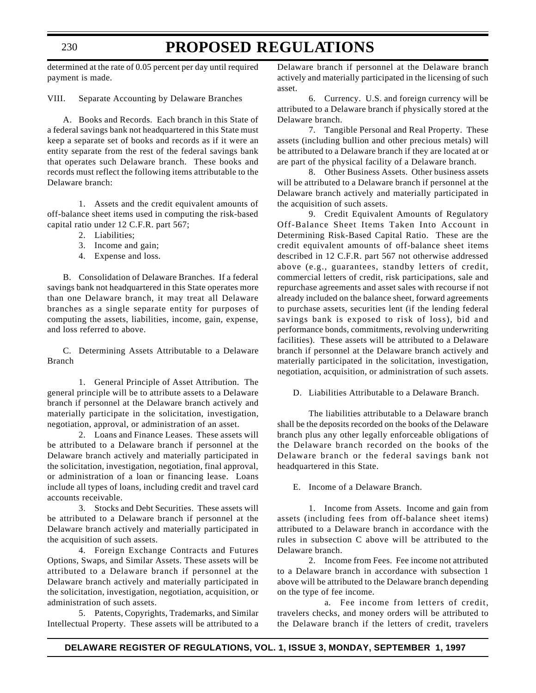determined at the rate of 0.05 percent per day until required payment is made.

VIII. Separate Accounting by Delaware Branches

A. Books and Records. Each branch in this State of a federal savings bank not headquartered in this State must keep a separate set of books and records as if it were an entity separate from the rest of the federal savings bank that operates such Delaware branch. These books and records must reflect the following items attributable to the Delaware branch:

1. Assets and the credit equivalent amounts of off-balance sheet items used in computing the risk-based capital ratio under 12 C.F.R. part 567;

- 2. Liabilities;
- 3. Income and gain;
- 4. Expense and loss.

B. Consolidation of Delaware Branches. If a federal savings bank not headquartered in this State operates more than one Delaware branch, it may treat all Delaware branches as a single separate entity for purposes of computing the assets, liabilities, income, gain, expense, and loss referred to above.

C. Determining Assets Attributable to a Delaware Branch

1. General Principle of Asset Attribution. The general principle will be to attribute assets to a Delaware branch if personnel at the Delaware branch actively and materially participate in the solicitation, investigation, negotiation, approval, or administration of an asset.

2. Loans and Finance Leases. These assets will be attributed to a Delaware branch if personnel at the Delaware branch actively and materially participated in the solicitation, investigation, negotiation, final approval, or administration of a loan or financing lease. Loans include all types of loans, including credit and travel card accounts receivable.

3. Stocks and Debt Securities. These assets will be attributed to a Delaware branch if personnel at the Delaware branch actively and materially participated in the acquisition of such assets.

4. Foreign Exchange Contracts and Futures Options, Swaps, and Similar Assets. These assets will be attributed to a Delaware branch if personnel at the Delaware branch actively and materially participated in the solicitation, investigation, negotiation, acquisition, or administration of such assets.

5. Patents, Copyrights, Trademarks, and Similar Intellectual Property. These assets will be attributed to a Delaware branch if personnel at the Delaware branch actively and materially participated in the licensing of such asset.

6. Currency. U.S. and foreign currency will be attributed to a Delaware branch if physically stored at the Delaware branch.

7. Tangible Personal and Real Property. These assets (including bullion and other precious metals) will be attributed to a Delaware branch if they are located at or are part of the physical facility of a Delaware branch.

8. Other Business Assets. Other business assets will be attributed to a Delaware branch if personnel at the Delaware branch actively and materially participated in the acquisition of such assets.

9. Credit Equivalent Amounts of Regulatory Off-Balance Sheet Items Taken Into Account in Determining Risk-Based Capital Ratio. These are the credit equivalent amounts of off-balance sheet items described in 12 C.F.R. part 567 not otherwise addressed above (e.g., guarantees, standby letters of credit, commercial letters of credit, risk participations, sale and repurchase agreements and asset sales with recourse if not already included on the balance sheet, forward agreements to purchase assets, securities lent (if the lending federal savings bank is exposed to risk of loss), bid and performance bonds, commitments, revolving underwriting facilities). These assets will be attributed to a Delaware branch if personnel at the Delaware branch actively and materially participated in the solicitation, investigation, negotiation, acquisition, or administration of such assets.

D. Liabilities Attributable to a Delaware Branch.

The liabilities attributable to a Delaware branch shall be the deposits recorded on the books of the Delaware branch plus any other legally enforceable obligations of the Delaware branch recorded on the books of the Delaware branch or the federal savings bank not headquartered in this State.

E. Income of a Delaware Branch.

1. Income from Assets. Income and gain from assets (including fees from off-balance sheet items) attributed to a Delaware branch in accordance with the rules in subsection C above will be attributed to the Delaware branch.

2. Income from Fees. Fee income not attributed to a Delaware branch in accordance with subsection 1 above will be attributed to the Delaware branch depending on the type of fee income.

a. Fee income from letters of credit, travelers checks, and money orders will be attributed to the Delaware branch if the letters of credit, travelers

#### 230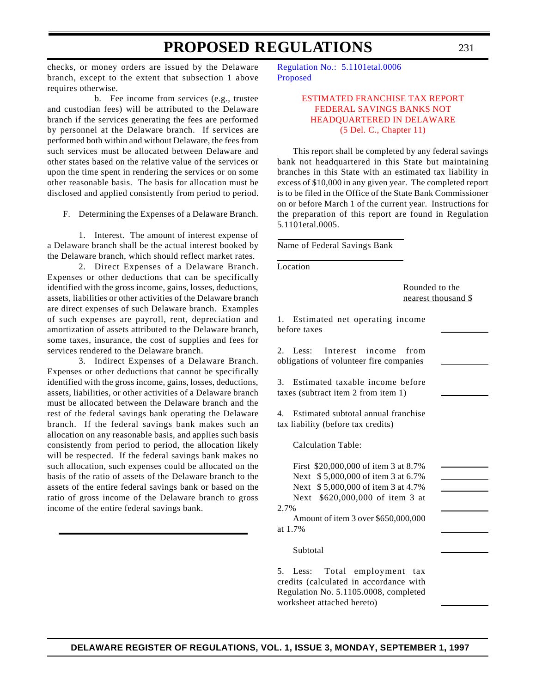<span id="page-25-0"></span>checks, or money orders are issued by the Delaware branch, except to the extent that subsection 1 above requires otherwise.

b. Fee income from services (e.g., trustee and custodian fees) will be attributed to the Delaware branch if the services generating the fees are performed by personnel at the Delaware branch. If services are performed both within and without Delaware, the fees from such services must be allocated between Delaware and other states based on the relative value of the services or upon the time spent in rendering the services or on some other reasonable basis. The basis for allocation must be disclosed and applied consistently from period to period.

F. Determining the Expenses of a Delaware Branch.

1. Interest. The amount of interest expense of a Delaware branch shall be the actual interest booked by the Delaware branch, which should reflect market rates.

2. Direct Expenses of a Delaware Branch. Expenses or other deductions that can be specifically identified with the gross income, gains, losses, deductions, assets, liabilities or other activities of the Delaware branch are direct expenses of such Delaware branch. Examples of such expenses are payroll, rent, depreciation and amortization of assets attributed to the Delaware branch, some taxes, insurance, the cost of supplies and fees for services rendered to the Delaware branch.

3. Indirect Expenses of a Delaware Branch. Expenses or other deductions that cannot be specifically identified with the gross income, gains, losses, deductions, assets, liabilities, or other activities of a Delaware branch must be allocated between the Delaware branch and the rest of the federal savings bank operating the Delaware branch. If the federal savings bank makes such an allocation on any reasonable basis, and applies such basis consistently from period to period, the allocation likely will be respected. If the federal savings bank makes no such allocation, such expenses could be allocated on the basis of the ratio of assets of the Delaware branch to the assets of the entire federal savings bank or based on the ratio of gross income of the Delaware branch to gross income of the entire federal savings bank.

[Regulation No.: 5.1101etal.0006](http://www.state.de.us/govern/agencies/bank/bank.htm) Proposed

#### [ESTIMATED FRANCHISE TAX REPORT](#page-3-0) FEDERAL SAVINGS BANKS NOT HEADQUARTERED IN DELAWARE (5 Del. C., Chapter 11)

This report shall be completed by any federal savings bank not headquartered in this State but maintaining branches in this State with an estimated tax liability in excess of \$10,000 in any given year. The completed report is to be filed in the Office of the State Bank Commissioner on or before March 1 of the current year. Instructions for the preparation of this report are found in Regulation 5.1101etal.0005.

Name of Federal Savings Bank

Location

Rounded to the nearest thousand \$

1. Estimated net operating income before taxes

2. Less: Interest income from obligations of volunteer fire companies

3. Estimated taxable income before taxes (subtract item 2 from item 1)

4. Estimated subtotal annual franchise tax liability (before tax credits)

Calculation Table:

First \$20,000,000 of item 3 at 8.7% Next \$ 5,000,000 of item 3 at 6.7% Next \$ 5,000,000 of item 3 at 4.7% Next \$620,000,000 of item 3 at 2.7%

Amount of item 3 over \$650,000,000 at 1.7%

#### Subtotal

5. Less: Total employment tax credits (calculated in accordance with Regulation No. 5.1105.0008, completed worksheet attached hereto)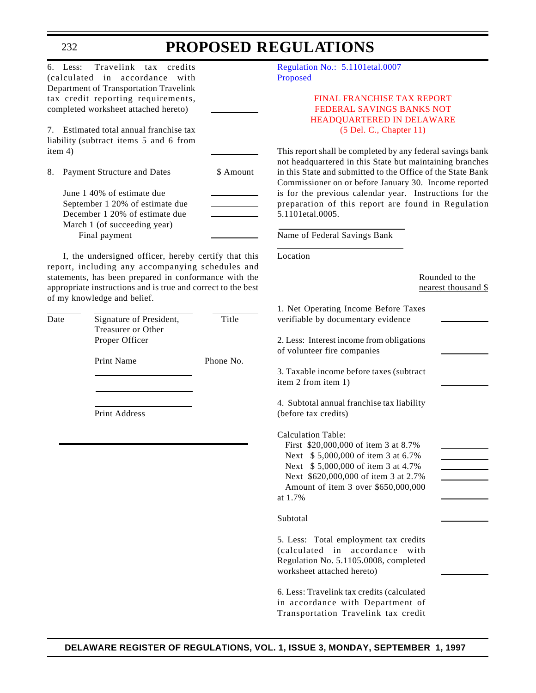| 6. Less:      | Travelink tax credits<br>(calculated in accordance<br>with<br>Department of Transportation Travelink<br>tax credit reporting requirements,<br>completed worksheet attached hereto)                                                      |                    | Regulation No.: 5.1101etal.0007<br>Proposed<br><b>FINAL FRANCHISE TAX REPORT</b><br>FEDERAL SAVINGS BANKS NOT                                                                                                                                                                                                                                                                                                                   |
|---------------|-----------------------------------------------------------------------------------------------------------------------------------------------------------------------------------------------------------------------------------------|--------------------|---------------------------------------------------------------------------------------------------------------------------------------------------------------------------------------------------------------------------------------------------------------------------------------------------------------------------------------------------------------------------------------------------------------------------------|
|               | 7. Estimated total annual franchise tax<br>liability (subtract items 5 and 6 from                                                                                                                                                       |                    | HEADQUARTERED IN DELAWARE<br>(5 Del. C., Chapter 11)                                                                                                                                                                                                                                                                                                                                                                            |
| item 4)<br>8. | Payment Structure and Dates<br>June 1 40% of estimate due<br>September 1 20% of estimate due<br>December 1 20% of estimate due<br>March 1 (of succeeding year)<br>Final payment<br>I, the undersigned officer, hereby certify that this | \$ Amount          | This report shall be completed by any federal savings bank<br>not headquartered in this State but maintaining branches<br>in this State and submitted to the Office of the State Bank<br>Commissioner on or before January 30. Income reported<br>is for the previous calendar year. Instructions for the<br>preparation of this report are found in Regulation<br>5.1101etal.0005.<br>Name of Federal Savings Bank<br>Location |
|               | report, including any accompanying schedules and<br>statements, has been prepared in conformance with the<br>appropriate instructions and is true and correct to the best<br>of my knowledge and belief.                                |                    | Rounded to the<br>nearest thousand \$                                                                                                                                                                                                                                                                                                                                                                                           |
| Date          | Signature of President,<br>Treasurer or Other<br>Proper Officer<br>Print Name                                                                                                                                                           | Title<br>Phone No. | 1. Net Operating Income Before Taxes<br>verifiable by documentary evidence<br>2. Less: Interest income from obligations<br>of volunteer fire companies<br>3. Taxable income before taxes (subtract<br>item 2 from item 1)                                                                                                                                                                                                       |
|               | Print Address                                                                                                                                                                                                                           |                    | 4. Subtotal annual franchise tax liability<br>(before tax credits)<br><b>Calculation Table:</b><br>First \$20,000,000 of item 3 at 8.7%<br>Next \$5,000,000 of item 3 at 6.7%<br>Next \$5,000,000 of item 3 at 4.7%<br>Next \$620,000,000 of item 3 at 2.7%<br>Amount of item 3 over \$650,000,000<br>at 1.7%<br>Subtotal                                                                                                       |
|               |                                                                                                                                                                                                                                         |                    | 5. Less: Total employment tax credits<br>(calculated in accordance<br>with<br>Regulation No. 5.1105.0008, completed<br>worksheet attached hereto)<br>6. Less: Travelink tax credits (calculated<br>in accordance with Department of<br>Transportation Travelink tax credit                                                                                                                                                      |

<span id="page-26-0"></span>232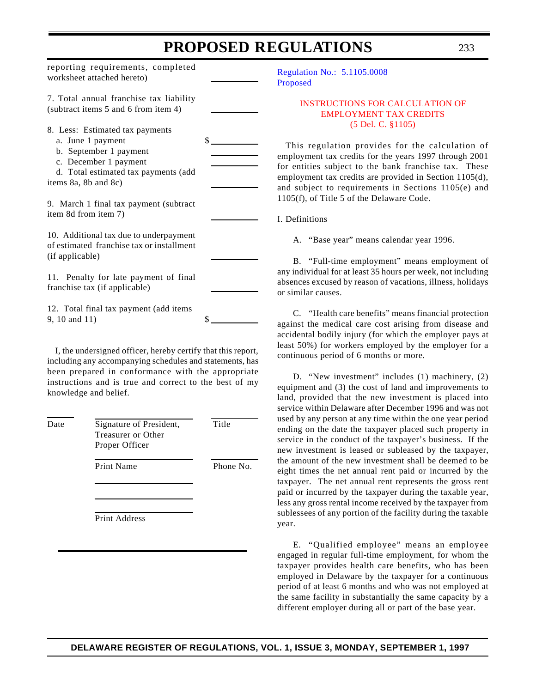<span id="page-27-0"></span>reporting requirements, completed worksheet attached hereto) 7. Total annual franchise tax liability (subtract items 5 and 6 from item 4) 8. Less: Estimated tax payments a. June 1 payment \$ b. September 1 payment c. December 1 payment d. Total estimated tax payments (add items 8a, 8b and 8c) 9. March 1 final tax payment (subtract item 8d from item 7) 10. Additional tax due to underpayment of estimated franchise tax or installment (if applicable) 11. Penalty for late payment of final franchise tax (if applicable) 12. Total final tax payment (add items 9, 10 and 11) \$ I, the undersigned officer, hereby certify that this report,

including any accompanying schedules and statements, has been prepared in conformance with the appropriate instructions and is true and correct to the best of my knowledge and belief.

| Date | Signature of President,<br>Treasurer or Other<br>Proper Officer | Title     |
|------|-----------------------------------------------------------------|-----------|
|      | <b>Print Name</b>                                               | Phone No. |
|      | Print Address                                                   |           |

[Regulation No.: 5.1105.0008](http://www.state.de.us/govern/agencies/bank/bank.htm) Proposed

#### [INSTRUCTIONS FOR CALCULATION OF](#page-3-0) EMPLOYMENT TAX CREDITS (5 Del. C. §1105)

This regulation provides for the calculation of employment tax credits for the years 1997 through 2001 for entities subject to the bank franchise tax. These employment tax credits are provided in Section 1105(d), and subject to requirements in Sections 1105(e) and 1105(f), of Title 5 of the Delaware Code.

I. Definitions

A. "Base year" means calendar year 1996.

B. "Full-time employment" means employment of any individual for at least 35 hours per week, not including absences excused by reason of vacations, illness, holidays or similar causes.

C. "Health care benefits" means financial protection against the medical care cost arising from disease and accidental bodily injury (for which the employer pays at least 50%) for workers employed by the employer for a continuous period of 6 months or more.

D. "New investment" includes (1) machinery, (2) equipment and (3) the cost of land and improvements to land, provided that the new investment is placed into service within Delaware after December 1996 and was not used by any person at any time within the one year period ending on the date the taxpayer placed such property in service in the conduct of the taxpayer's business. If the new investment is leased or subleased by the taxpayer, the amount of the new investment shall be deemed to be eight times the net annual rent paid or incurred by the taxpayer. The net annual rent represents the gross rent paid or incurred by the taxpayer during the taxable year, less any gross rental income received by the taxpayer from sublessees of any portion of the facility during the taxable year.

E. "Qualified employee" means an employee engaged in regular full-time employment, for whom the taxpayer provides health care benefits, who has been employed in Delaware by the taxpayer for a continuous period of at least 6 months and who was not employed at the same facility in substantially the same capacity by a different employer during all or part of the base year.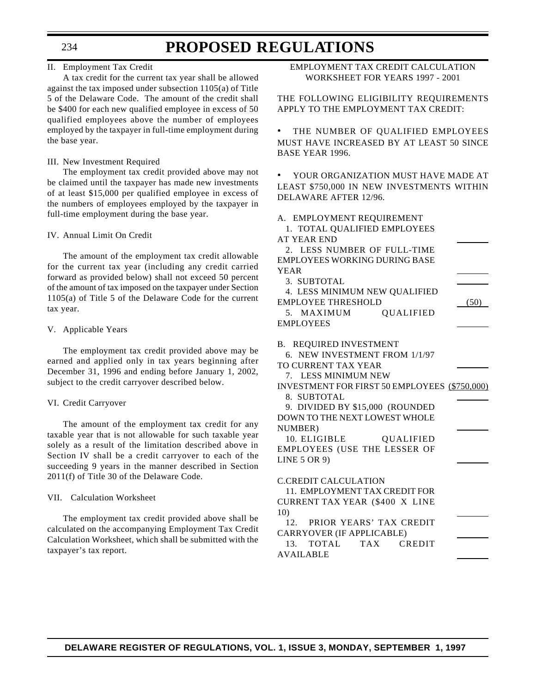234

### **PROPOSED REGULATIONS**

#### II. Employment Tax Credit

A tax credit for the current tax year shall be allowed against the tax imposed under subsection 1105(a) of Title 5 of the Delaware Code. The amount of the credit shall be \$400 for each new qualified employee in excess of 50 qualified employees above the number of employees employed by the taxpayer in full-time employment during the base year.

#### III. New Investment Required

The employment tax credit provided above may not be claimed until the taxpayer has made new investments of at least \$15,000 per qualified employee in excess of the numbers of employees employed by the taxpayer in full-time employment during the base year.

#### IV. Annual Limit On Credit

The amount of the employment tax credit allowable for the current tax year (including any credit carried forward as provided below) shall not exceed 50 percent of the amount of tax imposed on the taxpayer under Section 1105(a) of Title 5 of the Delaware Code for the current tax year.

#### V. Applicable Years

The employment tax credit provided above may be earned and applied only in tax years beginning after December 31, 1996 and ending before January 1, 2002, subject to the credit carryover described below.

#### VI. Credit Carryover

The amount of the employment tax credit for any taxable year that is not allowable for such taxable year solely as a result of the limitation described above in Section IV shall be a credit carryover to each of the succeeding 9 years in the manner described in Section 2011(f) of Title 30 of the Delaware Code.

#### VII. Calculation Worksheet

The employment tax credit provided above shall be calculated on the accompanying Employment Tax Credit Calculation Worksheet, which shall be submitted with the taxpayer's tax report.

EMPLOYMENT TAX CREDIT CALCULATION WORKSHEET FOR YEARS 1997 - 2001

THE FOLLOWING ELIGIBILITY REQUIREMENTS APPLY TO THE EMPLOYMENT TAX CREDIT:

THE NUMBER OF QUALIFIED EMPLOYEES MUST HAVE INCREASED BY AT LEAST 50 SINCE BASE YEAR 1996.

• YOUR ORGANIZATION MUST HAVE MADE AT LEAST \$750,000 IN NEW INVESTMENTS WITHIN DELAWARE AFTER 12/96.

#### A. EMPLOYMENT REQUIREMENT

1. TOTAL QUALIFIED EMPLOYEES AT YEAR END

2. LESS NUMBER OF FULL-TIME EMPLOYEES WORKING DURING BASE YEAR

3. SUBTOTAL

| 4. LESS MINIMUM NEW QUALIFIED |                         |      |
|-------------------------------|-------------------------|------|
| EMPLOYEE THRESHOLD            |                         | (50) |
| 5. MAXIMUM                    | <i><b>QUALIFIED</b></i> |      |
| EMPLOYEES                     |                         |      |

B. REQUIRED INVESTMENT

6. NEW INVESTMENT FROM 1/1/97

TO CURRENT TAX YEAR

7. LESS MINIMUM NEW

INVESTMENT FOR FIRST 50 EMPLOYEES (\$750,000) 8. SUBTOTAL

9. DIVIDED BY \$15,000 (ROUNDED DOWN TO THE NEXT LOWEST WHOLE NUMBER)

10. ELIGIBLE QUALIFIED EMPLOYEES (USE THE LESSER OF LINE 5 OR 9)

C.CREDIT CALCULATION

- 11. EMPLOYMENT TAX CREDIT FOR CURRENT TAX YEAR (\$400 X LINE 10)
- 12. PRIOR YEARS' TAX CREDIT CARRYOVER (IF APPLICABLE)

13. TOTAL TAX CREDIT AVAILABLE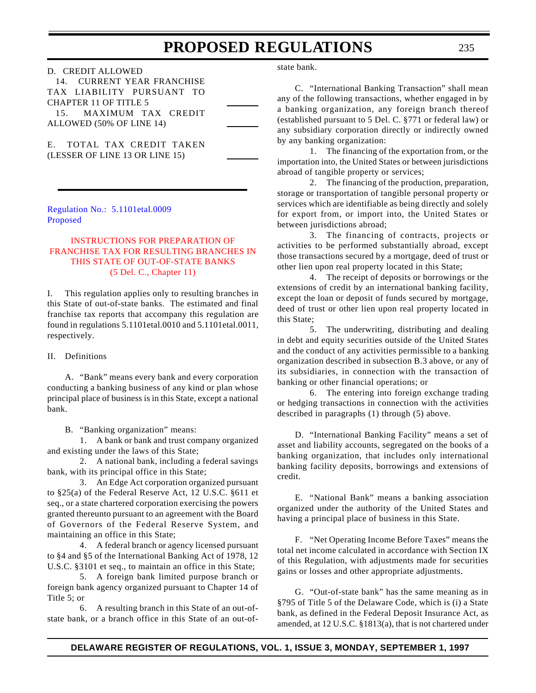<span id="page-29-0"></span>

| D. CREDIT ALLOWED            |  |
|------------------------------|--|
| 14. CURRENT YEAR FRANCHISE   |  |
| TAX LIABILITY PURSUANT TO    |  |
| <b>CHAPTER 11 OF TITLE 5</b> |  |
| 15. MAXIMUM TAX CREDIT       |  |
| ALLOWED (50% OF LINE 14)     |  |
|                              |  |

E. TOTAL TAX CREDIT TAKEN (LESSER OF LINE 13 OR LINE 15)

[Regulation No.: 5.1101etal.0009](http://www.state.de.us/govern/agencies/bank/bank.htm) Proposed

#### INSTRUCTIONS FOR PREPARATION OF [FRANCHISE TAX FOR RESULTING BRANCHES IN](#page-3-0) THIS STATE OF OUT-OF-STATE BANKS (5 Del. C., Chapter 11)

I. This regulation applies only to resulting branches in this State of out-of-state banks. The estimated and final franchise tax reports that accompany this regulation are found in regulations 5.1101etal.0010 and 5.1101etal.0011, respectively.

#### II. Definitions

A. "Bank" means every bank and every corporation conducting a banking business of any kind or plan whose principal place of business is in this State, except a national bank.

B. "Banking organization" means:

1. A bank or bank and trust company organized and existing under the laws of this State;

2. A national bank, including a federal savings bank, with its principal office in this State;

3. An Edge Act corporation organized pursuant to §25(a) of the Federal Reserve Act, 12 U.S.C. §611 et seq., or a state chartered corporation exercising the powers granted thereunto pursuant to an agreement with the Board of Governors of the Federal Reserve System, and maintaining an office in this State;

4. A federal branch or agency licensed pursuant to §4 and §5 of the International Banking Act of 1978, 12 U.S.C. §3101 et seq., to maintain an office in this State;

5. A foreign bank limited purpose branch or foreign bank agency organized pursuant to Chapter 14 of Title 5; or

6. A resulting branch in this State of an out-ofstate bank, or a branch office in this State of an out-ofstate bank.

C. "International Banking Transaction" shall mean any of the following transactions, whether engaged in by a banking organization, any foreign branch thereof (established pursuant to 5 Del. C. §771 or federal law) or any subsidiary corporation directly or indirectly owned by any banking organization:

1. The financing of the exportation from, or the importation into, the United States or between jurisdictions abroad of tangible property or services;

2. The financing of the production, preparation, storage or transportation of tangible personal property or services which are identifiable as being directly and solely for export from, or import into, the United States or between jurisdictions abroad;

3. The financing of contracts, projects or activities to be performed substantially abroad, except those transactions secured by a mortgage, deed of trust or other lien upon real property located in this State;

4. The receipt of deposits or borrowings or the extensions of credit by an international banking facility, except the loan or deposit of funds secured by mortgage, deed of trust or other lien upon real property located in this State;

5. The underwriting, distributing and dealing in debt and equity securities outside of the United States and the conduct of any activities permissible to a banking organization described in subsection B.3 above, or any of its subsidiaries, in connection with the transaction of banking or other financial operations; or

6. The entering into foreign exchange trading or hedging transactions in connection with the activities described in paragraphs (1) through (5) above.

D. "International Banking Facility" means a set of asset and liability accounts, segregated on the books of a banking organization, that includes only international banking facility deposits, borrowings and extensions of credit.

E. "National Bank" means a banking association organized under the authority of the United States and having a principal place of business in this State.

F. "Net Operating Income Before Taxes" means the total net income calculated in accordance with Section IX of this Regulation, with adjustments made for securities gains or losses and other appropriate adjustments.

G. "Out-of-state bank" has the same meaning as in §795 of Title 5 of the Delaware Code, which is (i) a State bank, as defined in the Federal Deposit Insurance Act, as amended, at 12 U.S.C. §1813(a), that is not chartered under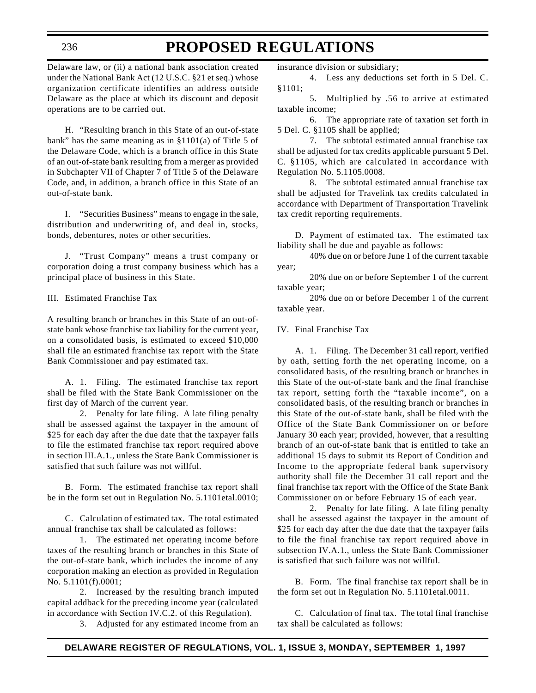#### 236

### **PROPOSED REGULATIONS**

Delaware law, or (ii) a national bank association created under the National Bank Act (12 U.S.C. §21 et seq.) whose organization certificate identifies an address outside Delaware as the place at which its discount and deposit operations are to be carried out.

H. "Resulting branch in this State of an out-of-state bank" has the same meaning as in  $§1101(a)$  of Title 5 of the Delaware Code, which is a branch office in this State of an out-of-state bank resulting from a merger as provided in Subchapter VII of Chapter 7 of Title 5 of the Delaware Code, and, in addition, a branch office in this State of an out-of-state bank.

I. "Securities Business" means to engage in the sale, distribution and underwriting of, and deal in, stocks, bonds, debentures, notes or other securities.

J. "Trust Company" means a trust company or corporation doing a trust company business which has a principal place of business in this State.

III. Estimated Franchise Tax

A resulting branch or branches in this State of an out-ofstate bank whose franchise tax liability for the current year, on a consolidated basis, is estimated to exceed \$10,000 shall file an estimated franchise tax report with the State Bank Commissioner and pay estimated tax.

A. 1. Filing. The estimated franchise tax report shall be filed with the State Bank Commissioner on the first day of March of the current year.

2. Penalty for late filing. A late filing penalty shall be assessed against the taxpayer in the amount of \$25 for each day after the due date that the taxpayer fails to file the estimated franchise tax report required above in section III.A.1., unless the State Bank Commissioner is satisfied that such failure was not willful.

B. Form. The estimated franchise tax report shall be in the form set out in Regulation No. 5.1101etal.0010;

C. Calculation of estimated tax. The total estimated annual franchise tax shall be calculated as follows:

1. The estimated net operating income before taxes of the resulting branch or branches in this State of the out-of-state bank, which includes the income of any corporation making an election as provided in Regulation No. 5.1101(f).0001;

2. Increased by the resulting branch imputed capital addback for the preceding income year (calculated in accordance with Section IV.C.2. of this Regulation).

3. Adjusted for any estimated income from an

insurance division or subsidiary;

4. Less any deductions set forth in 5 Del. C. §1101;

5. Multiplied by .56 to arrive at estimated taxable income;

6. The appropriate rate of taxation set forth in 5 Del. C. §1105 shall be applied;

7. The subtotal estimated annual franchise tax shall be adjusted for tax credits applicable pursuant 5 Del. C. §1105, which are calculated in accordance with Regulation No. 5.1105.0008.

8. The subtotal estimated annual franchise tax shall be adjusted for Travelink tax credits calculated in accordance with Department of Transportation Travelink tax credit reporting requirements.

D. Payment of estimated tax. The estimated tax liability shall be due and payable as follows:

40% due on or before June 1 of the current taxable year;

20% due on or before September 1 of the current taxable year;

20% due on or before December 1 of the current taxable year.

IV. Final Franchise Tax

A. 1. Filing. The December 31 call report, verified by oath, setting forth the net operating income, on a consolidated basis, of the resulting branch or branches in this State of the out-of-state bank and the final franchise tax report, setting forth the "taxable income", on a consolidated basis, of the resulting branch or branches in this State of the out-of-state bank, shall be filed with the Office of the State Bank Commissioner on or before January 30 each year; provided, however, that a resulting branch of an out-of-state bank that is entitled to take an additional 15 days to submit its Report of Condition and Income to the appropriate federal bank supervisory authority shall file the December 31 call report and the final franchise tax report with the Office of the State Bank Commissioner on or before February 15 of each year.

2. Penalty for late filing. A late filing penalty shall be assessed against the taxpayer in the amount of \$25 for each day after the due date that the taxpayer fails to file the final franchise tax report required above in subsection IV.A.1., unless the State Bank Commissioner is satisfied that such failure was not willful.

B. Form. The final franchise tax report shall be in the form set out in Regulation No. 5.1101etal.0011.

C. Calculation of final tax. The total final franchise tax shall be calculated as follows: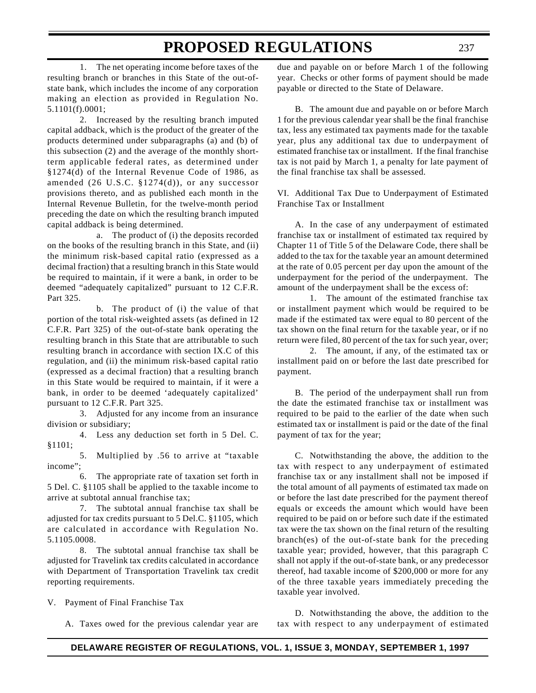1. The net operating income before taxes of the resulting branch or branches in this State of the out-ofstate bank, which includes the income of any corporation making an election as provided in Regulation No. 5.1101(f).0001;

2. Increased by the resulting branch imputed capital addback, which is the product of the greater of the products determined under subparagraphs (a) and (b) of this subsection (2) and the average of the monthly shortterm applicable federal rates, as determined under §1274(d) of the Internal Revenue Code of 1986, as amended (26 U.S.C. §1274(d)), or any successor provisions thereto, and as published each month in the Internal Revenue Bulletin, for the twelve-month period preceding the date on which the resulting branch imputed capital addback is being determined.

a. The product of (i) the deposits recorded on the books of the resulting branch in this State, and (ii) the minimum risk-based capital ratio (expressed as a decimal fraction) that a resulting branch in this State would be required to maintain, if it were a bank, in order to be deemed "adequately capitalized" pursuant to 12 C.F.R. Part 325.

b. The product of (i) the value of that portion of the total risk-weighted assets (as defined in 12 C.F.R. Part 325) of the out-of-state bank operating the resulting branch in this State that are attributable to such resulting branch in accordance with section IX.C of this regulation, and (ii) the minimum risk-based capital ratio (expressed as a decimal fraction) that a resulting branch in this State would be required to maintain, if it were a bank, in order to be deemed 'adequately capitalized' pursuant to 12 C.F.R. Part 325.

3. Adjusted for any income from an insurance division or subsidiary;

4. Less any deduction set forth in 5 Del. C. §1101;

5. Multiplied by .56 to arrive at "taxable income";

6. The appropriate rate of taxation set forth in 5 Del. C. §1105 shall be applied to the taxable income to arrive at subtotal annual franchise tax;

7. The subtotal annual franchise tax shall be adjusted for tax credits pursuant to 5 Del.C. §1105, which are calculated in accordance with Regulation No. 5.1105.0008.

8. The subtotal annual franchise tax shall be adjusted for Travelink tax credits calculated in accordance with Department of Transportation Travelink tax credit reporting requirements.

V. Payment of Final Franchise Tax

A. Taxes owed for the previous calendar year are

due and payable on or before March 1 of the following year. Checks or other forms of payment should be made payable or directed to the State of Delaware.

B. The amount due and payable on or before March 1 for the previous calendar year shall be the final franchise tax, less any estimated tax payments made for the taxable year, plus any additional tax due to underpayment of estimated franchise tax or installment. If the final franchise tax is not paid by March 1, a penalty for late payment of the final franchise tax shall be assessed.

VI. Additional Tax Due to Underpayment of Estimated Franchise Tax or Installment

A. In the case of any underpayment of estimated franchise tax or installment of estimated tax required by Chapter 11 of Title 5 of the Delaware Code, there shall be added to the tax for the taxable year an amount determined at the rate of 0.05 percent per day upon the amount of the underpayment for the period of the underpayment. The amount of the underpayment shall be the excess of:

1. The amount of the estimated franchise tax or installment payment which would be required to be made if the estimated tax were equal to 80 percent of the tax shown on the final return for the taxable year, or if no return were filed, 80 percent of the tax for such year, over;

2. The amount, if any, of the estimated tax or installment paid on or before the last date prescribed for payment.

B. The period of the underpayment shall run from the date the estimated franchise tax or installment was required to be paid to the earlier of the date when such estimated tax or installment is paid or the date of the final payment of tax for the year;

C. Notwithstanding the above, the addition to the tax with respect to any underpayment of estimated franchise tax or any installment shall not be imposed if the total amount of all payments of estimated tax made on or before the last date prescribed for the payment thereof equals or exceeds the amount which would have been required to be paid on or before such date if the estimated tax were the tax shown on the final return of the resulting branch(es) of the out-of-state bank for the preceding taxable year; provided, however, that this paragraph C shall not apply if the out-of-state bank, or any predecessor thereof, had taxable income of \$200,000 or more for any of the three taxable years immediately preceding the taxable year involved.

D. Notwithstanding the above, the addition to the tax with respect to any underpayment of estimated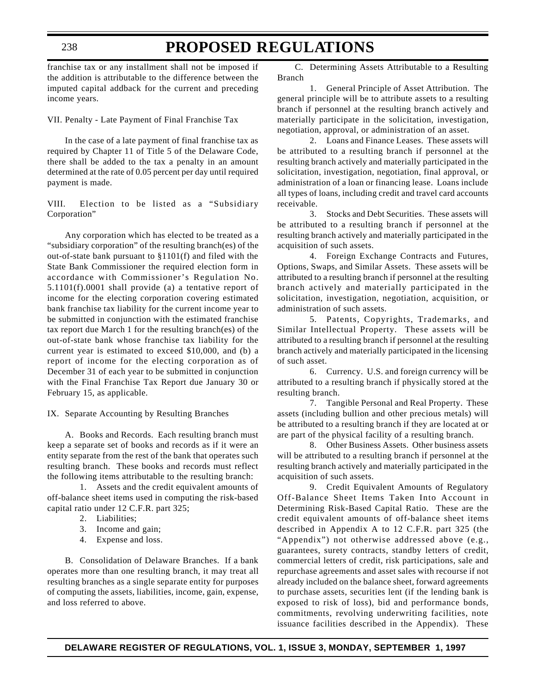franchise tax or any installment shall not be imposed if the addition is attributable to the difference between the imputed capital addback for the current and preceding income years.

VII. Penalty - Late Payment of Final Franchise Tax

In the case of a late payment of final franchise tax as required by Chapter 11 of Title 5 of the Delaware Code, there shall be added to the tax a penalty in an amount determined at the rate of 0.05 percent per day until required payment is made.

VIII. Election to be listed as a "Subsidiary Corporation"

Any corporation which has elected to be treated as a "subsidiary corporation" of the resulting branch(es) of the out-of-state bank pursuant to §1101(f) and filed with the State Bank Commissioner the required election form in accordance with Commissioner's Regulation No. 5.1101(f).0001 shall provide (a) a tentative report of income for the electing corporation covering estimated bank franchise tax liability for the current income year to be submitted in conjunction with the estimated franchise tax report due March 1 for the resulting branch(es) of the out-of-state bank whose franchise tax liability for the current year is estimated to exceed \$10,000, and (b) a report of income for the electing corporation as of December 31 of each year to be submitted in conjunction with the Final Franchise Tax Report due January 30 or February 15, as applicable.

IX. Separate Accounting by Resulting Branches

A. Books and Records. Each resulting branch must keep a separate set of books and records as if it were an entity separate from the rest of the bank that operates such resulting branch. These books and records must reflect the following items attributable to the resulting branch:

1. Assets and the credit equivalent amounts of off-balance sheet items used in computing the risk-based capital ratio under 12 C.F.R. part 325;

- 2. Liabilities;
- 3. Income and gain;
- 4. Expense and loss.

B. Consolidation of Delaware Branches. If a bank operates more than one resulting branch, it may treat all resulting branches as a single separate entity for purposes of computing the assets, liabilities, income, gain, expense, and loss referred to above.

C. Determining Assets Attributable to a Resulting Branch

1. General Principle of Asset Attribution. The general principle will be to attribute assets to a resulting branch if personnel at the resulting branch actively and materially participate in the solicitation, investigation, negotiation, approval, or administration of an asset.

2. Loans and Finance Leases. These assets will be attributed to a resulting branch if personnel at the resulting branch actively and materially participated in the solicitation, investigation, negotiation, final approval, or administration of a loan or financing lease. Loans include all types of loans, including credit and travel card accounts receivable.

3. Stocks and Debt Securities. These assets will be attributed to a resulting branch if personnel at the resulting branch actively and materially participated in the acquisition of such assets.

4. Foreign Exchange Contracts and Futures, Options, Swaps, and Similar Assets. These assets will be attributed to a resulting branch if personnel at the resulting branch actively and materially participated in the solicitation, investigation, negotiation, acquisition, or administration of such assets.

5. Patents, Copyrights, Trademarks, and Similar Intellectual Property. These assets will be attributed to a resulting branch if personnel at the resulting branch actively and materially participated in the licensing of such asset.

6. Currency. U.S. and foreign currency will be attributed to a resulting branch if physically stored at the resulting branch.

7. Tangible Personal and Real Property. These assets (including bullion and other precious metals) will be attributed to a resulting branch if they are located at or are part of the physical facility of a resulting branch.

8. Other Business Assets. Other business assets will be attributed to a resulting branch if personnel at the resulting branch actively and materially participated in the acquisition of such assets.

9. Credit Equivalent Amounts of Regulatory Off-Balance Sheet Items Taken Into Account in Determining Risk-Based Capital Ratio. These are the credit equivalent amounts of off-balance sheet items described in Appendix A to 12 C.F.R. part 325 (the "Appendix") not otherwise addressed above (e.g., guarantees, surety contracts, standby letters of credit, commercial letters of credit, risk participations, sale and repurchase agreements and asset sales with recourse if not already included on the balance sheet, forward agreements to purchase assets, securities lent (if the lending bank is exposed to risk of loss), bid and performance bonds, commitments, revolving underwriting facilities, note issuance facilities described in the Appendix). These

238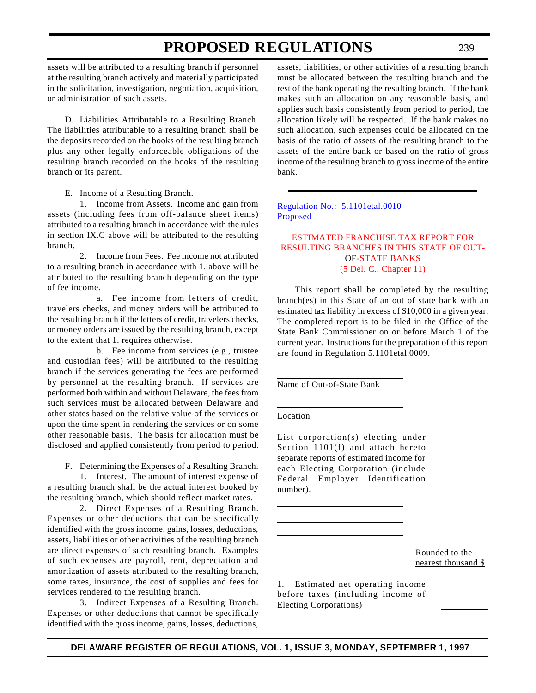<span id="page-33-0"></span>assets will be attributed to a resulting branch if personnel at the resulting branch actively and materially participated in the solicitation, investigation, negotiation, acquisition, or administration of such assets.

D. Liabilities Attributable to a Resulting Branch. The liabilities attributable to a resulting branch shall be the deposits recorded on the books of the resulting branch plus any other legally enforceable obligations of the resulting branch recorded on the books of the resulting branch or its parent.

E. Income of a Resulting Branch.

1. Income from Assets. Income and gain from assets (including fees from off-balance sheet items) attributed to a resulting branch in accordance with the rules in section IX.C above will be attributed to the resulting branch.

2. Income from Fees. Fee income not attributed to a resulting branch in accordance with 1. above will be attributed to the resulting branch depending on the type of fee income.

a. Fee income from letters of credit, travelers checks, and money orders will be attributed to the resulting branch if the letters of credit, travelers checks, or money orders are issued by the resulting branch, except to the extent that 1. requires otherwise.

b. Fee income from services (e.g., trustee and custodian fees) will be attributed to the resulting branch if the services generating the fees are performed by personnel at the resulting branch. If services are performed both within and without Delaware, the fees from such services must be allocated between Delaware and other states based on the relative value of the services or upon the time spent in rendering the services or on some other reasonable basis. The basis for allocation must be disclosed and applied consistently from period to period.

F. Determining the Expenses of a Resulting Branch.

1. Interest. The amount of interest expense of a resulting branch shall be the actual interest booked by the resulting branch, which should reflect market rates.

2. Direct Expenses of a Resulting Branch. Expenses or other deductions that can be specifically identified with the gross income, gains, losses, deductions, assets, liabilities or other activities of the resulting branch are direct expenses of such resulting branch. Examples of such expenses are payroll, rent, depreciation and amortization of assets attributed to the resulting branch, some taxes, insurance, the cost of supplies and fees for services rendered to the resulting branch.

3. Indirect Expenses of a Resulting Branch. Expenses or other deductions that cannot be specifically identified with the gross income, gains, losses, deductions,

assets, liabilities, or other activities of a resulting branch must be allocated between the resulting branch and the rest of the bank operating the resulting branch. If the bank makes such an allocation on any reasonable basis, and applies such basis consistently from period to period, the allocation likely will be respected. If the bank makes no such allocation, such expenses could be allocated on the basis of the ratio of assets of the resulting branch to the assets of the entire bank or based on the ratio of gross income of the resulting branch to gross income of the entire bank.

[Regulation No.: 5.1101etal.0010](http://www.state.de.us/govern/agencies/bank/bank.htm) Proposed

#### ESTIMATED FRANCHISE TAX REPORT FOR [RESULTING BRANCHES IN THIS STATE OF OUT-](#page-3-0)OF-STATE BANKS (5 Del. C., Chapter 11)

This report shall be completed by the resulting branch(es) in this State of an out of state bank with an estimated tax liability in excess of \$10,000 in a given year. The completed report is to be filed in the Office of the State Bank Commissioner on or before March 1 of the current year. Instructions for the preparation of this report are found in Regulation 5.1101etal.0009.

Name of Out-of-State Bank

Location

List corporation(s) electing under Section 1101(f) and attach hereto separate reports of estimated income for each Electing Corporation (include Federal Employer Identification number).

> Rounded to the nearest thousand \$

1. Estimated net operating income before taxes (including income of Electing Corporations)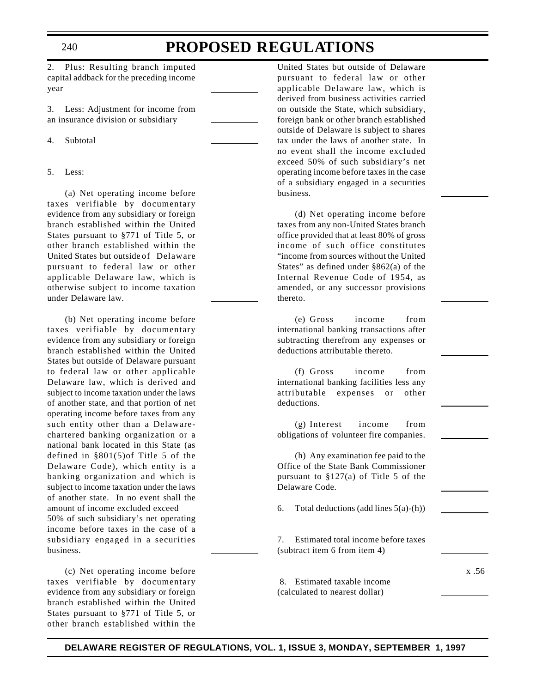#### 240

### **PROPOSED REGULATIONS**

2. Plus: Resulting branch imputed capital addback for the preceding income year

3. Less: Adjustment for income from an insurance division or subsidiary

4. Subtotal

5. Less:

(a) Net operating income before taxes verifiable by documentary evidence from any subsidiary or foreign branch established within the United States pursuant to §771 of Title 5, or other branch established within the United States but outside of Delaware pursuant to federal law or other applicable Delaware law, which is otherwise subject to income taxation under Delaware law.

(b) Net operating income before taxes verifiable by documentary evidence from any subsidiary or foreign branch established within the United States but outside of Delaware pursuant to federal law or other applicable Delaware law, which is derived and subject to income taxation under the laws of another state, and that portion of net operating income before taxes from any such entity other than a Delawarechartered banking organization or a national bank located in this State (as defined in §801(5)of Title 5 of the Delaware Code), which entity is a banking organization and which is subject to income taxation under the laws of another state. In no event shall the amount of income excluded exceed 50% of such subsidiary's net operating income before taxes in the case of a subsidiary engaged in a securities business.

(c) Net operating income before taxes verifiable by documentary evidence from any subsidiary or foreign branch established within the United States pursuant to §771 of Title 5, or other branch established within the

United States but outside of Delaware pursuant to federal law or other applicable Delaware law, which is derived from business activities carried on outside the State, which subsidiary, foreign bank or other branch established outside of Delaware is subject to shares tax under the laws of another state. In no event shall the income excluded exceed 50% of such subsidiary's net operating income before taxes in the case of a subsidiary engaged in a securities business.

(d) Net operating income before taxes from any non-United States branch office provided that at least 80% of gross income of such office constitutes "income from sources without the United States" as defined under §862(a) of the Internal Revenue Code of 1954, as amended, or any successor provisions thereto.

(e) Gross income from international banking transactions after subtracting therefrom any expenses or deductions attributable thereto.

(f) Gross income from international banking facilities less any attributable expenses or other deductions.

(g) Interest income from obligations of volunteer fire companies.

(h) Any examination fee paid to the Office of the State Bank Commissioner pursuant to §127(a) of Title 5 of the Delaware Code.

6. Total deductions (add lines  $5(a)-(h)$ )

7. Estimated total income before taxes (subtract item 6 from item 4)

x .56

 8. Estimated taxable income (calculated to nearest dollar)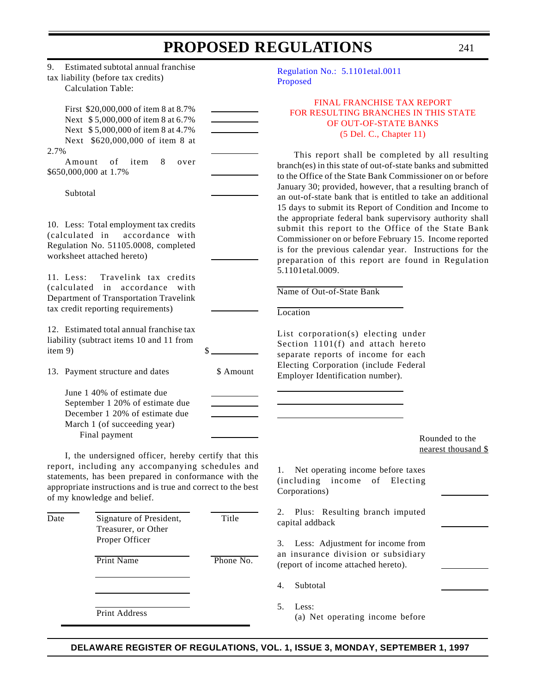<span id="page-35-0"></span>

|                                                                                                                                                                                                                                                                                                                                                                                                                                                                                        |                    | PROPOSED REGULATIONS                                                                                                                                                                                                                                                                                                                                                                                                                                                                                                                                                                                                                                                                                                                                                                                     | 241                                   |
|----------------------------------------------------------------------------------------------------------------------------------------------------------------------------------------------------------------------------------------------------------------------------------------------------------------------------------------------------------------------------------------------------------------------------------------------------------------------------------------|--------------------|----------------------------------------------------------------------------------------------------------------------------------------------------------------------------------------------------------------------------------------------------------------------------------------------------------------------------------------------------------------------------------------------------------------------------------------------------------------------------------------------------------------------------------------------------------------------------------------------------------------------------------------------------------------------------------------------------------------------------------------------------------------------------------------------------------|---------------------------------------|
| 9.<br>Estimated subtotal annual franchise<br>tax liability (before tax credits)<br><b>Calculation Table:</b>                                                                                                                                                                                                                                                                                                                                                                           |                    | Regulation No.: 5.1101etal.0011<br>Proposed                                                                                                                                                                                                                                                                                                                                                                                                                                                                                                                                                                                                                                                                                                                                                              |                                       |
| First \$20,000,000 of item 8 at 8.7%<br>Next \$5,000,000 of item 8 at 6.7%<br>Next \$5,000,000 of item 8 at 4.7%<br>Next \$620,000,000 of item 8 at                                                                                                                                                                                                                                                                                                                                    |                    | FINAL FRANCHISE TAX REPORT<br>FOR RESULTING BRANCHES IN THIS STATE<br>OF OUT-OF-STATE BANKS<br>(5 Del. C., Chapter 11)                                                                                                                                                                                                                                                                                                                                                                                                                                                                                                                                                                                                                                                                                   |                                       |
| 2.7%<br>of<br>item<br>Amount<br>8<br>over<br>\$650,000,000 at 1.7%<br>Subtotal<br>10. Less: Total employment tax credits<br>accordance with<br>(calculated in<br>Regulation No. 51105.0008, completed<br>worksheet attached hereto)<br>11. Less:<br>Travelink tax credits<br>(calculated<br>in accordance with<br>Department of Transportation Travelink<br>tax credit reporting requirements)<br>12. Estimated total annual franchise tax<br>liability (subtract items 10 and 11 from |                    | This report shall be completed by all resulting<br>branch(es) in this state of out-of-state banks and submitted<br>to the Office of the State Bank Commissioner on or before<br>January 30; provided, however, that a resulting branch of<br>an out-of-state bank that is entitled to take an additional<br>15 days to submit its Report of Condition and Income to<br>the appropriate federal bank supervisory authority shall<br>submit this report to the Office of the State Bank<br>Commissioner on or before February 15. Income reported<br>is for the previous calendar year. Instructions for the<br>preparation of this report are found in Regulation<br>5.1101etal.0009.<br>Name of Out-of-State Bank<br>Location<br>List corporation(s) electing under<br>Section 1101(f) and attach hereto |                                       |
| item 9)<br>13. Payment structure and dates<br>June 1 40% of estimate due<br>September 1 20% of estimate due<br>December 1 20% of estimate due                                                                                                                                                                                                                                                                                                                                          | \$<br>\$ Amount    | separate reports of income for each<br>Electing Corporation (include Federal<br>Employer Identification number).                                                                                                                                                                                                                                                                                                                                                                                                                                                                                                                                                                                                                                                                                         |                                       |
| March 1 (of succeeding year)<br>Final payment<br>I, the undersigned officer, hereby certify that this<br>report, including any accompanying schedules and<br>statements, has been prepared in conformance with the<br>appropriate instructions and is true and correct to the best<br>of my knowledge and belief.                                                                                                                                                                      |                    | Net operating income before taxes<br>1.<br>(including)<br>income<br>of Electing<br>Corporations)                                                                                                                                                                                                                                                                                                                                                                                                                                                                                                                                                                                                                                                                                                         | Rounded to the<br>nearest thousand \$ |
| Signature of President,<br>Date<br>Treasurer, or Other<br>Proper Officer<br><b>Print Name</b>                                                                                                                                                                                                                                                                                                                                                                                          | Title<br>Phone No. | Plus: Resulting branch imputed<br>2.<br>capital addback<br>Less: Adjustment for income from<br>3.<br>an insurance division or subsidiary<br>(report of income attached hereto).                                                                                                                                                                                                                                                                                                                                                                                                                                                                                                                                                                                                                          |                                       |
|                                                                                                                                                                                                                                                                                                                                                                                                                                                                                        |                    | Subtotal<br>4.                                                                                                                                                                                                                                                                                                                                                                                                                                                                                                                                                                                                                                                                                                                                                                                           |                                       |
| Print Address                                                                                                                                                                                                                                                                                                                                                                                                                                                                          |                    | Less:<br>5.<br>(a) Net operating income before                                                                                                                                                                                                                                                                                                                                                                                                                                                                                                                                                                                                                                                                                                                                                           |                                       |

**DELAWARE REGISTER OF REGULATIONS, VOL. 1, ISSUE 3, MONDAY, SEPTEMBER 1, 1997**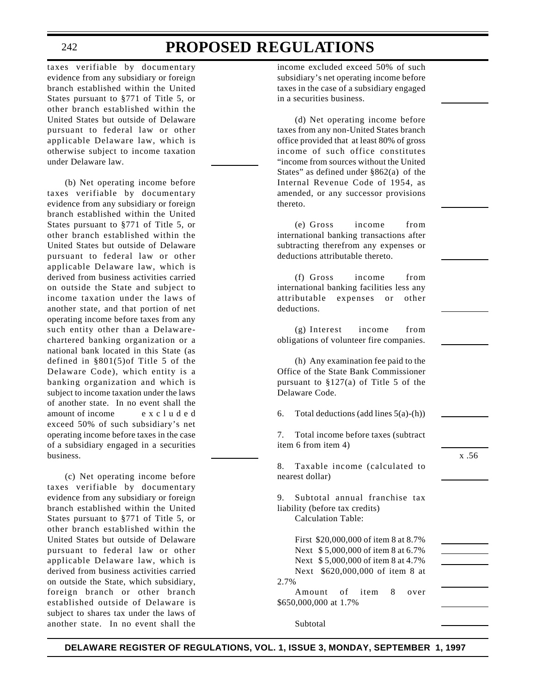taxes verifiable by documentary evidence from any subsidiary or foreign branch established within the United States pursuant to §771 of Title 5, or other branch established within the United States but outside of Delaware pursuant to federal law or other applicable Delaware law, which is otherwise subject to income taxation under Delaware law.

(b) Net operating income before taxes verifiable by documentary evidence from any subsidiary or foreign branch established within the United States pursuant to §771 of Title 5, or other branch established within the United States but outside of Delaware pursuant to federal law or other applicable Delaware law, which is derived from business activities carried on outside the State and subject to income taxation under the laws of another state, and that portion of net operating income before taxes from any such entity other than a Delawarechartered banking organization or a national bank located in this State (as defined in §801(5)of Title 5 of the Delaware Code), which entity is a banking organization and which is subject to income taxation under the laws of another state. In no event shall the amount of income excluded exceed 50% of such subsidiary's net operating income before taxes in the case of a subsidiary engaged in a securities business.

(c) Net operating income before taxes verifiable by documentary evidence from any subsidiary or foreign branch established within the United States pursuant to §771 of Title 5, or other branch established within the United States but outside of Delaware pursuant to federal law or other applicable Delaware law, which is derived from business activities carried on outside the State, which subsidiary, foreign branch or other branch established outside of Delaware is subject to shares tax under the laws of another state. In no event shall the

income excluded exceed 50% of such subsidiary's net operating income before taxes in the case of a subsidiary engaged in a securities business.

(d) Net operating income before taxes from any non-United States branch office provided that at least 80% of gross income of such office constitutes "income from sources without the United States" as defined under §862(a) of the Internal Revenue Code of 1954, as amended, or any successor provisions thereto.

(e) Gross income from international banking transactions after subtracting therefrom any expenses or deductions attributable thereto.

(f) Gross income from international banking facilities less any attributable expenses or other deductions.

(g) Interest income from obligations of volunteer fire companies.

(h) Any examination fee paid to the Office of the State Bank Commissioner pursuant to §127(a) of Title 5 of the Delaware Code.

6. Total deductions (add lines  $5(a)-(h)$ )

7. Total income before taxes (subtract item 6 from item 4)

8. Taxable income (calculated to nearest dollar)

x .56

9. Subtotal annual franchise tax liability (before tax credits) Calculation Table:

First \$20,000,000 of item 8 at 8.7% Next \$ 5,000,000 of item 8 at 6.7% Next \$ 5,000,000 of item 8 at 4.7% Next \$620,000,000 of item 8 at 2.7%

Amount of item 8 over \$650,000,000 at 1.7%

Subtotal

**DELAWARE REGISTER OF REGULATIONS, VOL. 1, ISSUE 3, MONDAY, SEPTEMBER 1, 1997**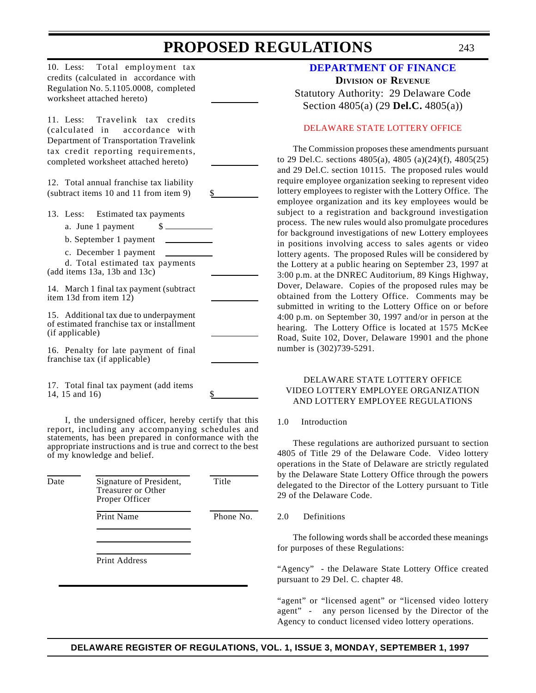10. Less: Total employment tax credits (calculated in accordance with Regulation No. 5.1105.0008, completed worksheet attached hereto)

11. Less: Travelink tax credits (calculated in accordance with Department of Transportation Travelink tax credit reporting requirements, completed worksheet attached hereto)

12. Total annual franchise tax liability (subtract items 10 and 11 from item 9) \$

13. Less: Estimated tax payments

a. June 1 payment  $\qquad$  \$

b. September 1 payment

c. December 1 payment

d. Total estimated tax payments (add items 13a, 13b and 13c)

14. March 1 final tax payment (subtract item 13d from item 12)

15. Additional tax due to underpayment of estimated franchise tax or installment (if applicable)

16. Penalty for late payment of final franchise tax (if applicable)

17. Total final tax payment (add items 14, 15 and  $16$ )

I, the undersigned officer, hereby certify that this report, including any accompanying schedules and statements, has been prepared in conformance with the appropriate instructions and is true and correct to the best of my knowledge and belief.

| Date | Signature of President,<br>Treasurer or Other<br>Proper Officer | Title     |
|------|-----------------------------------------------------------------|-----------|
|      | <b>Print Name</b>                                               | Phone No. |
|      |                                                                 |           |

Print Address

## **[DEPARTMENT OF FINANCE](http://www.state.de.us/govern/agencies/finance/finde.htm) DIVISION OF REVENUE** Statutory Authority: 29 Delaware Code Section 4805(a) (29 **Del.C.** 4805(a))

## [DELAWARE STATE LOTTERY OFFICE](#page-3-0)

The Commission proposes these amendments pursuant to 29 Del.C. sections 4805(a), 4805 (a)(24)(f), 4805(25) and 29 Del.C. section 10115. The proposed rules would require employee organization seeking to represent video lottery employees to register with the Lottery Office. The employee organization and its key employees would be subject to a registration and background investigation process. The new rules would also promulgate procedures for background investigations of new Lottery employees in positions involving access to sales agents or video lottery agents. The proposed Rules will be considered by the Lottery at a public hearing on September 23, 1997 at 3:00 p.m. at the DNREC Auditorium, 89 Kings Highway, Dover, Delaware. Copies of the proposed rules may be obtained from the Lottery Office. Comments may be submitted in writing to the Lottery Office on or before 4:00 p.m. on September 30, 1997 and/or in person at the hearing. The Lottery Office is located at 1575 McKee Road, Suite 102, Dover, Delaware 19901 and the phone number is (302)739-5291.

### DELAWARE STATE LOTTERY OFFICE VIDEO LOTTERY EMPLOYEE ORGANIZATION AND LOTTERY EMPLOYEE REGULATIONS

### 1.0 Introduction

These regulations are authorized pursuant to section 4805 of Title 29 of the Delaware Code. Video lottery operations in the State of Delaware are strictly regulated by the Delaware State Lottery Office through the powers delegated to the Director of the Lottery pursuant to Title 29 of the Delaware Code.

#### 2.0 Definitions

The following words shall be accorded these meanings for purposes of these Regulations:

"Agency" - the Delaware State Lottery Office created pursuant to 29 Del. C. chapter 48.

"agent" or "licensed agent" or "licensed video lottery agent" - any person licensed by the Director of the Agency to conduct licensed video lottery operations.

## **DELAWARE REGISTER OF REGULATIONS, VOL. 1, ISSUE 3, MONDAY, SEPTEMBER 1, 1997**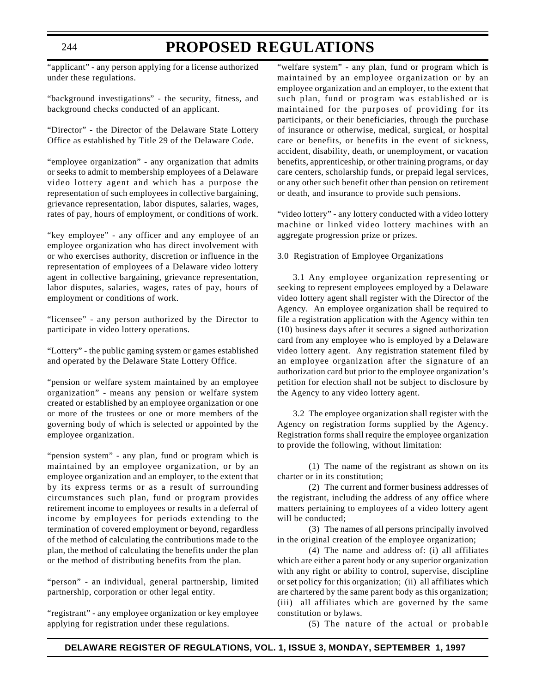# **PROPOSED REGULATIONS**

"applicant" - any person applying for a license authorized under these regulations.

"background investigations" - the security, fitness, and background checks conducted of an applicant.

"Director" - the Director of the Delaware State Lottery Office as established by Title 29 of the Delaware Code.

"employee organization" - any organization that admits or seeks to admit to membership employees of a Delaware video lottery agent and which has a purpose the representation of such employees in collective bargaining, grievance representation, labor disputes, salaries, wages, rates of pay, hours of employment, or conditions of work.

"key employee" - any officer and any employee of an employee organization who has direct involvement with or who exercises authority, discretion or influence in the representation of employees of a Delaware video lottery agent in collective bargaining, grievance representation, labor disputes, salaries, wages, rates of pay, hours of employment or conditions of work.

"licensee" - any person authorized by the Director to participate in video lottery operations.

"Lottery" - the public gaming system or games established and operated by the Delaware State Lottery Office.

"pension or welfare system maintained by an employee organization" - means any pension or welfare system created or established by an employee organization or one or more of the trustees or one or more members of the governing body of which is selected or appointed by the employee organization.

"pension system" - any plan, fund or program which is maintained by an employee organization, or by an employee organization and an employer, to the extent that by its express terms or as a result of surrounding circumstances such plan, fund or program provides retirement income to employees or results in a deferral of income by employees for periods extending to the termination of covered employment or beyond, regardless of the method of calculating the contributions made to the plan, the method of calculating the benefits under the plan or the method of distributing benefits from the plan.

"person" - an individual, general partnership, limited partnership, corporation or other legal entity.

"registrant" - any employee organization or key employee applying for registration under these regulations.

"welfare system" - any plan, fund or program which is maintained by an employee organization or by an employee organization and an employer, to the extent that such plan, fund or program was established or is maintained for the purposes of providing for its participants, or their beneficiaries, through the purchase of insurance or otherwise, medical, surgical, or hospital care or benefits, or benefits in the event of sickness, accident, disability, death, or unemployment, or vacation benefits, apprenticeship, or other training programs, or day care centers, scholarship funds, or prepaid legal services, or any other such benefit other than pension on retirement or death, and insurance to provide such pensions.

"video lottery" - any lottery conducted with a video lottery machine or linked video lottery machines with an aggregate progression prize or prizes.

### 3.0 Registration of Employee Organizations

3.1 Any employee organization representing or seeking to represent employees employed by a Delaware video lottery agent shall register with the Director of the Agency. An employee organization shall be required to file a registration application with the Agency within ten (10) business days after it secures a signed authorization card from any employee who is employed by a Delaware video lottery agent. Any registration statement filed by an employee organization after the signature of an authorization card but prior to the employee organization's petition for election shall not be subject to disclosure by the Agency to any video lottery agent.

3.2 The employee organization shall register with the Agency on registration forms supplied by the Agency. Registration forms shall require the employee organization to provide the following, without limitation:

(1) The name of the registrant as shown on its charter or in its constitution;

(2) The current and former business addresses of the registrant, including the address of any office where matters pertaining to employees of a video lottery agent will be conducted;

(3) The names of all persons principally involved in the original creation of the employee organization;

(4) The name and address of: (i) all affiliates which are either a parent body or any superior organization with any right or ability to control, supervise, discipline or set policy for this organization; (ii) all affiliates which are chartered by the same parent body as this organization; (iii) all affiliates which are governed by the same constitution or bylaws.

(5) The nature of the actual or probable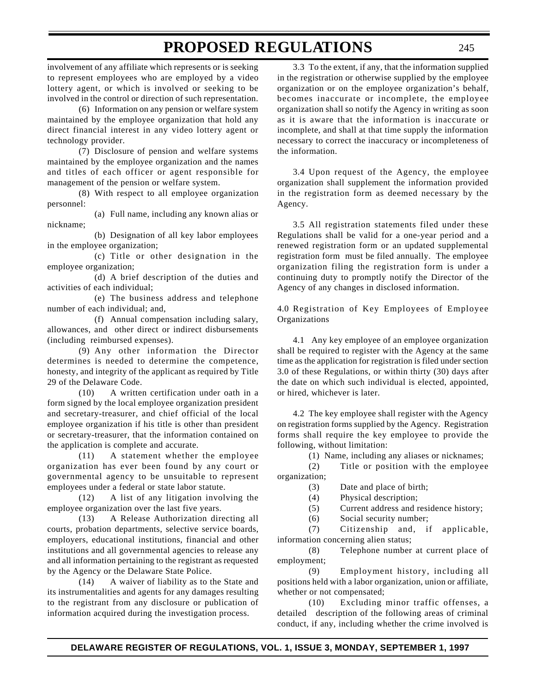involvement of any affiliate which represents or is seeking to represent employees who are employed by a video lottery agent, or which is involved or seeking to be involved in the control or direction of such representation.

(6) Information on any pension or welfare system maintained by the employee organization that hold any direct financial interest in any video lottery agent or technology provider.

(7) Disclosure of pension and welfare systems maintained by the employee organization and the names and titles of each officer or agent responsible for management of the pension or welfare system.

(8) With respect to all employee organization personnel:

(a) Full name, including any known alias or nickname;

(b) Designation of all key labor employees in the employee organization;

(c) Title or other designation in the employee organization;

(d) A brief description of the duties and activities of each individual;

(e) The business address and telephone number of each individual; and,

(f) Annual compensation including salary, allowances, and other direct or indirect disbursements (including reimbursed expenses).

(9) Any other information the Director determines is needed to determine the competence, honesty, and integrity of the applicant as required by Title 29 of the Delaware Code.

(10) A written certification under oath in a form signed by the local employee organization president and secretary-treasurer, and chief official of the local employee organization if his title is other than president or secretary-treasurer, that the information contained on the application is complete and accurate.

(11) A statement whether the employee organization has ever been found by any court or governmental agency to be unsuitable to represent employees under a federal or state labor statute.

(12) A list of any litigation involving the employee organization over the last five years.

(13) A Release Authorization directing all courts, probation departments, selective service boards, employers, educational institutions, financial and other institutions and all governmental agencies to release any and all information pertaining to the registrant as requested by the Agency or the Delaware State Police.

(14) A waiver of liability as to the State and its instrumentalities and agents for any damages resulting to the registrant from any disclosure or publication of information acquired during the investigation process.

3.3 To the extent, if any, that the information supplied in the registration or otherwise supplied by the employee organization or on the employee organization's behalf, becomes inaccurate or incomplete, the employee organization shall so notify the Agency in writing as soon as it is aware that the information is inaccurate or incomplete, and shall at that time supply the information necessary to correct the inaccuracy or incompleteness of the information.

3.4 Upon request of the Agency, the employee organization shall supplement the information provided in the registration form as deemed necessary by the Agency.

3.5 All registration statements filed under these Regulations shall be valid for a one-year period and a renewed registration form or an updated supplemental registration form must be filed annually. The employee organization filing the registration form is under a continuing duty to promptly notify the Director of the Agency of any changes in disclosed information.

4.0 Registration of Key Employees of Employee Organizations

4.1 Any key employee of an employee organization shall be required to register with the Agency at the same time as the application for registration is filed under section 3.0 of these Regulations, or within thirty (30) days after the date on which such individual is elected, appointed, or hired, whichever is later.

4.2 The key employee shall register with the Agency on registration forms supplied by the Agency. Registration forms shall require the key employee to provide the following, without limitation:

(1) Name, including any aliases or nicknames;

(2) Title or position with the employee organization;

(3) Date and place of birth;

(4) Physical description;

(5) Current address and residence history;

(6) Social security number;

(7) Citizenship and, if applicable, information concerning alien status;

(8) Telephone number at current place of employment;

(9) Employment history, including all positions held with a labor organization, union or affiliate, whether or not compensated;

(10) Excluding minor traffic offenses, a detailed description of the following areas of criminal conduct, if any, including whether the crime involved is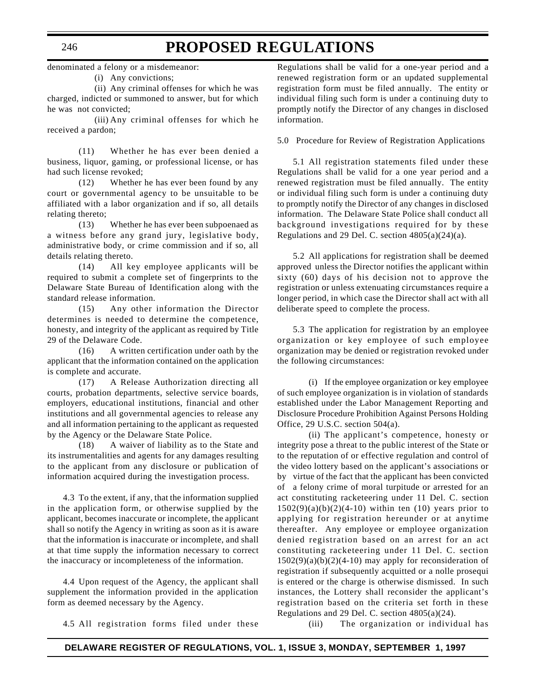## **PROPOSED REGULATIONS**

denominated a felony or a misdemeanor:

(i) Any convictions;

(ii) Any criminal offenses for which he was charged, indicted or summoned to answer, but for which he was not convicted;

(iii) Any criminal offenses for which he received a pardon;

(11) Whether he has ever been denied a business, liquor, gaming, or professional license, or has had such license revoked;

(12) Whether he has ever been found by any court or governmental agency to be unsuitable to be affiliated with a labor organization and if so, all details relating thereto;

(13) Whether he has ever been subpoenaed as a witness before any grand jury, legislative body, administrative body, or crime commission and if so, all details relating thereto.

(14) All key employee applicants will be required to submit a complete set of fingerprints to the Delaware State Bureau of Identification along with the standard release information.

(15) Any other information the Director determines is needed to determine the competence, honesty, and integrity of the applicant as required by Title 29 of the Delaware Code.

(16) A written certification under oath by the applicant that the information contained on the application is complete and accurate.

(17) A Release Authorization directing all courts, probation departments, selective service boards, employers, educational institutions, financial and other institutions and all governmental agencies to release any and all information pertaining to the applicant as requested by the Agency or the Delaware State Police.

(18) A waiver of liability as to the State and its instrumentalities and agents for any damages resulting to the applicant from any disclosure or publication of information acquired during the investigation process.

4.3 To the extent, if any, that the information supplied in the application form, or otherwise supplied by the applicant, becomes inaccurate or incomplete, the applicant shall so notify the Agency in writing as soon as it is aware that the information is inaccurate or incomplete, and shall at that time supply the information necessary to correct the inaccuracy or incompleteness of the information.

4.4 Upon request of the Agency, the applicant shall supplement the information provided in the application form as deemed necessary by the Agency.

4.5 All registration forms filed under these

Regulations shall be valid for a one-year period and a renewed registration form or an updated supplemental registration form must be filed annually. The entity or individual filing such form is under a continuing duty to promptly notify the Director of any changes in disclosed information.

5.0 Procedure for Review of Registration Applications

5.1 All registration statements filed under these Regulations shall be valid for a one year period and a renewed registration must be filed annually. The entity or individual filing such form is under a continuing duty to promptly notify the Director of any changes in disclosed information. The Delaware State Police shall conduct all background investigations required for by these Regulations and 29 Del. C. section 4805(a)(24)(a).

5.2 All applications for registration shall be deemed approved unless the Director notifies the applicant within sixty (60) days of his decision not to approve the registration or unless extenuating circumstances require a longer period, in which case the Director shall act with all deliberate speed to complete the process.

5.3 The application for registration by an employee organization or key employee of such employee organization may be denied or registration revoked under the following circumstances:

(i) If the employee organization or key employee of such employee organization is in violation of standards established under the Labor Management Reporting and Disclosure Procedure Prohibition Against Persons Holding Office, 29 U.S.C. section 504(a).

(ii) The applicant's competence, honesty or integrity pose a threat to the public interest of the State or to the reputation of or effective regulation and control of the video lottery based on the applicant's associations or by virtue of the fact that the applicant has been convicted of a felony crime of moral turpitude or arrested for an act constituting racketeering under 11 Del. C. section  $1502(9)(a)(b)(2)(4-10)$  within ten (10) years prior to applying for registration hereunder or at anytime thereafter. Any employee or employee organization denied registration based on an arrest for an act constituting racketeering under 11 Del. C. section  $1502(9)(a)(b)(2)(4-10)$  may apply for reconsideration of registration if subsequently acquitted or a nolle prosequi is entered or the charge is otherwise dismissed. In such instances, the Lottery shall reconsider the applicant's registration based on the criteria set forth in these Regulations and 29 Del. C. section 4805(a)(24).

(iii) The organization or individual has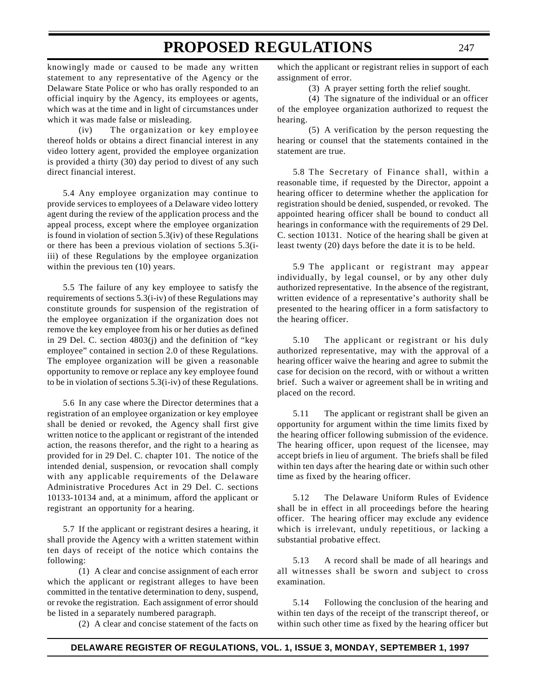knowingly made or caused to be made any written statement to any representative of the Agency or the Delaware State Police or who has orally responded to an official inquiry by the Agency, its employees or agents, which was at the time and in light of circumstances under which it was made false or misleading.

(iv) The organization or key employee thereof holds or obtains a direct financial interest in any video lottery agent, provided the employee organization is provided a thirty (30) day period to divest of any such direct financial interest.

5.4 Any employee organization may continue to provide services to employees of a Delaware video lottery agent during the review of the application process and the appeal process, except where the employee organization is found in violation of section 5.3(iv) of these Regulations or there has been a previous violation of sections 5.3(iiii) of these Regulations by the employee organization within the previous ten (10) years.

5.5 The failure of any key employee to satisfy the requirements of sections 5.3(i-iv) of these Regulations may constitute grounds for suspension of the registration of the employee organization if the organization does not remove the key employee from his or her duties as defined in 29 Del. C. section 4803(j) and the definition of "key employee" contained in section 2.0 of these Regulations. The employee organization will be given a reasonable opportunity to remove or replace any key employee found to be in violation of sections 5.3(i-iv) of these Regulations.

5.6 In any case where the Director determines that a registration of an employee organization or key employee shall be denied or revoked, the Agency shall first give written notice to the applicant or registrant of the intended action, the reasons therefor, and the right to a hearing as provided for in 29 Del. C. chapter 101. The notice of the intended denial, suspension, or revocation shall comply with any applicable requirements of the Delaware Administrative Procedures Act in 29 Del. C. sections 10133-10134 and, at a minimum, afford the applicant or registrant an opportunity for a hearing.

5.7 If the applicant or registrant desires a hearing, it shall provide the Agency with a written statement within ten days of receipt of the notice which contains the following:

(1) A clear and concise assignment of each error which the applicant or registrant alleges to have been committed in the tentative determination to deny, suspend, or revoke the registration. Each assignment of error should be listed in a separately numbered paragraph.

(2) A clear and concise statement of the facts on

which the applicant or registrant relies in support of each assignment of error.

(3) A prayer setting forth the relief sought.

(4) The signature of the individual or an officer of the employee organization authorized to request the hearing.

(5) A verification by the person requesting the hearing or counsel that the statements contained in the statement are true.

5.8 The Secretary of Finance shall, within a reasonable time, if requested by the Director, appoint a hearing officer to determine whether the application for registration should be denied, suspended, or revoked. The appointed hearing officer shall be bound to conduct all hearings in conformance with the requirements of 29 Del. C. section 10131. Notice of the hearing shall be given at least twenty (20) days before the date it is to be held.

5.9 The applicant or registrant may appear individually, by legal counsel, or by any other duly authorized representative. In the absence of the registrant, written evidence of a representative's authority shall be presented to the hearing officer in a form satisfactory to the hearing officer.

5.10 The applicant or registrant or his duly authorized representative, may with the approval of a hearing officer waive the hearing and agree to submit the case for decision on the record, with or without a written brief. Such a waiver or agreement shall be in writing and placed on the record.

5.11 The applicant or registrant shall be given an opportunity for argument within the time limits fixed by the hearing officer following submission of the evidence. The hearing officer, upon request of the licensee, may accept briefs in lieu of argument. The briefs shall be filed within ten days after the hearing date or within such other time as fixed by the hearing officer.

5.12 The Delaware Uniform Rules of Evidence shall be in effect in all proceedings before the hearing officer. The hearing officer may exclude any evidence which is irrelevant, unduly repetitious, or lacking a substantial probative effect.

5.13 A record shall be made of all hearings and all witnesses shall be sworn and subject to cross examination.

5.14 Following the conclusion of the hearing and within ten days of the receipt of the transcript thereof, or within such other time as fixed by the hearing officer but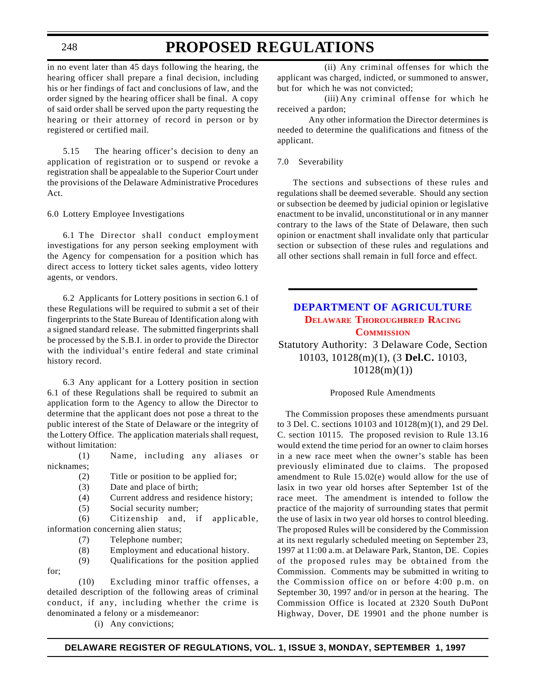## **PROPOSED REGULATIONS**

in no event later than 45 days following the hearing, the hearing officer shall prepare a final decision, including his or her findings of fact and conclusions of law, and the order signed by the hearing officer shall be final. A copy of said order shall be served upon the party requesting the hearing or their attorney of record in person or by registered or certified mail.

5.15 The hearing officer's decision to deny an application of registration or to suspend or revoke a registration shall be appealable to the Superior Court under the provisions of the Delaware Administrative Procedures Act.

6.0 Lottery Employee Investigations

6.1 The Director shall conduct employment investigations for any person seeking employment with the Agency for compensation for a position which has direct access to lottery ticket sales agents, video lottery agents, or vendors.

6.2 Applicants for Lottery positions in section 6.1 of these Regulations will be required to submit a set of their fingerprints to the State Bureau of Identification along with a signed standard release. The submitted fingerprints shall be processed by the S.B.I. in order to provide the Director with the individual's entire federal and state criminal history record.

6.3 Any applicant for a Lottery position in section 6.1 of these Regulations shall be required to submit an application form to the Agency to allow the Director to determine that the applicant does not pose a threat to the public interest of the State of Delaware or the integrity of the Lottery Office. The application materials shall request, without limitation:

(1) Name, including any aliases or nicknames;

- (2) Title or position to be applied for;
- (3) Date and place of birth;
- (4) Current address and residence history;
- (5) Social security number;

(6) Citizenship and, if applicable, information concerning alien status;

- (7) Telephone number;
- (8) Employment and educational history.
- (9) Qualifications for the position applied
- for;

(10) Excluding minor traffic offenses, a detailed description of the following areas of criminal conduct, if any, including whether the crime is denominated a felony or a misdemeanor:

(i) Any convictions;

(ii) Any criminal offenses for which the applicant was charged, indicted, or summoned to answer, but for which he was not convicted;

(iii) Any criminal offense for which he received a pardon;

Any other information the Director determines is needed to determine the qualifications and fitness of the applicant.

#### 7.0 Severability

The sections and subsections of these rules and regulations shall be deemed severable. Should any section or subsection be deemed by judicial opinion or legislative enactment to be invalid, unconstitutional or in any manner contrary to the laws of the State of Delaware, then such opinion or enactment shall invalidate only that particular section or subsection of these rules and regulations and all other sections shall remain in full force and effect.

## **[DEPARTMENT OF AGRICULTURE](http://www.state.de.us/deptagri/deptagri.htm) DELAWARE [THOROUGHBRED](#page-3-0) RACING COMMISSION**

Statutory Authority: 3 Delaware Code, Section 10103, 10128(m)(1), (3 **Del.C.** 10103, 10128(m)(1))

#### Proposed Rule Amendments

The Commission proposes these amendments pursuant to 3 Del. C. sections 10103 and 10128(m)(1), and 29 Del. C. section 10115. The proposed revision to Rule 13.16 would extend the time period for an owner to claim horses in a new race meet when the owner's stable has been previously eliminated due to claims. The proposed amendment to Rule 15.02(e) would allow for the use of lasix in two year old horses after September 1st of the race meet. The amendment is intended to follow the practice of the majority of surrounding states that permit the use of lasix in two year old horses to control bleeding. The proposed Rules will be considered by the Commission at its next regularly scheduled meeting on September 23, 1997 at 11:00 a.m. at Delaware Park, Stanton, DE. Copies of the proposed rules may be obtained from the Commission. Comments may be submitted in writing to the Commission office on or before 4:00 p.m. on September 30, 1997 and/or in person at the hearing. The Commission Office is located at 2320 South DuPont Highway, Dover, DE 19901 and the phone number is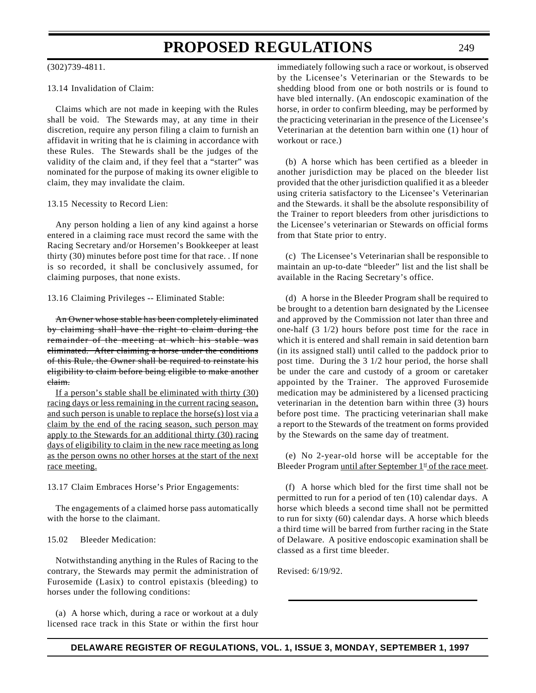### (302)739-4811.

### 13.14 Invalidation of Claim:

Claims which are not made in keeping with the Rules shall be void. The Stewards may, at any time in their discretion, require any person filing a claim to furnish an affidavit in writing that he is claiming in accordance with these Rules. The Stewards shall be the judges of the validity of the claim and, if they feel that a "starter" was nominated for the purpose of making its owner eligible to claim, they may invalidate the claim.

#### 13.15 Necessity to Record Lien:

Any person holding a lien of any kind against a horse entered in a claiming race must record the same with the Racing Secretary and/or Horsemen's Bookkeeper at least thirty (30) minutes before post time for that race. . If none is so recorded, it shall be conclusively assumed, for claiming purposes, that none exists.

13.16 Claiming Privileges -- Eliminated Stable:

An Owner whose stable has been completely eliminated by claiming shall have the right to claim during the remainder of the meeting at which his stable was eliminated. After claiming a horse under the conditions of this Rule, the Owner shall be required to reinstate his eligibility to claim before being eligible to make another claim.

If a person's stable shall be eliminated with thirty (30) racing days or less remaining in the current racing season, and such person is unable to replace the horse(s) lost via a claim by the end of the racing season, such person may apply to the Stewards for an additional thirty (30) racing days of eligibility to claim in the new race meeting as long as the person owns no other horses at the start of the next race meeting.

13.17 Claim Embraces Horse's Prior Engagements:

The engagements of a claimed horse pass automatically with the horse to the claimant.

### 15.02 Bleeder Medication:

Notwithstanding anything in the Rules of Racing to the contrary, the Stewards may permit the administration of Furosemide (Lasix) to control epistaxis (bleeding) to horses under the following conditions:

(a) A horse which, during a race or workout at a duly licensed race track in this State or within the first hour immediately following such a race or workout, is observed by the Licensee's Veterinarian or the Stewards to be shedding blood from one or both nostrils or is found to have bled internally. (An endoscopic examination of the horse, in order to confirm bleeding, may be performed by the practicing veterinarian in the presence of the Licensee's Veterinarian at the detention barn within one (1) hour of workout or race.)

(b) A horse which has been certified as a bleeder in another jurisdiction may be placed on the bleeder list provided that the other jurisdiction qualified it as a bleeder using criteria satisfactory to the Licensee's Veterinarian and the Stewards. it shall be the absolute responsibility of the Trainer to report bleeders from other jurisdictions to the Licensee's veterinarian or Stewards on official forms from that State prior to entry.

(c) The Licensee's Veterinarian shall be responsible to maintain an up-to-date "bleeder" list and the list shall be available in the Racing Secretary's office.

(d) A horse in the Bleeder Program shall be required to be brought to a detention barn designated by the Licensee and approved by the Commission not later than three and one-half (3 1/2) hours before post time for the race in which it is entered and shall remain in said detention barn (in its assigned stall) until called to the paddock prior to post time. During the 3 1/2 hour period, the horse shall be under the care and custody of a groom or caretaker appointed by the Trainer. The approved Furosemide medication may be administered by a licensed practicing veterinarian in the detention barn within three (3) hours before post time. The practicing veterinarian shall make a report to the Stewards of the treatment on forms provided by the Stewards on the same day of treatment.

(e) No 2-year-old horse will be acceptable for the Bleeder Program until after September  $1<sup>st</sup>$  of the race meet.

(f) A horse which bled for the first time shall not be permitted to run for a period of ten (10) calendar days. A horse which bleeds a second time shall not be permitted to run for sixty (60) calendar days. A horse which bleeds a third time will be barred from further racing in the State of Delaware. A positive endoscopic examination shall be classed as a first time bleeder.

Revised: 6/19/92.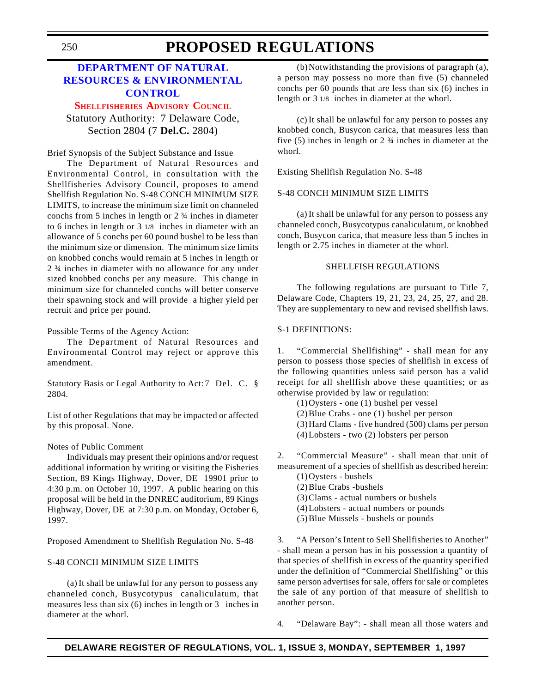## **DEPARTMENT OF NATURAL [RESOURCES & ENVIRONMENTAL](http://www.dnrec.state.de.us/) CONTROL**

**[SHELLFISHERIES](#page-3-0) ADVISORY COUNCIL**

Statutory Authority: 7 Delaware Code, Section 2804 (7 **Del.C.** 2804)

Brief Synopsis of the Subject Substance and Issue

The Department of Natural Resources and Environmental Control, in consultation with the Shellfisheries Advisory Council, proposes to amend Shellfish Regulation No. S-48 CONCH MINIMUM SIZE LIMITS, to increase the minimum size limit on channeled conchs from 5 inches in length or 2 ¾ inches in diameter to 6 inches in length or 3 1/8 inches in diameter with an allowance of 5 conchs per 60 pound bushel to be less than the minimum size or dimension. The minimum size limits on knobbed conchs would remain at 5 inches in length or 2 ¾ inches in diameter with no allowance for any under sized knobbed conchs per any measure. This change in minimum size for channeled conchs will better conserve their spawning stock and will provide a higher yield per recruit and price per pound.

Possible Terms of the Agency Action:

The Department of Natural Resources and Environmental Control may reject or approve this amendment.

Statutory Basis or Legal Authority to Act: 7 Del. C. § 2804.

List of other Regulations that may be impacted or affected by this proposal. None.

### Notes of Public Comment

Individuals may present their opinions and/or request additional information by writing or visiting the Fisheries Section, 89 Kings Highway, Dover, DE 19901 prior to 4:30 p.m. on October 10, 1997. A public hearing on this proposal will be held in the DNREC auditorium, 89 Kings Highway, Dover, DE at 7:30 p.m. on Monday, October 6, 1997.

Proposed Amendment to Shellfish Regulation No. S-48

### S-48 CONCH MINIMUM SIZE LIMITS

(a) It shall be unlawful for any person to possess any channeled conch, Busycotypus canaliculatum, that measures less than six (6) inches in length or 3 inches in diameter at the whorl.

(b)Notwithstanding the provisions of paragraph (a), a person may possess no more than five (5) channeled conchs per 60 pounds that are less than six (6) inches in length or 3 1/8 inches in diameter at the whorl.

(c) It shall be unlawful for any person to posses any knobbed conch, Busycon carica, that measures less than five (5) inches in length or 2 ¾ inches in diameter at the whorl.

Existing Shellfish Regulation No. S-48

### S-48 CONCH MINIMUM SIZE LIMITS

(a) It shall be unlawful for any person to possess any channeled conch, Busycotypus canaliculatum, or knobbed conch, Busycon carica, that measure less than 5 inches in length or 2.75 inches in diameter at the whorl.

### SHELLFISH REGULATIONS

The following regulations are pursuant to Title 7, Delaware Code, Chapters 19, 21, 23, 24, 25, 27, and 28. They are supplementary to new and revised shellfish laws.

### S-1 DEFINITIONS:

1. "Commercial Shellfishing" - shall mean for any person to possess those species of shellfish in excess of the following quantities unless said person has a valid receipt for all shellfish above these quantities; or as otherwise provided by law or regulation:

(1)Oysters - one (1) bushel per vessel (2)Blue Crabs - one (1) bushel per person (3)Hard Clams - five hundred (500) clams per person (4)Lobsters - two (2) lobsters per person

2. "Commercial Measure" - shall mean that unit of measurement of a species of shellfish as described herein:

- (1)Oysters bushels (2)Blue Crabs -bushels
- (3)Clams actual numbers or bushels
- (4)Lobsters actual numbers or pounds
- (5)Blue Mussels bushels or pounds

3. "A Person's Intent to Sell Shellfisheries to Another" - shall mean a person has in his possession a quantity of that species of shellfish in excess of the quantity specified under the definition of "Commercial Shellfishing" or this same person advertises for sale, offers for sale or completes the sale of any portion of that measure of shellfish to another person.

4. "Delaware Bay": - shall mean all those waters and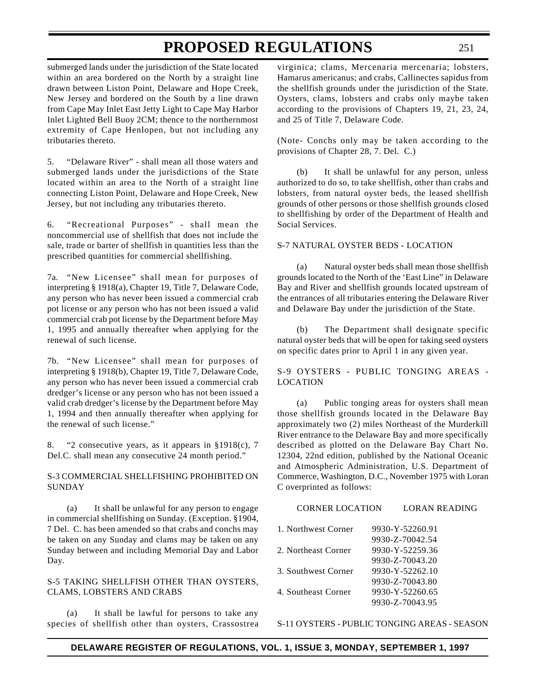submerged lands under the jurisdiction of the State located within an area bordered on the North by a straight line drawn between Liston Point, Delaware and Hope Creek, New Jersey and bordered on the South by a line drawn from Cape May Inlet East Jetty Light to Cape May Harbor Inlet Lighted Bell Buoy 2CM; thence to the northernmost extremity of Cape Henlopen, but not including any tributaries thereto.

5. "Delaware River" - shall mean all those waters and submerged lands under the jurisdictions of the State located within an area to the North of a straight line connecting Liston Point, Delaware and Hope Creek, New Jersey, but not including any tributaries thereto.

6. "Recreational Purposes" - shall mean the noncommercial use of shellfish that does not include the sale, trade or barter of shellfish in quantities less than the prescribed quantities for commercial shellfishing.

7a. "New Licensee" shall mean for purposes of interpreting § 1918(a), Chapter 19, Title 7, Delaware Code, any person who has never been issued a commercial crab pot license or any person who has not been issued a valid commercial crab pot license by the Department before May 1, 1995 and annually thereafter when applying for the renewal of such license.

7b. "New Licensee" shall mean for purposes of interpreting § 1918(b), Chapter 19, Title 7, Delaware Code, any person who has never been issued a commercial crab dredger's license or any person who has not been issued a valid crab dredger's license by the Department before May 1, 1994 and then annually thereafter when applying for the renewal of such license."

8. "2 consecutive years, as it appears in §1918(c), 7 Del.C. shall mean any consecutive 24 month period."

### S-3 COMMERCIAL SHELLFISHING PROHIBITED ON SUNDAY

(a) It shall be unlawful for any person to engage in commercial shellfishing on Sunday. (Exception. §1904, 7 Del. C. has been amended so that crabs and conchs may be taken on any Sunday and clams may be taken on any Sunday between and including Memorial Day and Labor Day.

### S-5 TAKING SHELLFISH OTHER THAN OYSTERS, CLAMS, LOBSTERS AND CRABS

(a) It shall be lawful for persons to take any species of shellfish other than oysters, Crassostrea

virginica; clams, Mercenaria mercenaria; lobsters, Hamarus americanus; and crabs, Callinectes sapidus from the shellfish grounds under the jurisdiction of the State. Oysters, clams, lobsters and crabs only maybe taken according to the provisions of Chapters 19, 21, 23, 24, and 25 of Title 7, Delaware Code.

(Note- Conchs only may be taken according to the provisions of Chapter 28, 7. Del. C.)

(b) It shall be unlawful for any person, unless authorized to do so, to take shellfish, other than crabs and lobsters, from natural oyster beds, the leased shellfish grounds of other persons or those shellfish grounds closed to shellfishing by order of the Department of Health and Social Services.

### S-7 NATURAL OYSTER BEDS - LOCATION

(a) Natural oyster beds shall mean those shellfish grounds located to the North of the 'East Line" in Delaware Bay and River and shellfish grounds located upstream of the entrances of all tributaries entering the Delaware River and Delaware Bay under the jurisdiction of the State.

(b) The Department shall designate specific natural oyster beds that will be open for taking seed oysters on specific dates prior to April 1 in any given year.

S-9 OYSTERS - PUBLIC TONGING AREAS - LOCATION

(a) Public tonging areas for oysters shall mean those shellfish grounds located in the Delaware Bay approximately two (2) miles Northeast of the Murderkill River entrance to the Delaware Bay and more specifically described as plotted on the Delaware Bay Chart No. 12304, 22nd edition, published by the National Oceanic and Atmospheric Administration, U.S. Department of Commerce, Washington, D.C., November 1975 with Loran C overprinted as follows:

| <b>CORNER LOCATION</b> | <b>LORAN READING</b> |
|------------------------|----------------------|
| 1. Northwest Corner    | 9930-Y-52260.91      |
|                        | 9930-Z-70042.54      |
| 2. Northeast Corner    | 9930-Y-52259.36      |
|                        | 9930-Z-70043.20      |
| 3. Southwest Corner    | 9930-Y-52262.10      |
|                        | 9930-Z-70043.80      |
| 4. Southeast Corner    | 9930-Y-52260.65      |
|                        | 9930-Z-70043.95      |
|                        |                      |

S-11 OYSTERS - PUBLIC TONGING AREAS - SEASON

## **DELAWARE REGISTER OF REGULATIONS, VOL. 1, ISSUE 3, MONDAY, SEPTEMBER 1, 1997**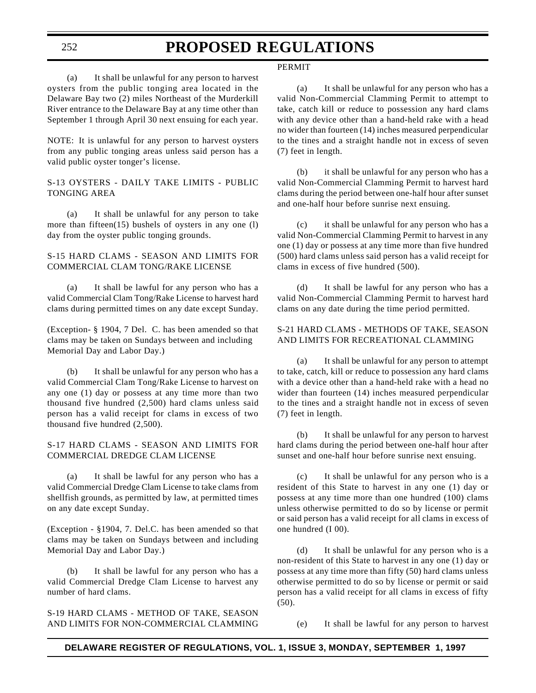PERMIT

(a) It shall be unlawful for any person to harvest oysters from the public tonging area located in the Delaware Bay two (2) miles Northeast of the Murderkill River entrance to the Delaware Bay at any time other than September 1 through April 30 next ensuing for each year.

NOTE: It is unlawful for any person to harvest oysters from any public tonging areas unless said person has a valid public oyster tonger's license.

### S-13 OYSTERS - DAILY TAKE LIMITS - PUBLIC TONGING AREA

(a) It shall be unlawful for any person to take more than fifteen(15) bushels of oysters in any one (l) day from the oyster public tonging grounds.

### S-15 HARD CLAMS - SEASON AND LIMITS FOR COMMERCIAL CLAM TONG/RAKE LICENSE

(a) It shall be lawful for any person who has a valid Commercial Clam Tong/Rake License to harvest hard clams during permitted times on any date except Sunday.

(Exception- § 1904, 7 Del. C. has been amended so that clams may be taken on Sundays between and including Memorial Day and Labor Day.)

(b) It shall be unlawful for any person who has a valid Commercial Clam Tong/Rake License to harvest on any one (1) day or possess at any time more than two thousand five hundred (2,500) hard clams unless said person has a valid receipt for clams in excess of two thousand five hundred (2,500).

### S-17 HARD CLAMS - SEASON AND LIMITS FOR COMMERCIAL DREDGE CLAM LICENSE

(a) It shall be lawful for any person who has a valid Commercial Dredge Clam License to take clams from shellfish grounds, as permitted by law, at permitted times on any date except Sunday.

(Exception - §1904, 7. Del.C. has been amended so that clams may be taken on Sundays between and including Memorial Day and Labor Day.)

(b) It shall be lawful for any person who has a valid Commercial Dredge Clam License to harvest any number of hard clams.

S-19 HARD CLAMS - METHOD OF TAKE, SEASON AND LIMITS FOR NON-COMMERCIAL CLAMMING

(a) It shall be unlawful for any person who has a valid Non-Commercial Clamming Permit to attempt to take, catch kill or reduce to possession any hard clams with any device other than a hand-held rake with a head no wider than fourteen (14) inches measured perpendicular to the tines and a straight handle not in excess of seven (7) feet in length.

(b) it shall be unlawful for any person who has a valid Non-Commercial Clamming Permit to harvest hard clams during the period between one-half hour after sunset and one-half hour before sunrise next ensuing.

(c) it shall be unlawful for any person who has a valid Non-Commercial Clamming Permit to harvest in any one (1) day or possess at any time more than five hundred (500) hard clams unless said person has a valid receipt for clams in excess of five hundred (500).

(d) It shall be lawful for any person who has a valid Non-Commercial Clamming Permit to harvest hard clams on any date during the time period permitted.

### S-21 HARD CLAMS - METHODS OF TAKE, SEASON AND LIMITS FOR RECREATIONAL CLAMMING

(a) It shall be unlawful for any person to attempt to take, catch, kill or reduce to possession any hard clams with a device other than a hand-held rake with a head no wider than fourteen (14) inches measured perpendicular to the tines and a straight handle not in excess of seven (7) feet in length.

(b) It shall be unlawful for any person to harvest hard clams during the period between one-half hour after sunset and one-half hour before sunrise next ensuing.

(c) It shall be unlawful for any person who is a resident of this State to harvest in any one (1) day or possess at any time more than one hundred (100) clams unless otherwise permitted to do so by license or permit or said person has a valid receipt for all clams in excess of one hundred (I 00).

(d) It shall be unlawful for any person who is a non-resident of this State to harvest in any one (1) day or possess at any time more than fifty (50) hard clams unless otherwise permitted to do so by license or permit or said person has a valid receipt for all clams in excess of fifty (50).

(e) It shall be lawful for any person to harvest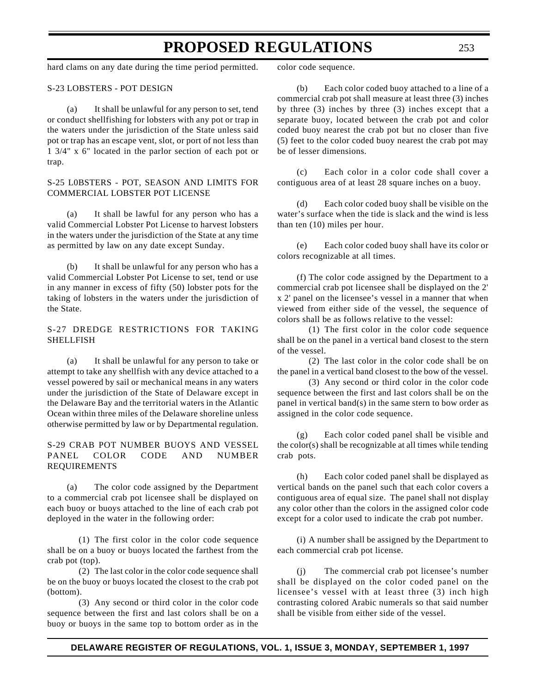hard clams on any date during the time period permitted.

### S-23 LOBSTERS - POT DESIGN

(a) It shall be unlawful for any person to set, tend or conduct shellfishing for lobsters with any pot or trap in the waters under the jurisdiction of the State unless said pot or trap has an escape vent, slot, or port of not less than 1 3/4" x 6" located in the parlor section of each pot or trap.

### S-25 L0BSTERS - POT, SEASON AND LIMITS FOR COMMERCIAL LOBSTER POT LICENSE

(a) It shall be lawful for any person who has a valid Commercial Lobster Pot License to harvest lobsters in the waters under the jurisdiction of the State at any time as permitted by law on any date except Sunday.

(b) It shall be unlawful for any person who has a valid Commercial Lobster Pot License to set, tend or use in any manner in excess of fifty (50) lobster pots for the taking of lobsters in the waters under the jurisdiction of the State.

### S-27 DREDGE RESTRICTIONS FOR TAKING SHELLFISH

(a) It shall be unlawful for any person to take or attempt to take any shellfish with any device attached to a vessel powered by sail or mechanical means in any waters under the jurisdiction of the State of Delaware except in the Delaware Bay and the territorial waters in the Atlantic Ocean within three miles of the Delaware shoreline unless otherwise permitted by law or by Departmental regulation.

### S-29 CRAB POT NUMBER BUOYS AND VESSEL PANEL COLOR CODE AND NUMBER REQUIREMENTS

(a) The color code assigned by the Department to a commercial crab pot licensee shall be displayed on each buoy or buoys attached to the line of each crab pot deployed in the water in the following order:

(1) The first color in the color code sequence shall be on a buoy or buoys located the farthest from the crab pot (top).

(2) The last color in the color code sequence shall be on the buoy or buoys located the closest to the crab pot (bottom).

(3) Any second or third color in the color code sequence between the first and last colors shall be on a buoy or buoys in the same top to bottom order as in the

color code sequence.

(b) Each color coded buoy attached to a line of a commercial crab pot shall measure at least three (3) inches by three (3) inches by three (3) inches except that a separate buoy, located between the crab pot and color coded buoy nearest the crab pot but no closer than five (5) feet to the color coded buoy nearest the crab pot may be of lesser dimensions.

(c) Each color in a color code shall cover a contiguous area of at least 28 square inches on a buoy.

(d) Each color coded buoy shall be visible on the water's surface when the tide is slack and the wind is less than ten (10) miles per hour.

(e) Each color coded buoy shall have its color or colors recognizable at all times.

(f) The color code assigned by the Department to a commercial crab pot licensee shall be displayed on the 2' x 2' panel on the licensee's vessel in a manner that when viewed from either side of the vessel, the sequence of colors shall be as follows relative to the vessel:

(1) The first color in the color code sequence shall be on the panel in a vertical band closest to the stern of the vessel.

(2) The last color in the color code shall be on the panel in a vertical band closest to the bow of the vessel.

(3) Any second or third color in the color code sequence between the first and last colors shall be on the panel in vertical band(s) in the same stern to bow order as assigned in the color code sequence.

(g) Each color coded panel shall be visible and the color(s) shall be recognizable at all times while tending crab pots.

(h) Each color coded panel shall be displayed as vertical bands on the panel such that each color covers a contiguous area of equal size. The panel shall not display any color other than the colors in the assigned color code except for a color used to indicate the crab pot number.

(i) A number shall be assigned by the Department to each commercial crab pot license.

(j) The commercial crab pot licensee's number shall be displayed on the color coded panel on the licensee's vessel with at least three (3) inch high contrasting colored Arabic numerals so that said number shall be visible from either side of the vessel.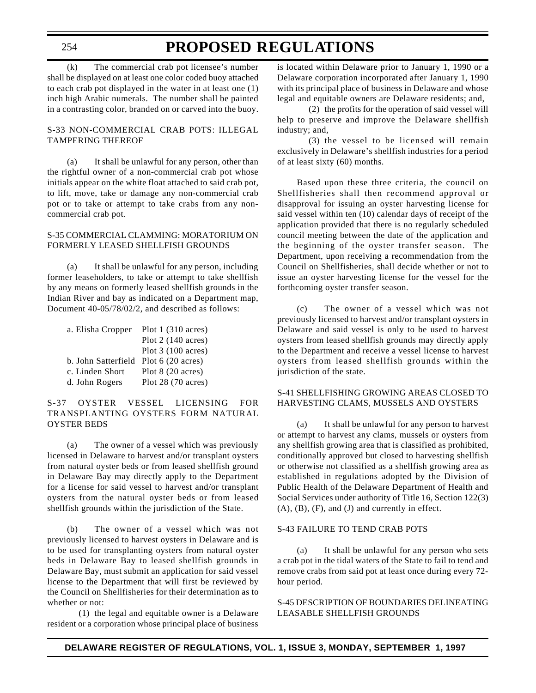## **PROPOSED REGULATIONS**

(k) The commercial crab pot licensee's number shall be displayed on at least one color coded buoy attached to each crab pot displayed in the water in at least one (1) inch high Arabic numerals. The number shall be painted in a contrasting color, branded on or carved into the buoy.

### S-33 NON-COMMERCIAL CRAB POTS: ILLEGAL TAMPERING THEREOF

(a) It shall be unlawful for any person, other than the rightful owner of a non-commercial crab pot whose initials appear on the white float attached to said crab pot, to lift, move, take or damage any non-commercial crab pot or to take or attempt to take crabs from any noncommercial crab pot.

### S-35 COMMERCIAL CLAMMING: MORATORIUM ON FORMERLY LEASED SHELLFISH GROUNDS

(a) It shall be unlawful for any person, including former leaseholders, to take or attempt to take shellfish by any means on formerly leased shellfish grounds in the Indian River and bay as indicated on a Department map, Document 40-05/78/02/2, and described as follows:

| a. Elisha Cropper                     | Plot $1(310 \text{ acres})$ |
|---------------------------------------|-----------------------------|
|                                       | Plot $2(140 \text{ acres})$ |
|                                       | Plot $3(100 \text{ acres})$ |
| b. John Satterfield Plot 6 (20 acres) |                             |
| c. Linden Short                       | Plot $8(20 \text{ acres})$  |
| d. John Rogers                        | Plot $28(70 \text{ acres})$ |

### S-37 OYSTER VESSEL LICENSING FOR TRANSPLANTING OYSTERS FORM NATURAL OYSTER BEDS

(a) The owner of a vessel which was previously licensed in Delaware to harvest and/or transplant oysters from natural oyster beds or from leased shellfish ground in Delaware Bay may directly apply to the Department for a license for said vessel to harvest and/or transplant oysters from the natural oyster beds or from leased shellfish grounds within the jurisdiction of the State.

(b) The owner of a vessel which was not previously licensed to harvest oysters in Delaware and is to be used for transplanting oysters from natural oyster beds in Delaware Bay to leased shellfish grounds in Delaware Bay, must submit an application for said vessel license to the Department that will first be reviewed by the Council on Shellfisheries for their determination as to whether or not:

(1) the legal and equitable owner is a Delaware resident or a corporation whose principal place of business

is located within Delaware prior to January 1, 1990 or a Delaware corporation incorporated after January 1, 1990 with its principal place of business in Delaware and whose legal and equitable owners are Delaware residents; and,

(2) the profits for the operation of said vessel will help to preserve and improve the Delaware shellfish industry; and,

(3) the vessel to be licensed will remain exclusively in Delaware's shellfish industries for a period of at least sixty (60) months.

Based upon these three criteria, the council on Shellfisheries shall then recommend approval or disapproval for issuing an oyster harvesting license for said vessel within ten (10) calendar days of receipt of the application provided that there is no regularly scheduled council meeting between the date of the application and the beginning of the oyster transfer season. The Department, upon receiving a recommendation from the Council on Shellfisheries, shall decide whether or not to issue an oyster harvesting license for the vessel for the forthcoming oyster transfer season.

(c) The owner of a vessel which was not previously licensed to harvest and/or transplant oysters in Delaware and said vessel is only to be used to harvest oysters from leased shellfish grounds may directly apply to the Department and receive a vessel license to harvest oysters from leased shellfish grounds within the jurisdiction of the state.

### S-41 SHELLFISHING GROWING AREAS CLOSED TO HARVESTING CLAMS, MUSSELS AND OYSTERS

(a) It shall be unlawful for any person to harvest or attempt to harvest any clams, mussels or oysters from any shellfish growing area that is classified as prohibited, conditionally approved but closed to harvesting shellfish or otherwise not classified as a shellfish growing area as established in regulations adopted by the Division of Public Health of the Delaware Department of Health and Social Services under authority of Title 16, Section 122(3)  $(A)$ ,  $(B)$ ,  $(F)$ , and  $(J)$  and currently in effect.

### S-43 FAILURE TO TEND CRAB POTS

(a) It shall be unlawful for any person who sets a crab pot in the tidal waters of the State to fail to tend and remove crabs from said pot at least once during every 72 hour period.

S-45 DESCRIPTION OF BOUNDARIES DELINEATING LEASABLE SHELLFISH GROUNDS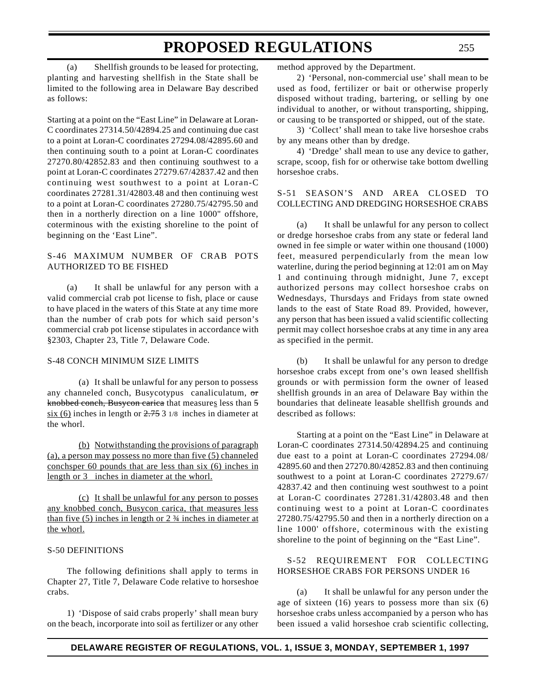(a) Shellfish grounds to be leased for protecting, planting and harvesting shellfish in the State shall be limited to the following area in Delaware Bay described as follows:

Starting at a point on the "East Line" in Delaware at Loran-C coordinates 27314.50/42894.25 and continuing due cast to a point at Loran-C coordinates 27294.08/42895.60 and then continuing south to a point at Loran-C coordinates 27270.80/42852.83 and then continuing southwest to a point at Loran-C coordinates 27279.67/42837.42 and then continuing west southwest to a point at Loran-C coordinates 27281.31/42803.48 and then continuing west to a point at Loran-C coordinates 27280.75/42795.50 and then in a northerly direction on a line 1000" offshore, coterminous with the existing shoreline to the point of beginning on the 'East Line".

### S-46 MAXIMUM NUMBER OF CRAB POTS AUTHORIZED TO BE FISHED

(a) It shall be unlawful for any person with a valid commercial crab pot license to fish, place or cause to have placed in the waters of this State at any time more than the number of crab pots for which said person's commercial crab pot license stipulates in accordance with §2303, Chapter 23, Title 7, Delaware Code.

### S-48 CONCH MINIMUM SIZE LIMITS

(a) It shall be unlawful for any person to possess any channeled conch, Busycotypus canaliculatum, or knobbed conch, Busycon carica that measures less than 5  $six (6)$  inches in length or  $2.753$  1/8 inches in diameter at the whorl.

(b) Notwithstanding the provisions of paragraph (a), a person may possess no more than five (5) channeled conchsper 60 pounds that are less than six (6) inches in length or 3 inches in diameter at the whorl.

(c) It shall be unlawful for any person to posses any knobbed conch, Busycon carica, that measures less than five  $(5)$  inches in length or  $2\frac{3}{4}$  inches in diameter at the whorl.

### S-50 DEFINITIONS

The following definitions shall apply to terms in Chapter 27, Title 7, Delaware Code relative to horseshoe crabs.

1) 'Dispose of said crabs properly' shall mean bury on the beach, incorporate into soil as fertilizer or any other method approved by the Department.

2) 'Personal, non-commercial use' shall mean to be used as food, fertilizer or bait or otherwise properly disposed without trading, bartering, or selling by one individual to another, or without transporting, shipping, or causing to be transported or shipped, out of the state.

3) 'Collect' shall mean to take live horseshoe crabs by any means other than by dredge.

4) 'Dredge' shall mean to use any device to gather, scrape, scoop, fish for or otherwise take bottom dwelling horseshoe crabs.

### S-51 SEASON'S AND AREA CLOSED TO COLLECTING AND DREDGING HORSESHOE CRABS

(a) It shall be unlawful for any person to collect or dredge horseshoe crabs from any state or federal land owned in fee simple or water within one thousand (1000) feet, measured perpendicularly from the mean low waterline, during the period beginning at 12:01 am on May 1 and continuing through midnight, June 7, except authorized persons may collect horseshoe crabs on Wednesdays, Thursdays and Fridays from state owned lands to the east of State Road 89. Provided, however, any person that has been issued a valid scientific collecting permit may collect horseshoe crabs at any time in any area as specified in the permit.

(b) It shall be unlawful for any person to dredge horseshoe crabs except from one's own leased shellfish grounds or with permission form the owner of leased shellfish grounds in an area of Delaware Bay within the boundaries that delineate leasable shellfish grounds and described as follows:

Starting at a point on the "East Line" in Delaware at Loran-C coordinates 27314.50/42894.25 and continuing due east to a point at Loran-C coordinates 27294.08/ 42895.60 and then 27270.80/42852.83 and then continuing southwest to a point at Loran-C coordinates 27279.67/ 42837.42 and then continuing west southwest to a point at Loran-C coordinates 27281.31/42803.48 and then continuing west to a point at Loran-C coordinates 27280.75/42795.50 and then in a northerly direction on a line 1000' offshore, coterminous with the existing shoreline to the point of beginning on the "East Line".

### S-52 REQUIREMENT FOR COLLECTING HORSESHOE CRABS FOR PERSONS UNDER 16

(a) It shall be unlawful for any person under the age of sixteen (16) years to possess more than six (6) horseshoe crabs unless accompanied by a person who has been issued a valid horseshoe crab scientific collecting,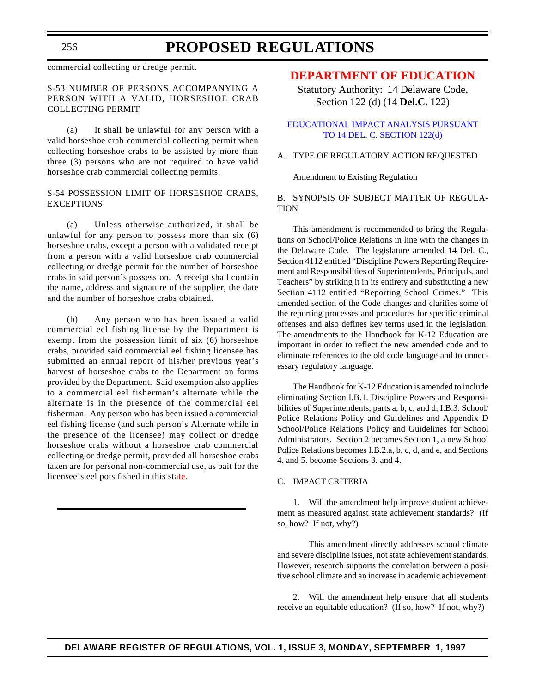## **PROPOSED REGULATIONS**

commercial collecting or dredge permit.

### S-53 NUMBER OF PERSONS ACCOMPANYING A PERSON WITH A VALID, HORSESHOE CRAB COLLECTING PERMIT

(a) It shall be unlawful for any person with a valid horseshoe crab commercial collecting permit when collecting horseshoe crabs to be assisted by more than three (3) persons who are not required to have valid horseshoe crab commercial collecting permits.

### S-54 POSSESSION LIMIT OF HORSESHOE CRABS, EXCEPTIONS

(a) Unless otherwise authorized, it shall be unlawful for any person to possess more than six (6) horseshoe crabs, except a person with a validated receipt from a person with a valid horseshoe crab commercial collecting or dredge permit for the number of horseshoe crabs in said person's possession. A receipt shall contain the name, address and signature of the supplier, the date and the number of horseshoe crabs obtained.

(b) Any person who has been issued a valid commercial eel fishing license by the Department is exempt from the possession limit of six (6) horseshoe crabs, provided said commercial eel fishing licensee has submitted an annual report of his/her previous year's harvest of horseshoe crabs to the Department on forms provided by the Department. Said exemption also applies to a commercial eel fisherman's alternate while the alternate is in the presence of the commercial eel fisherman. Any person who has been issued a commercial eel fishing license (and such person's Alternate while in the presence of the licensee) may collect or dredge horseshoe crabs without a horseshoe crab commercial collecting or dredge permit, provided all horseshoe crabs taken are for personal non-commercial use, as bait for the licensee's eel pots fished in this state.

### **[DEPARTMENT OF EDUCATION](#page-3-0)**

Statutory Authority: 14 Delaware Code, Section 122 (d) (14 **Del.C.** 122)

### [EDUCATIONAL IMPACT ANALYSIS PURSUANT](http://www.state.de.us/high-ed/intro.htm) TO 14 DEL. C. SECTION 122(d)

### A. TYPE OF REGULATORY ACTION REQUESTED

Amendment to Existing Regulation

### B. SYNOPSIS OF SUBJECT MATTER OF REGULA-TION

This amendment is recommended to bring the Regulations on School/Police Relations in line with the changes in the Delaware Code. The legislature amended 14 Del. C., Section 4112 entitled "Discipline Powers Reporting Requirement and Responsibilities of Superintendents, Principals, and Teachers" by striking it in its entirety and substituting a new Section 4112 entitled "Reporting School Crimes." This amended section of the Code changes and clarifies some of the reporting processes and procedures for specific criminal offenses and also defines key terms used in the legislation. The amendments to the Handbook for K-12 Education are important in order to reflect the new amended code and to eliminate references to the old code language and to unnecessary regulatory language.

The Handbook for K-12 Education is amended to include eliminating Section I.B.1. Discipline Powers and Responsibilities of Superintendents, parts a, b, c, and d, I.B.3. School/ Police Relations Policy and Guidelines and Appendix D School/Police Relations Policy and Guidelines for School Administrators. Section 2 becomes Section 1, a new School Police Relations becomes I.B.2.a, b, c, d, and e, and Sections 4. and 5. become Sections 3. and 4.

### C. IMPACT CRITERIA

1. Will the amendment help improve student achievement as measured against state achievement standards? (If so, how? If not, why?)

This amendment directly addresses school climate and severe discipline issues, not state achievement standards. However, research supports the correlation between a positive school climate and an increase in academic achievement.

2. Will the amendment help ensure that all students receive an equitable education? (If so, how? If not, why?)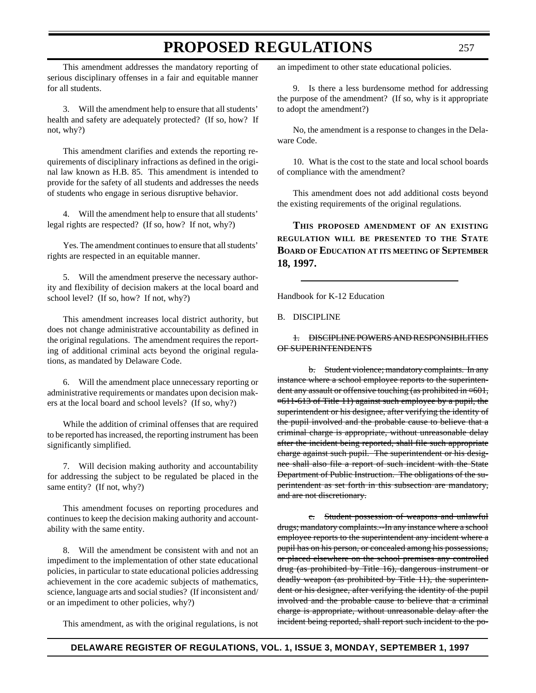This amendment addresses the mandatory reporting of serious disciplinary offenses in a fair and equitable manner for all students.

3. Will the amendment help to ensure that all students' health and safety are adequately protected? (If so, how? If not, why?)

This amendment clarifies and extends the reporting requirements of disciplinary infractions as defined in the original law known as H.B. 85. This amendment is intended to provide for the safety of all students and addresses the needs of students who engage in serious disruptive behavior.

4. Will the amendment help to ensure that all students' legal rights are respected? (If so, how? If not, why?)

Yes. The amendment continues to ensure that all students' rights are respected in an equitable manner.

5. Will the amendment preserve the necessary authority and flexibility of decision makers at the local board and school level? (If so, how? If not, why?)

This amendment increases local district authority, but does not change administrative accountability as defined in the original regulations. The amendment requires the reporting of additional criminal acts beyond the original regulations, as mandated by Delaware Code.

6. Will the amendment place unnecessary reporting or administrative requirements or mandates upon decision makers at the local board and school levels? (If so, why?)

While the addition of criminal offenses that are required to be reported has increased, the reporting instrument has been significantly simplified.

7. Will decision making authority and accountability for addressing the subject to be regulated be placed in the same entity? (If not, why?)

This amendment focuses on reporting procedures and continues to keep the decision making authority and accountability with the same entity.

8. Will the amendment be consistent with and not an impediment to the implementation of other state educational policies, in particular to state educational policies addressing achievement in the core academic subjects of mathematics, science, language arts and social studies? (If inconsistent and/ or an impediment to other policies, why?)

This amendment, as with the original regulations, is not

an impediment to other state educational policies.

9. Is there a less burdensome method for addressing the purpose of the amendment? (If so, why is it appropriate to adopt the amendment?)

No, the amendment is a response to changes in the Delaware Code.

10. What is the cost to the state and local school boards of compliance with the amendment?

This amendment does not add additional costs beyond the existing requirements of the original regulations.

**THIS PROPOSED AMENDMENT OF AN EXISTING REGULATION WILL BE PRESENTED TO THE STATE BOARD OF EDUCATION AT ITS MEETING OF SEPTEMBER 18, 1997.**

Handbook for K-12 Education

B. DISCIPLINE

### 1. DISCIPLINE POWERS AND RESPONSIBILITIES OF SUPERINTENDENTS

b. Student violence; mandatory complaints. In any instance where a school employee reports to the superintendent any assault or offensive touching (as prohibited in ¤601, ¤611-613 of Title 11) against such employee by a pupil, the superintendent or his designee, after verifying the identity of the pupil involved and the probable cause to believe that a criminal charge is appropriate, without unreasonable delay after the incident being reported, shall file such appropriate charge against such pupil. The superintendent or his designee shall also file a report of such incident with the State Department of Public Instruction. The obligations of the superintendent as set forth in this subsection are mandatory, and are not discretionary.

c. Student possession of weapons and unlawful drugs; mandatory complaints.--In any instance where a school employee reports to the superintendent any incident where a pupil has on his person, or concealed among his possessions, or placed elsewhere on the school premises any controlled drug (as prohibited by Title 16), dangerous instrument or deadly weapon (as prohibited by Title 11), the superintendent or his designee, after verifying the identity of the pupil involved and the probable cause to believe that a criminal charge is appropriate, without unreasonable delay after the incident being reported, shall report such incident to the po-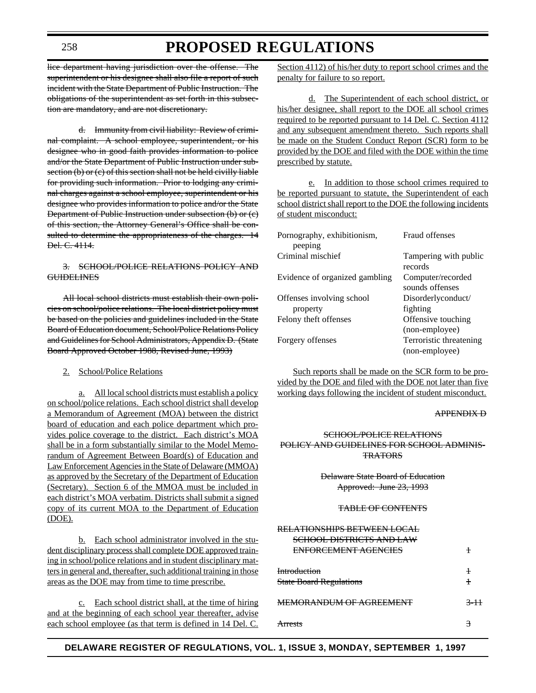## **PROPOSED REGULATIONS**

lice department having jurisdiction over the offense. The superintendent or his designee shall also file a report of such incident with the State Department of Public Instruction. The obligations of the superintendent as set forth in this subsection are mandatory, and are not discretionary.

d. Immunity from civil liability: Review of criminal complaint. A school employee, superintendent, or his designee who in good faith provides information to police and/or the State Department of Public Instruction under subsection (b) or (c) of this section shall not be held civilly liable for providing such information. Prior to lodging any criminal charges against a school employee, superintendent or his designee who provides information to police and/or the State Department of Public Instruction under subsection (b) or (c) of this section, the Attorney General's Office shall be consulted to determine the appropriateness of the charges. 14 Del. C. 4114.

### 3. SCHOOL/POLICE RELATIONS POLICY AND **GUIDELINES**

All local school districts must establish their own policies on school/police relations. The local district policy must be based on the policies and guidelines included in the State Board of Education document, School/Police Relations Policy and Guidelines for School Administrators, Appendix D. (State Board Approved October 1988, Revised June, 1993)

2. School/Police Relations

a. All local school districts must establish a policy on school/police relations. Each school district shall develop a Memorandum of Agreement (MOA) between the district board of education and each police department which provides police coverage to the district. Each district's MOA shall be in a form substantially similar to the Model Memorandum of Agreement Between Board(s) of Education and Law Enforcement Agencies in the State of Delaware (MMOA) as approved by the Secretary of the Department of Education (Secretary). Section 6 of the MMOA must be included in each district's MOA verbatim. Districts shall submit a signed copy of its current MOA to the Department of Education (DOE).

b. Each school administrator involved in the student disciplinary process shall complete DOE approved training in school/police relations and in student disciplinary matters in general and, thereafter, such additional training in those areas as the DOE may from time to time prescribe.

c. Each school district shall, at the time of hiring and at the beginning of each school year thereafter, advise each school employee (as that term is defined in 14 Del. C.

Section 4112) of his/her duty to report school crimes and the penalty for failure to so report.

d. The Superintendent of each school district, or his/her designee, shall report to the DOE all school crimes required to be reported pursuant to 14 Del. C. Section 4112 and any subsequent amendment thereto. Such reports shall be made on the Student Conduct Report (SCR) form to be provided by the DOE and filed with the DOE within the time prescribed by statute.

e. In addition to those school crimes required to be reported pursuant to statute, the Superintendent of each school district shall report to the DOE the following incidents of student misconduct:

| Pornography, exhibitionism,<br>peeping | Fraud offenses                       |
|----------------------------------------|--------------------------------------|
| Criminal mischief                      | Tampering with public<br>records     |
| Evidence of organized gambling         | Computer/recorded<br>sounds offenses |
| Offenses involving school              | Disorderlyconduct/                   |
| property                               | fighting                             |
| Felony theft offenses                  | Offensive touching                   |
|                                        | (non-employee)                       |
| Forgery offenses                       | Terroristic threatening              |
|                                        | (non-employee)                       |

Such reports shall be made on the SCR form to be provided by the DOE and filed with the DOE not later than five working days following the incident of student misconduct.

#### APPENDIX D

### SCHOOL/POLICE RELATIONS POLICY AND GUIDELINES FOR SCHOOL ADMINIS-TRATORS

### Delaware State Board of Education Approved: June 23, 1993

#### TABLE OF CONTENTS

| RELATIONSHIPS BETWEEN LOCAL<br><b>SCHOOL DISTRICTS AND LAW</b> |                          |
|----------------------------------------------------------------|--------------------------|
| ENFORCEMENT AGENCIES                                           | $\ddagger$               |
| <b>Introduction</b><br><b>State Board Regulations</b>          | $\ddagger$<br>$\ddagger$ |
| <b>MEMORANDUM OF AGREEMENT</b>                                 | $-11$                    |
| <del>Arreste</del>                                             |                          |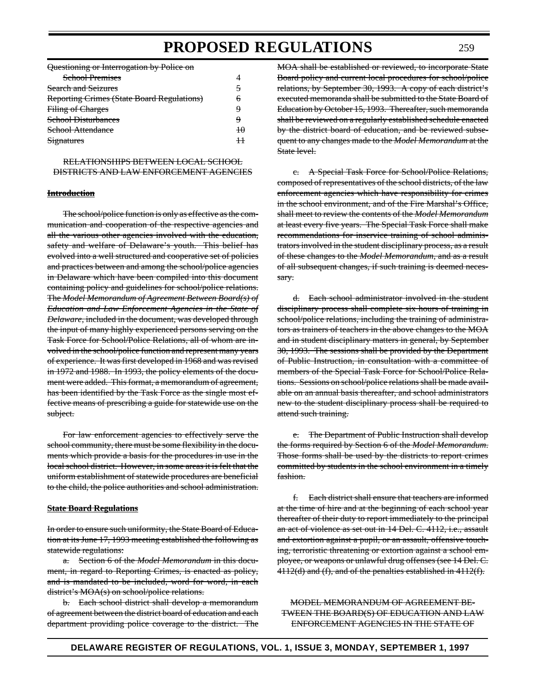Questioning or Interrogation by Police on

| <b>School Premises</b>                            |        |
|---------------------------------------------------|--------|
| <b>Search and Seizures</b>                        | ₹      |
| <b>Reporting Crimes (State Board Regulations)</b> | 6      |
| Filing of Charges                                 | 4      |
| <b>School Disturbances</b>                        | 4      |
| School Attendance                                 | $+A$   |
| Signatures                                        | $^{+}$ |

RELATIONSHIPS BETWEEN LOCAL SCHOOL DISTRICTS AND LAW ENFORCEMENT AGENCIES

#### **Introduction**

The school/police function is only as effective as the communication and cooperation of the respective agencies and all the various other agencies involved with the education, safety and welfare of Delaware's youth. This belief has evolved into a well structured and cooperative set of policies and practices between and among the school/police agencies in Delaware which have been compiled into this document containing policy and guidelines for school/police relations. The *Model Memorandum of Agreement Between Board(s) of Education and Law Enforcement Agencies in the State of Delaware*, included in the document, was developed through the input of many highly experienced persons serving on the Task Force for School/Police Relations, all of whom are involved in the school/police function and represent many years of experience. It was first developed in 1968 and was revised in 1972 and 1988. In 1993, the policy elements of the document were added. This format, a memorandum of agreement, has been identified by the Task Force as the single most effective means of prescribing a guide for statewide use on the subject.

For law enforcement agencies to effectively serve the school community, there must be some flexibility in the documents which provide a basis for the procedures in use in the local school district. However, in some areas it is felt that the uniform establishment of statewide procedures are beneficial to the child, the police authorities and school administration.

#### **State Board Regulations**

In order to ensure such uniformity, the State Board of Education at its June 17, 1993 meeting established the following as statewide regulations:

a. Section 6 of the *Model Memorandum* in this document, in regard to Reporting Crimes, is enacted as policy, and is mandated to be included, word for word, in each district's MOA(s) on school/police relations.

b. Each school district shall develop a memorandum of agreement between the district board of education and each department providing police coverage to the district. The MOA shall be established or reviewed, to incorporate State Board policy and current local procedures for school/police relations, by September 30, 1993. A copy of each district's executed memoranda shall be submitted to the State Board of Education by October 15, 1993. Thereafter, such memoranda shall be reviewed on a regularly established schedule enacted by the district board of education, and be reviewed subsequent to any changes made to the *Model Memorandum* at the State level.

c. A Special Task Force for School/Police Relations, composed of representatives of the school districts, of the law enforcement agencies which have responsibility for crimes in the school environment, and of the Fire Marshal's Office, shall meet to review the contents of the *Model Memorandum* at least every five years. The Special Task Force shall make recommendations for inservice training of school administrators involved in the student disciplinary process, as a result of these changes to the *Model Memorandum*, and as a result of all subsequent changes, if such training is deemed necessary.

d. Each school administrator involved in the student disciplinary process shall complete six hours of training in school/police relations, including the training of administrators as trainers of teachers in the above changes to the MOA and in student disciplinary matters in general, by September 30, 1993. The sessions shall be provided by the Department of Public Instruction, in consultation with a committee of members of the Special Task Force for School/Police Relations. Sessions on school/police relations shall be made available on an annual basis thereafter, and school administrators new to the student disciplinary process shall be required to attend such training.

e. The Department of Public Instruction shall develop the forms required by Section 6 of the *Model Memorandum*. Those forms shall be used by the districts to report crimes committed by students in the school environment in a timely fashion.

f. Each district shall ensure that teachers are informed at the time of hire and at the beginning of each school year thereafter of their duty to report immediately to the principal an act of violence as set out in 14 Del. C. 4112, i.e., assault and extortion against a pupil, or an assault, offensive touching, terroristic threatening or extortion against a school employee, or weapons or unlawful drug offenses (see 14 Del. C. 4112(d) and (f), and of the penalties established in 4112(f).

MODEL MEMORANDUM OF AGREEMENT BE-TWEEN THE BOARD(S) OF EDUCATION AND LAW ENFORCEMENT AGENCIES IN THE STATE OF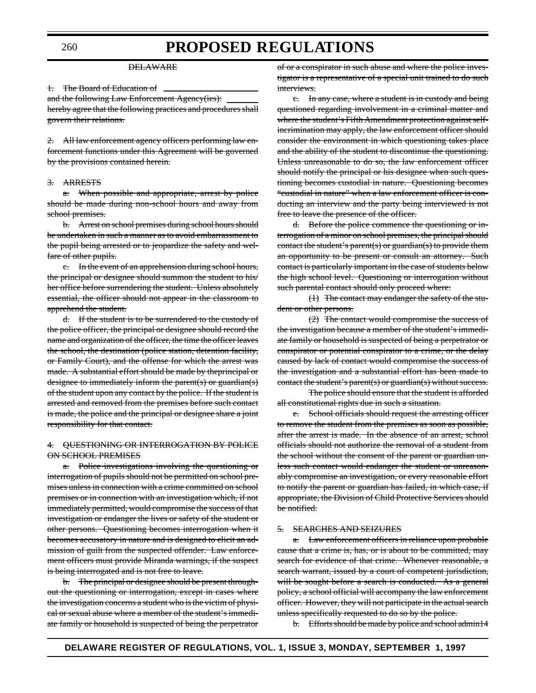#### DELAWARE

1. The Board of Education of

and the following Law Enforcement Agency(ies): hereby agree that the following practices and procedures shall govern their relations.

2. All law enforcement agency officers performing law enforcement functions under this Agreement will be governed by the provisions contained herein.

### 3. ARRESTS

When possible and appropriate, arrest by police should be made during non-school hours and away from school premises.

b. Arrest on school premises during school hours should be undertaken in such a manner as to avoid embarrassment to the pupil being arrested or to jeopardize the safety and welfare of other pupils.

c. In the event of an apprehension during school hours, the principal or designee should summon the student to his/ her office before surrendering the student. Unless absolutely essential, the officer should not appear in the classroom to apprehend the student.

d. If the student is to be surrendered to the custody of the police officer, the principal or designee should record the name and organization of the officer, the time the officer leaves the school, the destination (police station, detention facility, or Family Court), and the offense for which the arrest was made. A substantial effort should be made by theprincipal or designee to immediately inform the parent(s) or guardian(s) of the student upon any contact by the police. If the student is arrested and removed from the premises before such contact is made, the police and the principal or designee share a joint responsibility for that contact.

#### 4. QUESTIONING OR INTERROGATION BY POLICE ON SCHOOL PREMISES

Police investigations involving the questioning or interrogation of pupils should not be permitted on school premises unless in connection with a crime committed on school premises or in connection with an investigation which, if not immediately permitted, would compromise the success of that investigation or endanger the lives or safety of the student or other persons. Questioning becomes interrogation when it becomes accusatory in nature and is designed to elicit an admission of guilt from the suspected offender. Law enforcement officers must provide Miranda warnings, if the suspect is being interrogated and is not free to leave.

b. The principal or designee should be present throughout the questioning or interrogation, except in cases where the investigation concerns a student who is the victim of physical or sexual abuse where a member of the student's immediate family or household is suspected of being the perpetrator

of or a conspirator in such abuse and where the police investigator is a representative of a special unit trained to do such interviews.

c. In any case, where a student is in custody and being questioned regarding involvement in a criminal matter and where the student's Fifth Amendment protection against selfincrimination may apply, the law enforcement officer should consider the environment in which questioning takes place and the ability of the student to discontinue the questioning. Unless unreasonable to do so, the law enforcement officer should notify the principal or his designee when such questioning becomes custodial in nature. Questioning becomes "custodial in nature" when a law enforcement officer is conducting an interview and the party being interviewed is not free to leave the presence of the officer.

d. Before the police commence the questioning or interrogation of a minor on school premises, the principal should contact the student's parent(s) or guardian(s) to provide them an opportunity to be present or consult an attorney. Such contact is particularly important in the case of students below the high school level. Questioning or interrogation without such parental contact should only proceed where:

(1) The contact may endanger the safety of the student or other persons.

(2) The contact would compromise the success of the investigation because a member of the student's immediate family or household is suspected of being a perpetrator or conspirator or potential conspirator to a crime, or the delay caused by lack of contact would compromise the success of the investigation and a substantial effort has been made to contact the student's parent(s) or guardian(s) without success.

The police should ensure that the student is afforded all constitutional rights due in such a situation.

School officials should request the arresting officer to remove the student from the premises as soon as possible, after the arrest is made. In the absence of an arrest, school officials should not authorize the removal of a student from the school without the consent of the parent or guardian unless such contact would endanger the student or unreasonably compromise an investigation, or every reasonable effort to notify the parent or guardian has failed, in which case, if appropriate, the Division of Child Protective Services should be notified.

#### 5. SEARCHES AND SEIZURES

a. Law enforcement officers in reliance upon probable cause that a crime is, has, or is about to be committed, may search for evidence of that crime. Whenever reasonable, a search warrant, issued by a court of competent jurisdiction, will be sought before a search is conducted. As a general policy, a school official will accompany the law enforcement officer. However, they will not participate in the actual search unless specifically requested to do so by the police.

b. Efforts should be made by police and school admin14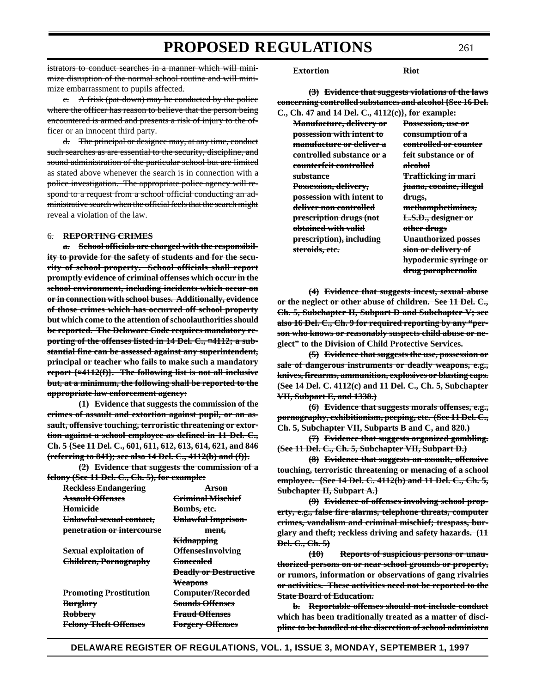istrators to conduct searches in a manner which will minimize disruption of the normal school routine and will minimize embarrassment to pupils affected.

c. A frisk (pat-down) may be conducted by the police where the officer has reason to believe that the person being encountered is armed and presents a risk of injury to the officer or an innocent third party.

d. The principal or designee may, at any time, conduct such searches as are essential to the security, discipline, and sound administration of the particular school but are limited as stated above whenever the search is in connection with a police investigation. The appropriate police agency will respond to a request from a school official conducting an administrative search when the official feels that the search might reveal a violation of the law.

#### 6. **REPORTING CRIMES**

**a. School officials are charged with the responsibility to provide for the safety of students and for the security of school property. School officials shall report promptly evidence of criminal offenses which occur in the school environment, including incidents which occur on or in connection with school buses. Additionally, evidence of those crimes which has occurred off school property but which come to the attention of schoolauthorities should be reported. The Delaware Code requires mandatory reporting of the offenses listed in 14 Del. C., ¤4112; a substantial fine can be assessed against any superintendent, principal or teacher who fails to make such a mandatory report {¤4112(f)}. The following list is not all inclusive but, at a minimum, the following shall be reported to the appropriate law enforcement agency:**

**(1) Evidence that suggests the commission of the crimes of assault and extortion against pupil, or an assault, offensive touching, terroristic threatening or extortion against a school employee as defined in 11 Del. C., Ch. 5 {See 11 Del. C., 601, 611, 612, 613, 614, 621, and 846 (referring to 841); see also 14 Del. C., 4112(b) and (f)}.**

**(2) Evidence that suggests the commission of a felony (See 11 Del. C., Ch. 5), for example:**

| Reckless Endangering          | <del>Arson</del>             |
|-------------------------------|------------------------------|
| <b>Assault Offenses</b>       | <b>Criminal Mischief</b>     |
| <del>Homicide</del>           | <del>Bombs, etc.</del>       |
| Unlawful sexual contact,      | Unlawful Imprison-           |
| penetration or intercourse    | ment,                        |
|                               | <del>Kidnapping</del>        |
| Sexual exploitation of        | <b>OffensesInvolving</b>     |
| Children, Pornography         | <del>Concealed</del>         |
|                               | <b>Deadly or Destructive</b> |
|                               | <b>Weapons</b>               |
| <b>Promoting Prostitution</b> | Computer/Recorded            |
| <del>Burglary</del>           | <b>Sounds Offenses</b>       |
| <b>Robbery</b>                | <b>Fraud Offenses</b>        |
| <b>Felony Theft Offenses</b>  | <b>Forgery Offenses</b>      |
|                               |                              |

**Extortion Riot**

**(3) Evidence that suggests violations of the laws concerning controlled substances and alcohol {See 16 Del. C., Ch. 47 and 14 Del. C., 4112(c)}, for example:**

**Manufacture, delivery or Possession, use or possession with intent to consumption of a manufacture or deliver a controlled or counter controlled substance or a feit substance or of counterfeit controlled alcohol substance Trafficking in mari Possession, delivery, juana, cocaine, illegal possession with intent to drugs, deliver non controlled methamphetimines, prescription drugs (not L.S.D., designer or obtained with valid other drugs prescription), including Unauthorized posses steroids, etc. sion or delivery of**

**hypodermic syringe or drug paraphernalia**

**(4) Evidence that suggests incest, sexual abuse or the neglect or other abuse of children. See 11 Del. C., Ch. 5, Subchapter II, Subpart D and Subchapter V; see also 16 Del. C., Ch. 9 for required reporting by any "person who knows or reasonably suspects child abuse or neglect" to the Division of Child Protective Services.**

**(5) Evidence that suggests the use, possession or sale of dangerous instruments or deadly weapons, e.g., knives, firearms, ammunition, explosives or blasting caps. (See 14 Del. C. 4112(c) and 11 Del. C., Ch. 5, Subchapter VII, Subpart E, and 1338.)**

**(6) Evidence that suggests morals offenses, e.g., pornography, exhibitionism, peeping, etc. (See 11 Del. C., Ch. 5, Subchapter VII, Subparts B and C, and 820.)**

**(7) Evidence that suggests organized gambling. (See 11 Del. C., Ch. 5, Subchapter VII, Subpart D.)**

**(8) Evidence that suggests an assault, offensive touching, terroristic threatening or menacing of a school employee. {See 14 Del. C. 4112(b) and 11 Del. C., Ch. 5, Subchapter II, Subpart A.}**

**(9) Evidence of offenses involving school property, e.g., false fire alarms, telephone threats, computer crimes, vandalism and criminal mischief; trespass, burglary and theft; reckless driving and safety hazards. (11 Del. C., Ch. 5)**

**(10) Reports of suspicious persons or unauthorized persons on or near school grounds or property, or rumors, information or observations of gang rivalries or activities. These activities need not be reported to the State Board of Education.**

**b. Reportable offenses should not include conduct which has been traditionally treated as a matter of discipline to be handled at the discretion of school administra**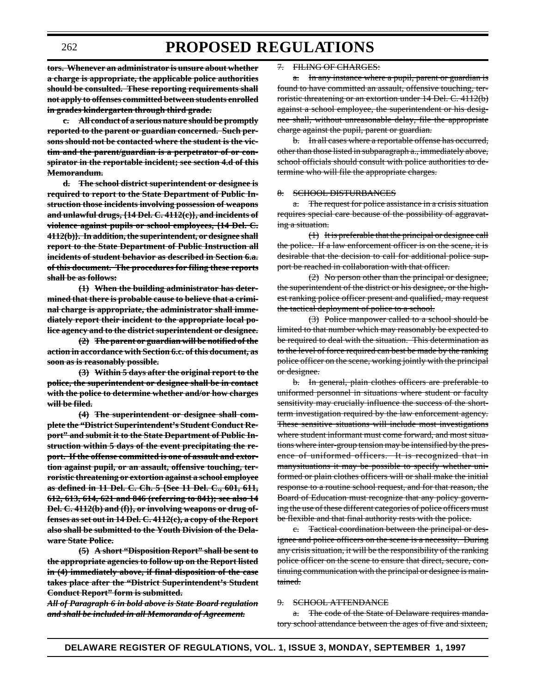**tors. Whenever an administrator is unsure about whether a charge is appropriate, the applicable police authorities should be consulted. These reporting requirements shall not apply to offenses committed between students enrolled in grades kindergarten through third grade.**

**c. All conduct of a serious nature should be promptly reported to the parent or guardian concerned. Such persons should not be contacted where the student is the victim and the parent/guardian is a perpetrator of or conspirator in the reportable incident; see section 4.d of this Memorandum.**

**d. The school district superintendent or designee is required to report to the State Department of Public Instruction those incidents involving possession of weapons and unlawful drugs, {14 Del. C. 4112(c)}, and incidents of violence against pupils or school employees, {14 Del. C. 4112(b)}. In addition, the superintendent, or designee shall report to the State Department of Public Instruction all incidents of student behavior as described in Section 6.a. of this document. The procedures for filing these reports shall be as follows:**

**(1) When the building administrator has determined that there is probable cause to believe that a criminal charge is appropriate, the administrator shall immediately report their incident to the appropriate local police agency and to the district superintendent or designee.**

**(2) The parent or guardian will be notified of the action in accordance with Section 6.c. of this document, as soon as is reasonably possible.**

**(3) Within 5 days after the original report to the police, the superintendent or designee shall be in contact with the police to determine whether and/or how charges will be filed.**

**(4) The superintendent or designee shall complete the "District Superintendent's Student Conduct Report" and submit it to the State Department of Public Instruction within 5 days of the event precipitating the report. If the offense committed is one of assault and extortion against pupil, or an assault, offensive touching, terroristic threatening or extortion against a school employee as defined in 11 Del. C. Ch. 5 {See 11 Del. C., 601, 611, 612, 613, 614, 621 and 846 (referring to 841); see also 14 Del. C. 4112(b) and (f)}, or involving weapons or drug offenses as set out in 14 Del. C. 4112(c), a copy of the Report also shall be submitted to the Youth Division of the Delaware State Police.**

**(5) A short "Disposition Report" shall be sent to the appropriate agencies to follow up on the Report listed in (4) immediately above, if final disposition of the case takes place after the "District Superintendent's Student Conduct Report" form is submitted.**

*All of Paragraph 6 in bold above is State Board regulation and shall be included in all Memoranda of Agreement.*

#### 7. FILING OF CHARGES:

a. In any instance where a pupil, parent or guardian is found to have committed an assault, offensive touching, terroristic threatening or an extortion under 14 Del. C. 4112(b) against a school employee, the superintendent or his designee shall, without unreasonable delay, file the appropriate charge against the pupil, parent or guardian.

b. In all cases where a reportable offense has occurred, other than those listed in subparagraph a., immediately above, school officials should consult with police authorities to determine who will file the appropriate charges.

#### 8. SCHOOL DISTURBANCES

a. The request for police assistance in a crisis situation requires special care because of the possibility of aggravating a situation.

(1) It is preferable that the principal or designee call the police. If a law enforcement officer is on the scene, it is desirable that the decision to call for additional police support be reached in collaboration with that officer.

 $(2)$  No person other than the principal or designee, the superintendent of the district or his designee, or the highest ranking police officer present and qualified, may request the tactical deployment of police to a school.

(3) Police manpower called to a school should be limited to that number which may reasonably be expected to be required to deal with the situation. This determination as to the level of force required can best be made by the ranking police officer on the scene, working jointly with the principal or designee.

b. In general, plain clothes officers are preferable to uniformed personnel in situations where student or faculty sensitivity may crucially influence the success of the shortterm investigation required by the law enforcement agency. These sensitive situations will include most investigations where student informant must come forward, and most situations where inter-group tension may be intensified by the presence of uniformed officers. It is recognized that in manysituations it may be possible to specify whether uniformed or plain clothes officers will or shall make the initial response to a routine school request, and for that reason, the Board of Education must recognize that any policy governing the use of these different categories of police officers must be flexible and that final authority rests with the police.

c. Tactical coordination between the principal or designee and police officers on the scene is a necessity. During any crisis situation, it will be the responsibility of the ranking police officer on the scene to ensure that direct, secure, continuing communication with the principal or designee is maintained.

#### 9. SCHOOL ATTENDANCE

a. The code of the State of Delaware requires mandatory school attendance between the ages of five and sixteen,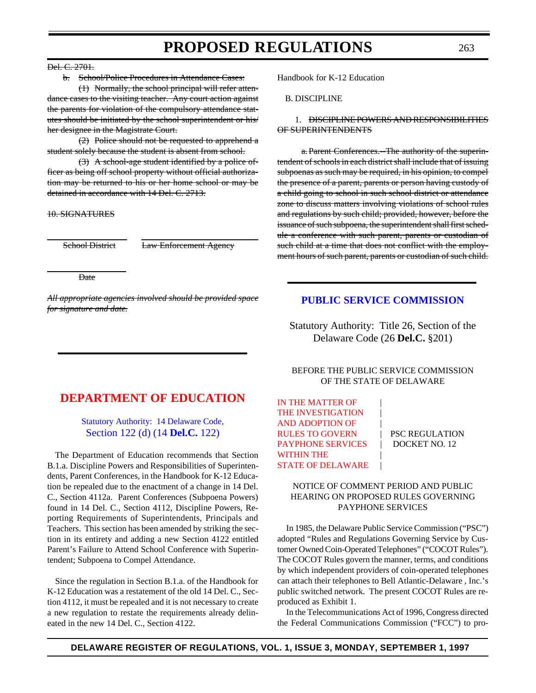#### Del. C. 2701.

b. School/Police Procedures in Attendance Cases:

(1) Normally, the school principal will refer attendance cases to the visiting teacher. Any court action against the parents for violation of the compulsory attendance statutes should be initiated by the school superintendent or his/ her designee in the Magistrate Court.

(2) Police should not be requested to apprehend  $\alpha$ student solely because the student is absent from school.

(3) A school-age student identified by a police officer as being off school property without official authorization may be returned to his or her home school or may be detained in accordance with 14 Del. C. 2713.

### 10. SIGNATURES

School District Law Enforcement Agency

Date

*All appropriate agencies involved should be provided space for signature and date.*

## **[DEPARTMENT OF EDUCATION](#page-3-0)**

### [Statutory Authority: 14 Delaware Code,](http://www.state.de.us/high-ed/intro.htm) Section 122 (d) (14 **Del.C.** 122)

The Department of Education recommends that Section B.1.a. Discipline Powers and Responsibilities of Superintendents, Parent Conferences, in the Handbook for K-12 Education be repealed due to the enactment of a change in 14 Del. C., Section 4112a. Parent Conferences (Subpoena Powers) found in 14 Del. C., Section 4112, Discipline Powers, Reporting Requirements of Superintendents, Principals and Teachers. This section has been amended by striking the section in its entirety and adding a new Section 4122 entitled Parent's Failure to Attend School Conference with Superintendent; Subpoena to Compel Attendance.

Since the regulation in Section B.1.a. of the Handbook for K-12 Education was a restatement of the old 14 Del. C., Section 4112, it must be repealed and it is not necessary to create a new regulation to restate the requirements already delineated in the new 14 Del. C., Section 4122.

Handbook for K-12 Education

B. DISCIPLINE

### 1. DISCIPLINE POWERS AND RESPONSIBILITIES OF SUPERINTENDENTS

a. Parent Conferences.--The authority of the superintendent of schools in each district shall include that of issuing subpoenas as such may be required, in his opinion, to compel the presence of a parent, parents or person having custody of a child going to school in such school district or attendance zone to discuss matters involving violations of school rules and regulations by such child; provided, however, before the issuance of such subpoena, the superintendent shall first schedule a conference with such parent, parents or custodian of such child at a time that does not conflict with the employment hours of such parent, parents or custodian of such child.

### **[PUBLIC SERVICE COMMISSION](http://www.state.de.us/govern/agencies/pubservc/delpsc.htm)**

Statutory Authority: Title 26, Section of the Delaware Code (26 **Del.C.** §201)

### BEFORE THE PUBLIC SERVICE COMMISSION OF THE STATE OF DELAWARE

IN THE MATTER OF THE INVESTIGATION AND ADOPTION OF | RULES TO GOVERN | PSC REGULATION PAYPHONE SERVICES | DOCKET NO. 12 WITHIN THE [STATE OF DELAWARE](#page-4-0)

### NOTICE OF COMMENT PERIOD AND PUBLIC HEARING ON PROPOSED RULES GOVERNING PAYPHONE SERVICES

In 1985, the Delaware Public Service Commission ("PSC") adopted "Rules and Regulations Governing Service by Customer Owned Coin-Operated Telephones" ("COCOT Rules"). The COCOT Rules govern the manner, terms, and conditions by which independent providers of coin-operated telephones can attach their telephones to Bell Atlantic-Delaware , Inc.'s public switched network. The present COCOT Rules are reproduced as Exhibit 1.

In the Telecommunications Act of 1996, Congress directed the Federal Communications Commission ("FCC") to pro-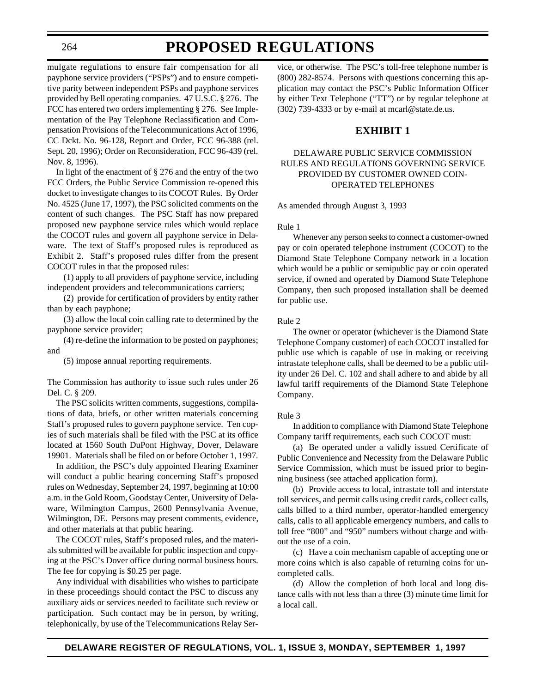## **PROPOSED REGULATIONS**

mulgate regulations to ensure fair compensation for all payphone service providers ("PSPs") and to ensure competitive parity between independent PSPs and payphone services provided by Bell operating companies. 47 U.S.C. § 276. The FCC has entered two orders implementing § 276. See Implementation of the Pay Telephone Reclassification and Compensation Provisions of the Telecommunications Act of 1996, CC Dckt. No. 96-128, Report and Order, FCC 96-388 (rel. Sept. 20, 1996); Order on Reconsideration, FCC 96-439 (rel. Nov. 8, 1996).

In light of the enactment of § 276 and the entry of the two FCC Orders, the Public Service Commission re-opened this docket to investigate changes to its COCOT Rules. By Order No. 4525 (June 17, 1997), the PSC solicited comments on the content of such changes. The PSC Staff has now prepared proposed new payphone service rules which would replace the COCOT rules and govern all payphone service in Delaware. The text of Staff's proposed rules is reproduced as Exhibit 2. Staff's proposed rules differ from the present COCOT rules in that the proposed rules:

(1) apply to all providers of payphone service, including independent providers and telecommunications carriers;

(2) provide for certification of providers by entity rather than by each payphone;

(3) allow the local coin calling rate to determined by the payphone service provider;

(4) re-define the information to be posted on payphones; and

(5) impose annual reporting requirements.

The Commission has authority to issue such rules under 26 Del. C. § 209.

The PSC solicits written comments, suggestions, compilations of data, briefs, or other written materials concerning Staff's proposed rules to govern payphone service. Ten copies of such materials shall be filed with the PSC at its office located at 1560 South DuPont Highway, Dover, Delaware 19901. Materials shall be filed on or before October 1, 1997.

In addition, the PSC's duly appointed Hearing Examiner will conduct a public hearing concerning Staff's proposed rules on Wednesday, September 24, 1997, beginning at 10:00 a.m. in the Gold Room, Goodstay Center, University of Delaware, Wilmington Campus, 2600 Pennsylvania Avenue, Wilmington, DE. Persons may present comments, evidence, and other materials at that public hearing.

The COCOT rules, Staff's proposed rules, and the materials submitted will be available for public inspection and copying at the PSC's Dover office during normal business hours. The fee for copying is \$0.25 per page.

Any individual with disabilities who wishes to participate in these proceedings should contact the PSC to discuss any auxiliary aids or services needed to facilitate such review or participation. Such contact may be in person, by writing, telephonically, by use of the Telecommunications Relay Ser-

vice, or otherwise. The PSC's toll-free telephone number is (800) 282-8574. Persons with questions concerning this application may contact the PSC's Public Information Officer by either Text Telephone ("TT") or by regular telephone at (302) 739-4333 or by e-mail at mcarl@state.de.us.

### **EXHIBIT 1**

### DELAWARE PUBLIC SERVICE COMMISSION RULES AND REGULATIONS GOVERNING SERVICE PROVIDED BY CUSTOMER OWNED COIN-OPERATED TELEPHONES

As amended through August 3, 1993

Rule 1

Whenever any person seeks to connect a customer-owned pay or coin operated telephone instrument (COCOT) to the Diamond State Telephone Company network in a location which would be a public or semipublic pay or coin operated service, if owned and operated by Diamond State Telephone Company, then such proposed installation shall be deemed for public use.

Rule 2

The owner or operator (whichever is the Diamond State Telephone Company customer) of each COCOT installed for public use which is capable of use in making or receiving intrastate telephone calls, shall be deemed to be a public utility under 26 Del. C. 102 and shall adhere to and abide by all lawful tariff requirements of the Diamond State Telephone Company.

#### Rule 3

In addition to compliance with Diamond State Telephone Company tariff requirements, each such COCOT must:

(a) Be operated under a validly issued Certificate of Public Convenience and Necessity from the Delaware Public Service Commission, which must be issued prior to beginning business (see attached application form).

(b) Provide access to local, intrastate toll and interstate toll services, and permit calls using credit cards, collect calls, calls billed to a third number, operator-handled emergency calls, calls to all applicable emergency numbers, and calls to toll free "800" and "950" numbers without charge and without the use of a coin.

(c) Have a coin mechanism capable of accepting one or more coins which is also capable of returning coins for uncompleted calls.

(d) Allow the completion of both local and long distance calls with not less than a three (3) minute time limit for a local call.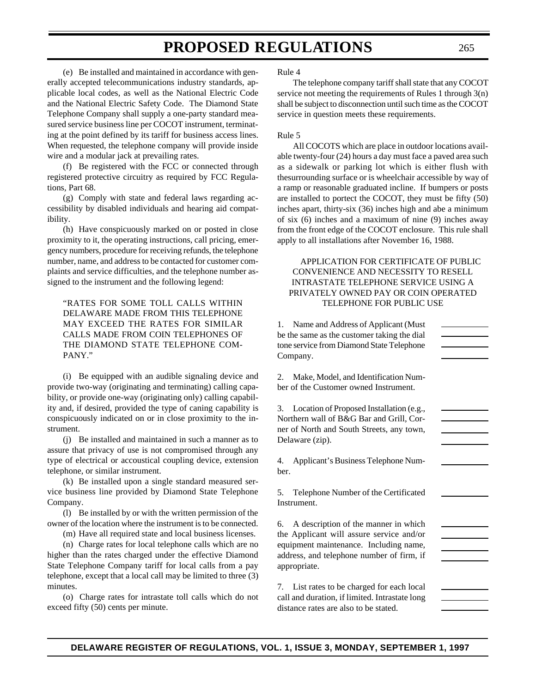(e) Be installed and maintained in accordance with generally accepted telecommunications industry standards, applicable local codes, as well as the National Electric Code and the National Electric Safety Code. The Diamond State Telephone Company shall supply a one-party standard measured service business line per COCOT instrument, terminating at the point defined by its tariff for business access lines. When requested, the telephone company will provide inside wire and a modular jack at prevailing rates.

(f) Be registered with the FCC or connected through registered protective circuitry as required by FCC Regulations, Part 68.

(g) Comply with state and federal laws regarding accessibility by disabled individuals and hearing aid compatibility.

(h) Have conspicuously marked on or posted in close proximity to it, the operating instructions, call pricing, emergency numbers, procedure for receiving refunds, the telephone number, name, and address to be contacted for customer complaints and service difficulties, and the telephone number assigned to the instrument and the following legend:

"RATES FOR SOME TOLL CALLS WITHIN DELAWARE MADE FROM THIS TELEPHONE MAY EXCEED THE RATES FOR SIMILAR CALLS MADE FROM COIN TELEPHONES OF THE DIAMOND STATE TELEPHONE COM-PANY."

(i) Be equipped with an audible signaling device and provide two-way (originating and terminating) calling capability, or provide one-way (originating only) calling capability and, if desired, provided the type of caning capability is conspicuously indicated on or in close proximity to the instrument.

(j) Be installed and maintained in such a manner as to assure that privacy of use is not compromised through any type of electrical or accoustical coupling device, extension telephone, or similar instrument.

(k) Be installed upon a single standard measured service business line provided by Diamond State Telephone Company.

(l) Be installed by or with the written permission of the owner of the location where the instrument is to be connected.

(m) Have all required state and local business licenses.

(n) Charge rates for local telephone calls which are no higher than the rates charged under the effective Diamond State Telephone Company tariff for local calls from a pay telephone, except that a local call may be limited to three (3) minutes.

(o) Charge rates for intrastate toll calls which do not exceed fifty (50) cents per minute.

Rule 4

The telephone company tariff shall state that any COCOT service not meeting the requirements of Rules 1 through 3(n) shall be subject to disconnection until such time as the COCOT service in question meets these requirements.

#### Rule 5

All COCOTS which are place in outdoor locations available twenty-four (24) hours a day must face a paved area such as a sidewalk or parking lot which is either flush with thesurrounding surface or is wheelchair accessible by way of a ramp or reasonable graduated incline. If bumpers or posts are installed to portect the COCOT, they must be fifty (50) inches apart, thirty-six (36) inches high and abe a minimum of six (6) inches and a maximum of nine (9) inches away from the front edge of the COCOT enclosure. This rule shall apply to all installations after November 16, 1988.

APPLICATION FOR CERTIFICATE OF PUBLIC CONVENIENCE AND NECESSITY TO RESELL INTRASTATE TELEPHONE SERVICE USING A PRIVATELY OWNED PAY OR COIN OPERATED TELEPHONE FOR PUBLIC USE

1. Name and Address of Applicant (Must be the same as the customer taking the dial tone service from Diamond State Telephone Company.

2. Make, Model, and Identification Number of the Customer owned Instrument.

3. Location of Proposed Installation (e.g., Northern wall of B&G Bar and Grill, Corner of North and South Streets, any town, Delaware (zip).

4. Applicant's Business Telephone Number.

5. Telephone Number of the Certificated Instrument.

6. A description of the manner in which the Applicant will assure service and/or equipment maintenance. Including name, address, and telephone number of firm, if appropriate.

7. List rates to be charged for each local call and duration, if limited. Intrastate long distance rates are also to be stated.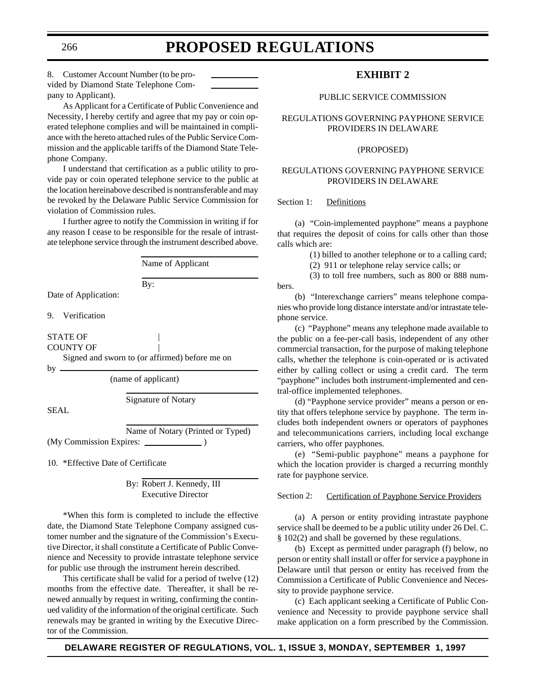8. Customer Account Number (to be provided by Diamond State Telephone Company to Applicant).

As Applicant for a Certificate of Public Convenience and Necessity, I hereby certify and agree that my pay or coin operated telephone complies and will be maintained in compliance with the hereto attached rules of the Public Service Commission and the applicable tariffs of the Diamond State Telephone Company.

I understand that certification as a public utility to provide pay or coin operated telephone service to the public at the location hereinabove described is nontransferable and may be revoked by the Delaware Public Service Commission for violation of Commission rules.

I further agree to notify the Commission in writing if for any reason I cease to be responsible for the resale of intrastate telephone service through the instrument described above.

Name of Applicant By: Date of Application: 9. Verification STATE OF | COUNTY OF Signed and sworn to (or affirmed) before me on by (name of applicant) Signature of Notary SEAL Name of Notary (Printed or Typed) (My Commission Expires: )

10. \*Effective Date of Certificate

By: Robert J. Kennedy, III Executive Director

\*When this form is completed to include the effective date, the Diamond State Telephone Company assigned customer number and the signature of the Commission's Executive Director, it shall constitute a Certificate of Public Convenience and Necessity to provide intrastate telephone service for public use through the instrument herein described.

This certificate shall be valid for a period of twelve (12) months from the effective date. Thereafter, it shall be renewed annually by request in writing, confirming the continued validity of the information of the original certificate. Such renewals may be granted in writing by the Executive Director of the Commission.

## **EXHIBIT 2**

### PUBLIC SERVICE COMMISSION

REGULATIONS GOVERNING PAYPHONE SERVICE PROVIDERS IN DELAWARE

### (PROPOSED)

### REGULATIONS GOVERNING PAYPHONE SERVICE PROVIDERS IN DELAWARE

### Section 1: Definitions

(a) "Coin-implemented payphone" means a payphone that requires the deposit of coins for calls other than those calls which are:

(1) billed to another telephone or to a calling card;

(2) 911 or telephone relay service calls; or

(3) to toll free numbers, such as 800 or 888 numbers.

(b) "Interexchange carriers" means telephone companies who provide long distance interstate and/or intrastate telephone service.

(c) "Payphone" means any telephone made available to the public on a fee-per-call basis, independent of any other commercial transaction, for the purpose of making telephone calls, whether the telephone is coin-operated or is activated either by calling collect or using a credit card. The term "payphone" includes both instrument-implemented and central-office implemented telephones.

(d) "Payphone service provider" means a person or entity that offers telephone service by payphone. The term includes both independent owners or operators of payphones and telecommunications carriers, including local exchange carriers, who offer payphones.

(e) "Semi-public payphone" means a payphone for which the location provider is charged a recurring monthly rate for payphone service.

### Section 2: Certification of Payphone Service Providers

(a) A person or entity providing intrastate payphone service shall be deemed to be a public utility under 26 Del. C. § 102(2) and shall be governed by these regulations.

(b) Except as permitted under paragraph (f) below, no person or entity shall install or offer for service a payphone in Delaware until that person or entity has received from the Commission a Certificate of Public Convenience and Necessity to provide payphone service.

(c) Each applicant seeking a Certificate of Public Convenience and Necessity to provide payphone service shall make application on a form prescribed by the Commission.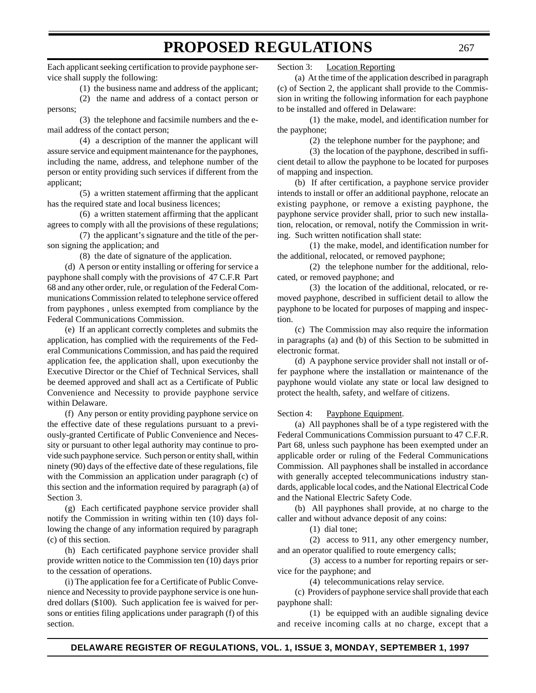Each applicant seeking certification to provide payphone service shall supply the following:

(1) the business name and address of the applicant;

(2) the name and address of a contact person or persons;

(3) the telephone and facsimile numbers and the email address of the contact person;

(4) a description of the manner the applicant will assure service and equipment maintenance for the payphones, including the name, address, and telephone number of the person or entity providing such services if different from the applicant;

(5) a written statement affirming that the applicant has the required state and local business licences;

(6) a written statement affirming that the applicant agrees to comply with all the provisions of these regulations;

(7) the applicant's signature and the title of the person signing the application; and

(8) the date of signature of the application.

(d) A person or entity installing or offering for service a payphone shall comply with the provisions of 47 C.F.R Part 68 and any other order, rule, or regulation of the Federal Communications Commission related to telephone service offered from payphones , unless exempted from compliance by the Federal Communications Commission.

(e) If an applicant correctly completes and submits the application, has complied with the requirements of the Federal Communications Commission, and has paid the required application fee, the application shall, upon executionby the Executive Director or the Chief of Technical Services, shall be deemed approved and shall act as a Certificate of Public Convenience and Necessity to provide payphone service within Delaware.

(f) Any person or entity providing payphone service on the effective date of these regulations pursuant to a previously-granted Certificate of Public Convenience and Necessity or pursuant to other legal authority may continue to provide such payphone service. Such person or entity shall, within ninety (90) days of the effective date of these regulations, file with the Commission an application under paragraph (c) of this section and the information required by paragraph (a) of Section 3.

(g) Each certificated payphone service provider shall notify the Commission in writing within ten (10) days following the change of any information required by paragraph (c) of this section.

(h) Each certificated payphone service provider shall provide written notice to the Commission ten (10) days prior to the cessation of operations.

(i) The application fee for a Certificate of Public Convenience and Necessity to provide payphone service is one hundred dollars (\$100). Such application fee is waived for persons or entities filing applications under paragraph (f) of this section.

Section 3: Location Reporting

(a) At the time of the application described in paragraph (c) of Section 2, the applicant shall provide to the Commission in writing the following information for each payphone to be installed and offered in Delaware:

(1) the make, model, and identification number for the payphone;

(2) the telephone number for the payphone; and

(3) the location of the payphone, described in sufficient detail to allow the payphone to be located for purposes of mapping and inspection.

(b) If after certification, a payphone service provider intends to install or offer an additional payphone, relocate an existing payphone, or remove a existing payphone, the payphone service provider shall, prior to such new installation, relocation, or removal, notify the Commission in writing. Such written notification shall state:

(1) the make, model, and identification number for the additional, relocated, or removed payphone;

(2) the telephone number for the additional, relocated, or removed payphone; and

(3) the location of the additional, relocated, or removed payphone, described in sufficient detail to allow the payphone to be located for purposes of mapping and inspection.

(c) The Commission may also require the information in paragraphs (a) and (b) of this Section to be submitted in electronic format.

(d) A payphone service provider shall not install or offer payphone where the installation or maintenance of the payphone would violate any state or local law designed to protect the health, safety, and welfare of citizens.

Section 4: Payphone Equipment.

(a) All payphones shall be of a type registered with the Federal Communications Commission pursuant to 47 C.F.R. Part 68, unless such payphone has been exempted under an applicable order or ruling of the Federal Communications Commission. All payphones shall be installed in accordance with generally accepted telecommunications industry standards, applicable local codes, and the National Electrical Code and the National Electric Safety Code.

(b) All payphones shall provide, at no charge to the caller and without advance deposit of any coins:

(1) dial tone;

(2) access to 911, any other emergency number, and an operator qualified to route emergency calls;

(3) access to a number for reporting repairs or service for the payphone; and

(4) telecommunications relay service.

(c) Providers of payphone service shall provide that each payphone shall:

(1) be equipped with an audible signaling device and receive incoming calls at no charge, except that a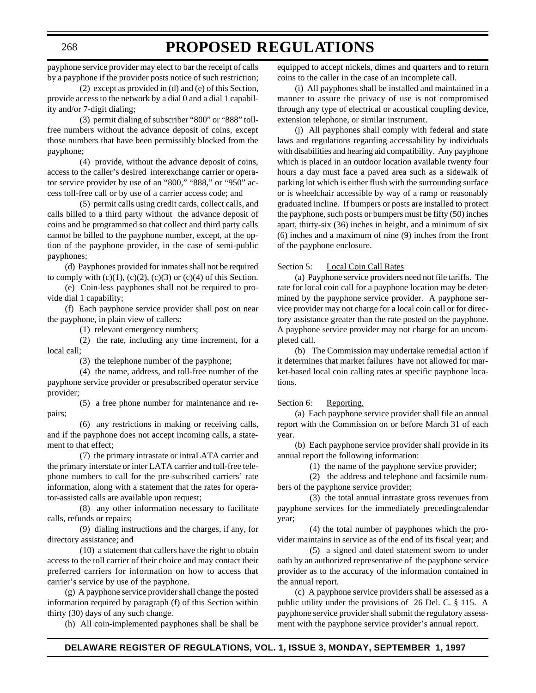payphone service provider may elect to bar the receipt of calls by a payphone if the provider posts notice of such restriction;

(2) except as provided in (d) and (e) of this Section, provide access to the network by a dial 0 and a dial 1 capability and/or 7-digit dialing;

(3) permit dialing of subscriber "800" or "888" tollfree numbers without the advance deposit of coins, except those numbers that have been permissibly blocked from the payphone;

(4) provide, without the advance deposit of coins, access to the caller's desired interexchange carrier or operator service provider by use of an "800," "888," or "950" access toll-free call or by use of a carrier access code; and

(5) permit calls using credit cards, collect calls, and calls billed to a third party without the advance deposit of coins and be programmed so that collect and third party calls cannot be billed to the payphone number, except, at the option of the payphone provider, in the case of semi-public payphones;

(d) Payphones provided for inmates shall not be required to comply with  $(c)(1)$ ,  $(c)(2)$ ,  $(c)(3)$  or  $(c)(4)$  of this Section.

(e) Coin-less payphones shall not be required to provide dial 1 capability;

(f) Each payphone service provider shall post on near the payphone, in plain view of callers:

(1) relevant emergency numbers;

(2) the rate, including any time increment, for a local call;

(3) the telephone number of the payphone;

(4) the name, address, and toll-free number of the payphone service provider or presubscribed operator service provider;

(5) a free phone number for maintenance and repairs;

(6) any restrictions in making or receiving calls, and if the payphone does not accept incoming calls, a statement to that effect;

(7) the primary intrastate or intraLATA carrier and the primary interstate or inter LATA carrier and toll-free telephone numbers to call for the pre-subscribed carriers' rate information, along with a statement that the rates for operator-assisted calls are available upon request;

(8) any other information necessary to facilitate calls, refunds or repairs;

(9) dialing instructions and the charges, if any, for directory assistance; and

(10) a statement that callers have the right to obtain access to the toll carrier of their choice and may contact their preferred carriers for information on how to access that carrier's service by use of the payphone.

(g) A payphone service provider shall change the posted information required by paragraph (f) of this Section within thirty (30) days of any such change.

(h) All coin-implemented payphones shall be shall be

equipped to accept nickels, dimes and quarters and to return coins to the caller in the case of an incomplete call.

(i) All payphones shall be installed and maintained in a manner to assure the privacy of use is not compromised through any type of electrical or acoustical coupling device, extension telephone, or similar instrument.

(j) All payphones shall comply with federal and state laws and regulations regarding accessability by individuals with disabilities and hearing aid compatibility. Any payphone which is placed in an outdoor location available twenty four hours a day must face a paved area such as a sidewalk of parking lot which is either flush with the surrounding surface or is wheelchair accessible by way of a ramp or reasonably graduated incline. If bumpers or posts are installed to protect the payphone, such posts or bumpers must be fifty (50) inches apart, thirty-six (36) inches in height, and a minimum of six (6) inches and a maximum of nine (9) inches from the front of the payphone enclosure.

### Section 5: Local Coin Call Rates

(a) Payphone service providers need not file tariffs. The rate for local coin call for a payphone location may be determined by the payphone service provider. A payphone service provider may not charge for a local coin call or for directory assistance greater than the rate posted on the payphone. A payphone service provider may not charge for an uncompleted call.

(b) The Commission may undertake remedial action if it determines that market failures have not allowed for market-based local coin calling rates at specific payphone locations.

#### Section 6: Reporting.

(a) Each payphone service provider shall file an annual report with the Commission on or before March 31 of each year.

(b) Each payphone service provider shall provide in its annual report the following information:

(1) the name of the payphone service provider;

(2) the address and telephone and facsimile numbers of the payphone service provider;

(3) the total annual intrastate gross revenues from payphone services for the immediately precedingcalendar year;

(4) the total number of payphones which the provider maintains in service as of the end of its fiscal year; and

(5) a signed and dated statement sworn to under oath by an authorized representative of the payphone service provider as to the accuracy of the information contained in the annual report.

(c) A payphone service providers shall be assessed as a public utility under the provisions of 26 Del. C. § 115. A payphone service provider shall submit the regulatory assessment with the payphone service provider's annual report.

### 268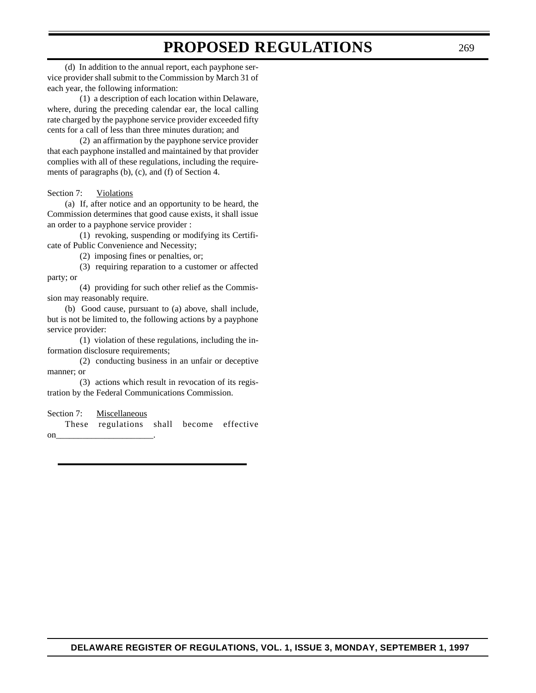(d) In addition to the annual report, each payphone service provider shall submit to the Commission by March 31 of each year, the following information:

(1) a description of each location within Delaware, where, during the preceding calendar ear, the local calling rate charged by the payphone service provider exceeded fifty cents for a call of less than three minutes duration; and

(2) an affirmation by the payphone service provider that each payphone installed and maintained by that provider complies with all of these regulations, including the requirements of paragraphs (b), (c), and (f) of Section 4.

Section 7: Violations

(a) If, after notice and an opportunity to be heard, the Commission determines that good cause exists, it shall issue an order to a payphone service provider :

(1) revoking, suspending or modifying its Certificate of Public Convenience and Necessity;

(2) imposing fines or penalties, or;

(3) requiring reparation to a customer or affected party; or

(4) providing for such other relief as the Commission may reasonably require.

(b) Good cause, pursuant to (a) above, shall include, but is not be limited to, the following actions by a payphone service provider:

(1) violation of these regulations, including the information disclosure requirements;

(2) conducting business in an unfair or deceptive manner; or

(3) actions which result in revocation of its registration by the Federal Communications Commission.

Section 7: Miscellaneous

These regulations shall become effective  $\text{on}$  \_\_\_\_\_\_\_\_\_\_\_\_\_\_\_\_\_\_\_\_\_\_\_\_\_\_\_\_\_\_\_.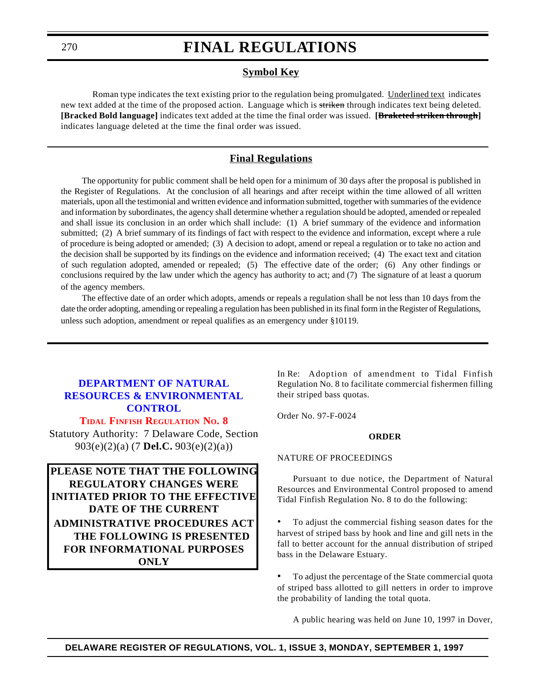### **Symbol Key**

Roman type indicates the text existing prior to the regulation being promulgated. Underlined text indicates new text added at the time of the proposed action. Language which is striken through indicates text being deleted. **[Bracked Bold language]** indicates text added at the time the final order was issued. **[Braketed striken through]** indicates language deleted at the time the final order was issued.

### **Final Regulations**

The opportunity for public comment shall be held open for a minimum of 30 days after the proposal is published in the Register of Regulations. At the conclusion of all hearings and after receipt within the time allowed of all written materials, upon all the testimonial and written evidence and information submitted, together with summaries of the evidence and information by subordinates, the agency shall determine whether a regulation should be adopted, amended or repealed and shall issue its conclusion in an order which shall include: (1) A brief summary of the evidence and information submitted; (2) A brief summary of its findings of fact with respect to the evidence and information, except where a rule of procedure is being adopted or amended; (3) A decision to adopt, amend or repeal a regulation or to take no action and the decision shall be supported by its findings on the evidence and information received; (4) The exact text and citation of such regulation adopted, amended or repealed; (5) The effective date of the order; (6) Any other findings or conclusions required by the law under which the agency has authority to act; and (7) The signature of at least a quorum of the agency members.

The effective date of an order which adopts, amends or repeals a regulation shall be not less than 10 days from the date the order adopting, amending or repealing a regulation has been published in its final form in the Register of Regulations, unless such adoption, amendment or repeal qualifies as an emergency under §10119.

## **DEPARTMENT OF NATURAL [RESOURCES & ENVIRONMENTAL](http://www.dnrec.state.de.us/fw/frames2.htm) CONTROL**

**TIDAL FINFISH [REGULATION](#page-4-0) NO. 8** Statutory Authority: 7 Delaware Code, Section 903(e)(2)(a) (7 **Del.C.** 903(e)(2)(a))

**PLEASE NOTE THAT THE FOLLOWING REGULATORY CHANGES WERE INITIATED PRIOR TO THE EFFECTIVE DATE OF THE CURRENT ADMINISTRATIVE PROCEDURES ACT THE FOLLOWING IS PRESENTED FOR INFORMATIONAL PURPOSES ONLY**

In Re: Adoption of amendment to Tidal Finfish Regulation No. 8 to facilitate commercial fishermen filling their striped bass quotas.

Order No. 97-F-0024

#### **ORDER**

#### NATURE OF PROCEEDINGS

Pursuant to due notice, the Department of Natural Resources and Environmental Control proposed to amend Tidal Finfish Regulation No. 8 to do the following:

• To adjust the commercial fishing season dates for the harvest of striped bass by hook and line and gill nets in the fall to better account for the annual distribution of striped bass in the Delaware Estuary.

• To adjust the percentage of the State commercial quota of striped bass allotted to gill netters in order to improve the probability of landing the total quota.

A public hearing was held on June 10, 1997 in Dover,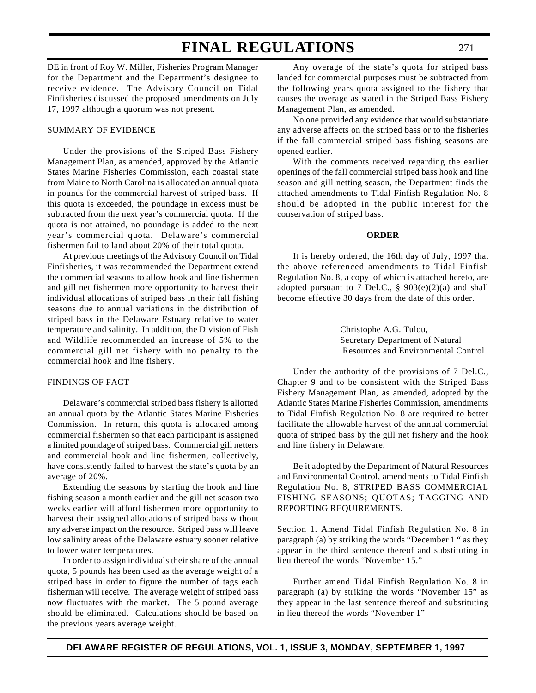DE in front of Roy W. Miller, Fisheries Program Manager for the Department and the Department's designee to receive evidence. The Advisory Council on Tidal Finfisheries discussed the proposed amendments on July 17, 1997 although a quorum was not present.

### SUMMARY OF EVIDENCE

Under the provisions of the Striped Bass Fishery Management Plan, as amended, approved by the Atlantic States Marine Fisheries Commission, each coastal state from Maine to North Carolina is allocated an annual quota in pounds for the commercial harvest of striped bass. If this quota is exceeded, the poundage in excess must be subtracted from the next year's commercial quota. If the quota is not attained, no poundage is added to the next year's commercial quota. Delaware's commercial fishermen fail to land about 20% of their total quota.

At previous meetings of the Advisory Council on Tidal Finfisheries, it was recommended the Department extend the commercial seasons to allow hook and line fishermen and gill net fishermen more opportunity to harvest their individual allocations of striped bass in their fall fishing seasons due to annual variations in the distribution of striped bass in the Delaware Estuary relative to water temperature and salinity. In addition, the Division of Fish and Wildlife recommended an increase of 5% to the commercial gill net fishery with no penalty to the commercial hook and line fishery.

#### FINDINGS OF FACT

Delaware's commercial striped bass fishery is allotted an annual quota by the Atlantic States Marine Fisheries Commission. In return, this quota is allocated among commercial fishermen so that each participant is assigned a limited poundage of striped bass. Commercial gill netters and commercial hook and line fishermen, collectively, have consistently failed to harvest the state's quota by an average of 20%.

Extending the seasons by starting the hook and line fishing season a month earlier and the gill net season two weeks earlier will afford fishermen more opportunity to harvest their assigned allocations of striped bass without any adverse impact on the resource. Striped bass will leave low salinity areas of the Delaware estuary sooner relative to lower water temperatures.

In order to assign individuals their share of the annual quota, 5 pounds has been used as the average weight of a striped bass in order to figure the number of tags each fisherman will receive. The average weight of striped bass now fluctuates with the market. The 5 pound average should be eliminated. Calculations should be based on the previous years average weight.

Any overage of the state's quota for striped bass landed for commercial purposes must be subtracted from the following years quota assigned to the fishery that causes the overage as stated in the Striped Bass Fishery Management Plan, as amended.

No one provided any evidence that would substantiate any adverse affects on the striped bass or to the fisheries if the fall commercial striped bass fishing seasons are opened earlier.

With the comments received regarding the earlier openings of the fall commercial striped bass hook and line season and gill netting season, the Department finds the attached amendments to Tidal Finfish Regulation No. 8 should be adopted in the public interest for the conservation of striped bass.

#### **ORDER**

It is hereby ordered, the 16th day of July, 1997 that the above referenced amendments to Tidal Finfish Regulation No. 8, a copy of which is attached hereto, are adopted pursuant to 7 Del.C., § 903(e)(2)(a) and shall become effective 30 days from the date of this order.

> Christophe A.G. Tulou, Secretary Department of Natural Resources and Environmental Control

Under the authority of the provisions of 7 Del.C., Chapter 9 and to be consistent with the Striped Bass Fishery Management Plan, as amended, adopted by the Atlantic States Marine Fisheries Commission, amendments to Tidal Finfish Regulation No. 8 are required to better facilitate the allowable harvest of the annual commercial quota of striped bass by the gill net fishery and the hook and line fishery in Delaware.

Be it adopted by the Department of Natural Resources and Environmental Control, amendments to Tidal Finfish Regulation No. 8, STRIPED BASS COMMERCIAL FISHING SEASONS; QUOTAS; TAGGING AND REPORTING REQUIREMENTS.

Section 1. Amend Tidal Finfish Regulation No. 8 in paragraph (a) by striking the words "December 1 " as they appear in the third sentence thereof and substituting in lieu thereof the words "November 15."

Further amend Tidal Finfish Regulation No. 8 in paragraph (a) by striking the words "November 15" as they appear in the last sentence thereof and substituting in lieu thereof the words "November 1"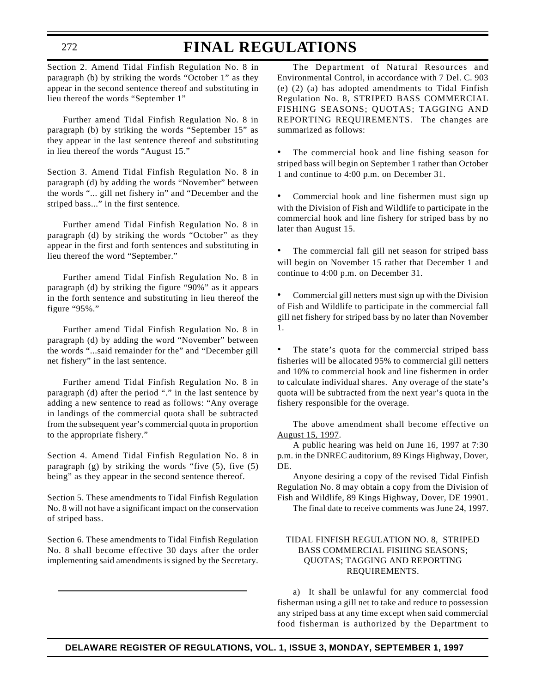## **FINAL REGULATIONS**

Section 2. Amend Tidal Finfish Regulation No. 8 in paragraph (b) by striking the words "October 1" as they appear in the second sentence thereof and substituting in lieu thereof the words "September 1"

Further amend Tidal Finfish Regulation No. 8 in paragraph (b) by striking the words "September 15" as they appear in the last sentence thereof and substituting in lieu thereof the words "August 15."

Section 3. Amend Tidal Finfish Regulation No. 8 in paragraph (d) by adding the words "November" between the words "... gill net fishery in" and "December and the striped bass..." in the first sentence.

Further amend Tidal Finfish Regulation No. 8 in paragraph (d) by striking the words "October" as they appear in the first and forth sentences and substituting in lieu thereof the word "September."

Further amend Tidal Finfish Regulation No. 8 in paragraph (d) by striking the figure "90%" as it appears in the forth sentence and substituting in lieu thereof the figure "95%."

Further amend Tidal Finfish Regulation No. 8 in paragraph (d) by adding the word "November" between the words "...said remainder for the" and "December gill net fishery" in the last sentence.

Further amend Tidal Finfish Regulation No. 8 in paragraph (d) after the period "." in the last sentence by adding a new sentence to read as follows: "Any overage in landings of the commercial quota shall be subtracted from the subsequent year's commercial quota in proportion to the appropriate fishery."

Section 4. Amend Tidal Finfish Regulation No. 8 in paragraph (g) by striking the words "five (5), five (5) being" as they appear in the second sentence thereof.

Section 5. These amendments to Tidal Finfish Regulation No. 8 will not have a significant impact on the conservation of striped bass.

Section 6. These amendments to Tidal Finfish Regulation No. 8 shall become effective 30 days after the order implementing said amendments is signed by the Secretary.

The Department of Natural Resources and Environmental Control, in accordance with 7 Del. C. 903 (e) (2) (a) has adopted amendments to Tidal Finfish Regulation No. 8, STRIPED BASS COMMERCIAL FISHING SEASONS; QUOTAS; TAGGING AND REPORTING REQUIREMENTS. The changes are summarized as follows:

- The commercial hook and line fishing season for striped bass will begin on September 1 rather than October 1 and continue to 4:00 p.m. on December 31.
- Commercial hook and line fishermen must sign up with the Division of Fish and Wildlife to participate in the commercial hook and line fishery for striped bass by no later than August 15.
- The commercial fall gill net season for striped bass will begin on November 15 rather that December 1 and continue to 4:00 p.m. on December 31.

• Commercial gill netters must sign up with the Division of Fish and Wildlife to participate in the commercial fall gill net fishery for striped bass by no later than November 1.

• The state's quota for the commercial striped bass fisheries will be allocated 95% to commercial gill netters and 10% to commercial hook and line fishermen in order to calculate individual shares. Any overage of the state's quota will be subtracted from the next year's quota in the fishery responsible for the overage.

The above amendment shall become effective on August 15, 1997.

A public hearing was held on June 16, 1997 at 7:30 p.m. in the DNREC auditorium, 89 Kings Highway, Dover, DE.

Anyone desiring a copy of the revised Tidal Finfish Regulation No. 8 may obtain a copy from the Division of Fish and Wildlife, 89 Kings Highway, Dover, DE 19901.

The final date to receive comments was June 24, 1997.

### TIDAL FINFISH REGULATION NO. 8, STRIPED BASS COMMERCIAL FISHING SEASONS; QUOTAS; TAGGING AND REPORTING REQUIREMENTS.

a) It shall be unlawful for any commercial food fisherman using a gill net to take and reduce to possession any striped bass at any time except when said commercial food fisherman is authorized by the Department to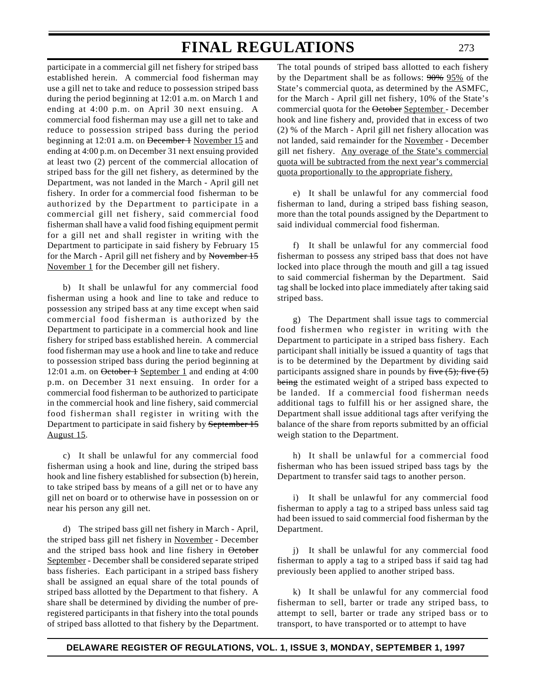participate in a commercial gill net fishery for striped bass established herein. A commercial food fisherman may use a gill net to take and reduce to possession striped bass during the period beginning at 12:01 a.m. on March 1 and ending at 4:00 p.m. on April 30 next ensuing. A commercial food fisherman may use a gill net to take and reduce to possession striped bass during the period beginning at 12:01 a.m. on <del>December 1</del> November 15 and ending at 4:00 p.m. on December 31 next ensuing provided at least two (2) percent of the commercial allocation of striped bass for the gill net fishery, as determined by the Department, was not landed in the March - April gill net fishery. In order for a commercial food fisherman to be authorized by the Department to participate in a commercial gill net fishery, said commercial food fisherman shall have a valid food fishing equipment permit for a gill net and shall register in writing with the Department to participate in said fishery by February 15 for the March - April gill net fishery and by November 15 November 1 for the December gill net fishery.

b) It shall be unlawful for any commercial food fisherman using a hook and line to take and reduce to possession any striped bass at any time except when said commercial food fisherman is authorized by the Department to participate in a commercial hook and line fishery for striped bass established herein. A commercial food fisherman may use a hook and line to take and reduce to possession striped bass during the period beginning at 12:01 a.m. on <del>October 1</del> September 1 and ending at 4:00 p.m. on December 31 next ensuing. In order for a commercial food fisherman to be authorized to participate in the commercial hook and line fishery, said commercial food fisherman shall register in writing with the Department to participate in said fishery by September 15 August 15.

c) It shall be unlawful for any commercial food fisherman using a hook and line, during the striped bass hook and line fishery established for subsection (b) herein, to take striped bass by means of a gill net or to have any gill net on board or to otherwise have in possession on or near his person any gill net.

d) The striped bass gill net fishery in March - April, the striped bass gill net fishery in November - December and the striped bass hook and line fishery in October September - December shall be considered separate striped bass fisheries. Each participant in a striped bass fishery shall be assigned an equal share of the total pounds of striped bass allotted by the Department to that fishery. A share shall be determined by dividing the number of preregistered participants in that fishery into the total pounds of striped bass allotted to that fishery by the Department.

The total pounds of striped bass allotted to each fishery by the Department shall be as follows:  $90\%$  95% of the State's commercial quota, as determined by the ASMFC, for the March - April gill net fishery, 10% of the State's commercial quota for the October September - December hook and line fishery and, provided that in excess of two (2) % of the March - April gill net fishery allocation was not landed, said remainder for the November - December gill net fishery. Any overage of the State's commercial quota will be subtracted from the next year's commercial quota proportionally to the appropriate fishery.

e) It shall be unlawful for any commercial food fisherman to land, during a striped bass fishing season, more than the total pounds assigned by the Department to said individual commercial food fisherman.

f) It shall be unlawful for any commercial food fisherman to possess any striped bass that does not have locked into place through the mouth and gill a tag issued to said commercial fisherman by the Department. Said tag shall be locked into place immediately after taking said striped bass.

g) The Department shall issue tags to commercial food fishermen who register in writing with the Department to participate in a striped bass fishery. Each participant shall initially be issued a quantity of tags that is to be determined by the Department by dividing said participants assigned share in pounds by five  $(5)$ ; five  $(5)$ being the estimated weight of a striped bass expected to be landed. If a commercial food fisherman needs additional tags to fulfill his or her assigned share, the Department shall issue additional tags after verifying the balance of the share from reports submitted by an official weigh station to the Department.

h) It shall be unlawful for a commercial food fisherman who has been issued striped bass tags by the Department to transfer said tags to another person.

i) It shall be unlawful for any commercial food fisherman to apply a tag to a striped bass unless said tag had been issued to said commercial food fisherman by the Department.

j) It shall be unlawful for any commercial food fisherman to apply a tag to a striped bass if said tag had previously been applied to another striped bass.

k) It shall be unlawful for any commercial food fisherman to sell, barter or trade any striped bass, to attempt to sell, barter or trade any striped bass or to transport, to have transported or to attempt to have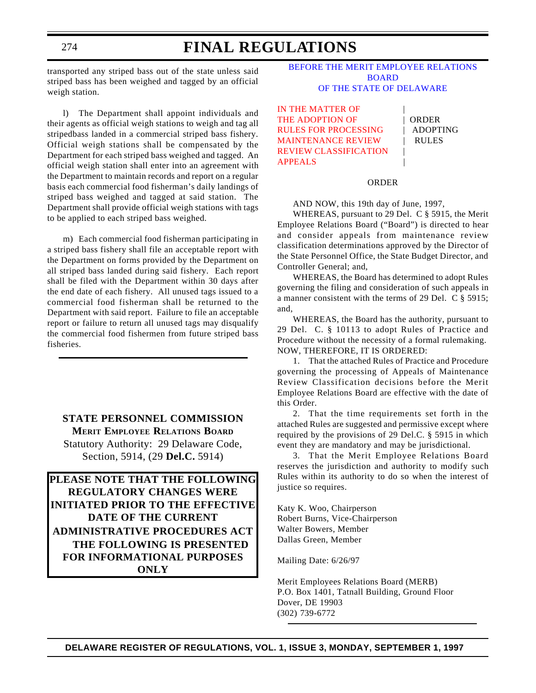transported any striped bass out of the state unless said striped bass has been weighed and tagged by an official weigh station.

l) The Department shall appoint individuals and their agents as official weigh stations to weigh and tag all stripedbass landed in a commercial striped bass fishery. Official weigh stations shall be compensated by the Department for each striped bass weighed and tagged. An official weigh station shall enter into an agreement with the Department to maintain records and report on a regular basis each commercial food fisherman's daily landings of striped bass weighed and tagged at said station. The Department shall provide official weigh stations with tags to be applied to each striped bass weighed.

m) Each commercial food fisherman participating in a striped bass fishery shall file an acceptable report with the Department on forms provided by the Department on all striped bass landed during said fishery. Each report shall be filed with the Department within 30 days after the end date of each fishery. All unused tags issued to a commercial food fisherman shall be returned to the Department with said report. Failure to file an acceptable report or failure to return all unused tags may disqualify the commercial food fishermen from future striped bass fisheries.

**STATE PERSONNEL COMMISSION MERIT EMPLOYEE RELATIONS BOARD** Statutory Authority: 29 Delaware Code, Section, 5914, (29 **Del.C.** 5914)

**PLEASE NOTE THAT THE FOLLOWING REGULATORY CHANGES WERE INITIATED PRIOR TO THE EFFECTIVE DATE OF THE CURRENT ADMINISTRATIVE PROCEDURES ACT THE FOLLOWING IS PRESENTED FOR INFORMATIONAL PURPOSES ONLY**

[BEFORE THE MERIT EMPLOYEE RELATIONS](http://www.state.de.us/spo/main.htm) BOARD OF THE STATE OF DELAWARE

IN THE MATTER OF THE ADOPTION OF | ORDER RULES FOR PROCESSING | ADOPTING MAINTENANCE REVIEW | RULES [REVIEW CLASSIFICATION](#page-4-0) | **APPEALS** 

#### ORDER

AND NOW, this 19th day of June, 1997,

WHEREAS, pursuant to 29 Del. C § 5915, the Merit Employee Relations Board ("Board") is directed to hear and consider appeals from maintenance review classification determinations approved by the Director of the State Personnel Office, the State Budget Director, and Controller General; and,

WHEREAS, the Board has determined to adopt Rules governing the filing and consideration of such appeals in a manner consistent with the terms of 29 Del. C § 5915; and,

WHEREAS, the Board has the authority, pursuant to 29 Del. C. § 10113 to adopt Rules of Practice and Procedure without the necessity of a formal rulemaking. NOW, THEREFORE, IT IS ORDERED:

1. That the attached Rules of Practice and Procedure governing the processing of Appeals of Maintenance Review Classification decisions before the Merit Employee Relations Board are effective with the date of this Order.

2. That the time requirements set forth in the attached Rules are suggested and permissive except where required by the provisions of 29 Del.C. § 5915 in which event they are mandatory and may be jurisdictional.

3. That the Merit Employee Relations Board reserves the jurisdiction and authority to modify such Rules within its authority to do so when the interest of justice so requires.

Katy K. Woo, Chairperson Robert Burns, Vice-Chairperson Walter Bowers, Member Dallas Green, Member

Mailing Date: 6/26/97

Merit Employees Relations Board (MERB) P.O. Box 1401, Tatnall Building, Ground Floor Dover, DE 19903 (302) 739-6772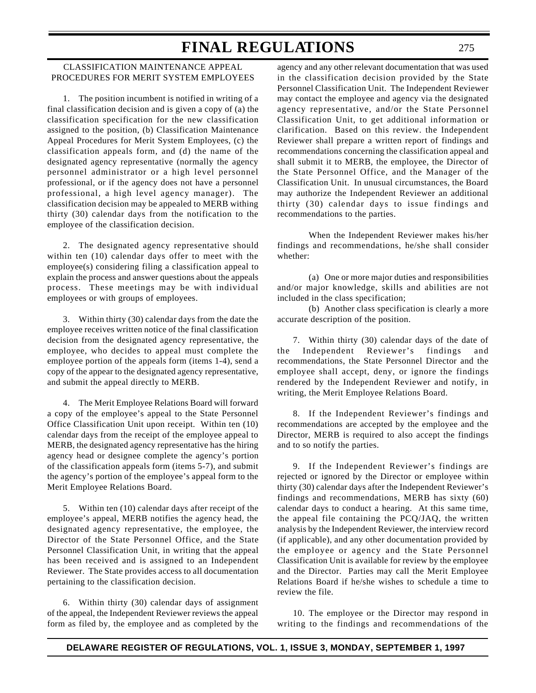### CLASSIFICATION MAINTENANCE APPEAL PROCEDURES FOR MERIT SYSTEM EMPLOYEES

1. The position incumbent is notified in writing of a final classification decision and is given a copy of (a) the classification specification for the new classification assigned to the position, (b) Classification Maintenance Appeal Procedures for Merit System Employees, (c) the classification appeals form, and (d) the name of the designated agency representative (normally the agency personnel administrator or a high level personnel professional, or if the agency does not have a personnel professional, a high level agency manager). The classification decision may be appealed to MERB withing thirty (30) calendar days from the notification to the employee of the classification decision.

2. The designated agency representative should within ten (10) calendar days offer to meet with the employee(s) considering filing a classification appeal to explain the process and answer questions about the appeals process. These meetings may be with individual employees or with groups of employees.

3. Within thirty (30) calendar days from the date the employee receives written notice of the final classification decision from the designated agency representative, the employee, who decides to appeal must complete the employee portion of the appeals form (items 1-4), send a copy of the appear to the designated agency representative, and submit the appeal directly to MERB.

4. The Merit Employee Relations Board will forward a copy of the employee's appeal to the State Personnel Office Classification Unit upon receipt. Within ten (10) calendar days from the receipt of the employee appeal to MERB, the designated agency representative has the hiring agency head or designee complete the agency's portion of the classification appeals form (items 5-7), and submit the agency's portion of the employee's appeal form to the Merit Employee Relations Board.

5. Within ten (10) calendar days after receipt of the employee's appeal, MERB notifies the agency head, the designated agency representative, the employee, the Director of the State Personnel Office, and the State Personnel Classification Unit, in writing that the appeal has been received and is assigned to an Independent Reviewer. The State provides access to all documentation pertaining to the classification decision.

6. Within thirty (30) calendar days of assignment of the appeal, the Independent Reviewer reviews the appeal form as filed by, the employee and as completed by the

agency and any other relevant documentation that was used in the classification decision provided by the State Personnel Classification Unit. The Independent Reviewer may contact the employee and agency via the designated agency representative, and/or the State Personnel Classification Unit, to get additional information or clarification. Based on this review. the Independent Reviewer shall prepare a written report of findings and recommendations concerning the classification appeal and shall submit it to MERB, the employee, the Director of the State Personnel Office, and the Manager of the Classification Unit. In unusual circumstances, the Board may authorize the Independent Reviewer an additional thirty (30) calendar days to issue findings and recommendations to the parties.

When the Independent Reviewer makes his/her findings and recommendations, he/she shall consider whether:

(a) One or more major duties and responsibilities and/or major knowledge, skills and abilities are not included in the class specification;

(b) Another class specification is clearly a more accurate description of the position.

7. Within thirty (30) calendar days of the date of the Independent Reviewer's findings and recommendations, the State Personnel Director and the employee shall accept, deny, or ignore the findings rendered by the Independent Reviewer and notify, in writing, the Merit Employee Relations Board.

8. If the Independent Reviewer's findings and recommendations are accepted by the employee and the Director, MERB is required to also accept the findings and to so notify the parties.

9. If the Independent Reviewer's findings are rejected or ignored by the Director or employee within thirty (30) calendar days after the Independent Reviewer's findings and recommendations, MERB has sixty (60) calendar days to conduct a hearing. At this same time, the appeal file containing the PCQ/JAQ, the written analysis by the Independent Reviewer, the interview record (if applicable), and any other documentation provided by the employee or agency and the State Personnel Classification Unit is available for review by the employee and the Director. Parties may call the Merit Employee Relations Board if he/she wishes to schedule a time to review the file.

10. The employee or the Director may respond in writing to the findings and recommendations of the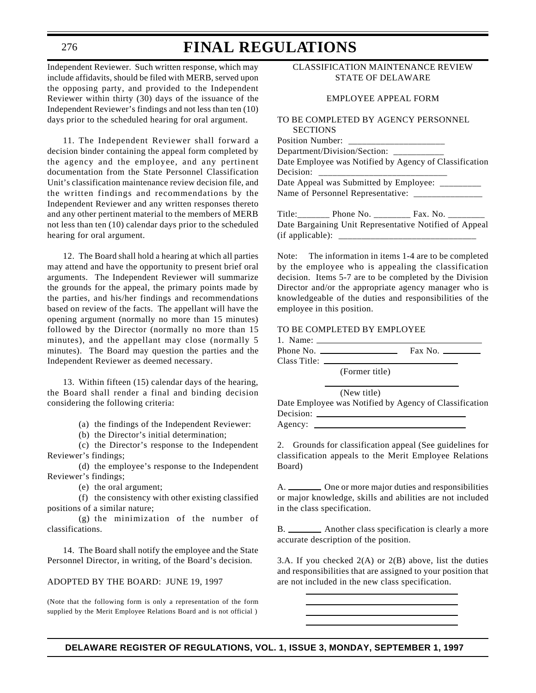# **FINAL REGULATIONS**

Independent Reviewer. Such written response, which may include affidavits, should be filed with MERB, served upon the opposing party, and provided to the Independent Reviewer within thirty (30) days of the issuance of the Independent Reviewer's findings and not less than ten (10) days prior to the scheduled hearing for oral argument.

11. The Independent Reviewer shall forward a decision binder containing the appeal form completed by the agency and the employee, and any pertinent documentation from the State Personnel Classification Unit's classification maintenance review decision file, and the written findings and recommendations by the Independent Reviewer and any written responses thereto and any other pertinent material to the members of MERB not less than ten (10) calendar days prior to the scheduled hearing for oral argument.

12. The Board shall hold a hearing at which all parties may attend and have the opportunity to present brief oral arguments. The Independent Reviewer will summarize the grounds for the appeal, the primary points made by the parties, and his/her findings and recommendations based on review of the facts. The appellant will have the opening argument (normally no more than 15 minutes) followed by the Director (normally no more than 15 minutes), and the appellant may close (normally 5 minutes). The Board may question the parties and the Independent Reviewer as deemed necessary.

13. Within fifteen (15) calendar days of the hearing, the Board shall render a final and binding decision considering the following criteria:

(a) the findings of the Independent Reviewer:

(b) the Director's initial determination;

(c) the Director's response to the Independent Reviewer's findings;

(d) the employee's response to the Independent Reviewer's findings;

(e) the oral argument;

(f) the consistency with other existing classified positions of a similar nature;

(g) the minimization of the number of classifications.

14. The Board shall notify the employee and the State Personnel Director, in writing, of the Board's decision.

#### ADOPTED BY THE BOARD: JUNE 19, 1997

(Note that the following form is only a representation of the form supplied by the Merit Employee Relations Board and is not official )

### CLASSIFICATION MAINTENANCE REVIEW STATE OF DELAWARE

#### EMPLOYEE APPEAL FORM

#### TO BE COMPLETED BY AGENCY PERSONNEL **SECTIONS** Position Number:

| T OSHIOIL TUIHINAT |                                          |                                                        |  |
|--------------------|------------------------------------------|--------------------------------------------------------|--|
|                    | Department/Division/Section: ___________ |                                                        |  |
|                    |                                          | Date Employee was Notified by Agency of Classification |  |
| Decision:          |                                          |                                                        |  |
|                    |                                          | Date Appeal was Submitted by Employee: ________        |  |
|                    |                                          |                                                        |  |
|                    |                                          |                                                        |  |
|                    |                                          | Data Department Unit Depresentative Matified of Anneal |  |

Date Bargaining Unit Representative Notified of Appeal (if applicable): \_\_\_\_\_\_\_\_\_\_\_\_\_\_\_\_\_\_\_\_\_\_\_\_\_\_\_\_\_\_

Note: The information in items 1-4 are to be completed by the employee who is appealing the classification decision. Items 5-7 are to be completed by the Division Director and/or the appropriate agency manager who is knowledgeable of the duties and responsibilities of the employee in this position.

#### TO BE COMPLETED BY EMPLOYEE

1. Name: Phone No. Fax No.

Class Title:

(Former title)

(New title)

Date Employee was Notified by Agency of Classification Decision: Agency:

2. Grounds for classification appeal (See guidelines for classification appeals to the Merit Employee Relations Board)

A. One or more major duties and responsibilities or major knowledge, skills and abilities are not included in the class specification.

B. \_\_\_\_\_\_\_\_\_ Another class specification is clearly a more accurate description of the position.

3.A. If you checked  $2(A)$  or  $2(B)$  above, list the duties and responsibilities that are assigned to your position that are not included in the new class specification.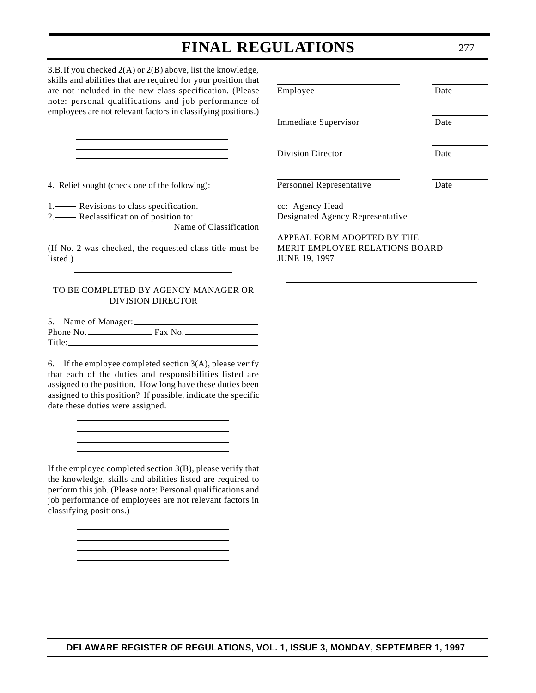3.B.If you checked 2(A) or 2(B) above, list the knowledge, skills and abilities that are required for your position that are not included in the new class specification. (Please note: personal qualifications and job performance of employees are not relevant factors in classifying positions.)

4. Relief sought (check one of the following):

1. Revisions to class specification.

2. Reclassification of position to:

Name of Classification

(If No. 2 was checked, the requested class title must be listed.)

#### TO BE COMPLETED BY AGENCY MANAGER OR DIVISION DIRECTOR

5. Name of Manager: Phone No. Fax No. Fax No. Title:

6. If the employee completed section  $3(A)$ , please verify that each of the duties and responsibilities listed are assigned to the position. How long have these duties been assigned to this position? If possible, indicate the specific date these duties were assigned.

If the employee completed section 3(B), please verify that the knowledge, skills and abilities listed are required to perform this job. (Please note: Personal qualifications and job performance of employees are not relevant factors in classifying positions.)

| Employee                 | Date |
|--------------------------|------|
| Immediate Supervisor     | Date |
| <b>Division Director</b> | Date |
| Personnel Representative | Date |
| $\mathbf{v}$             |      |

cc: Agency Head Designated Agency Representative

APPEAL FORM ADOPTED BY THE MERIT EMPLOYEE RELATIONS BOARD JUNE 19, 1997

277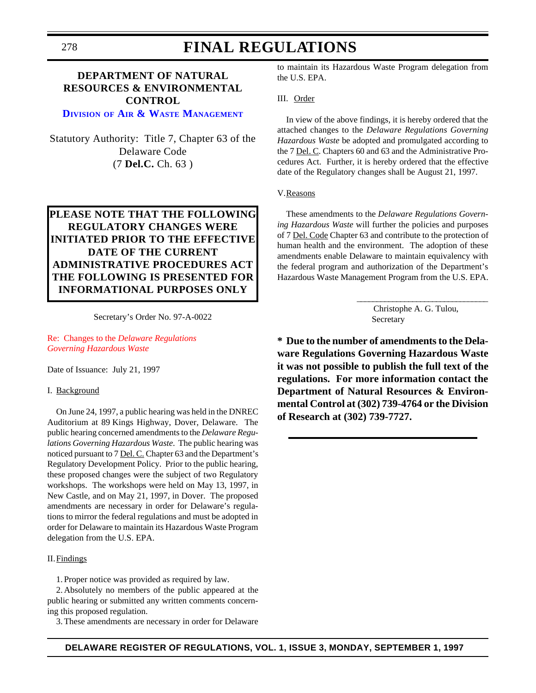# **FINAL REGULATIONS**

## **DEPARTMENT OF NATURAL RESOURCES & ENVIRONMENTAL CONTROL**

## **DIVISION OF [AIR & WASTE](http://www.dnrec.state.de.us/aandw.htm) MANAGEMENT**

Statutory Authority: Title 7, Chapter 63 of the Delaware Code (7 **Del.C.** Ch. 63 )

## **PLEASE NOTE THAT THE FOLLOWING REGULATORY CHANGES WERE INITIATED PRIOR TO THE EFFECTIVE DATE OF THE CURRENT ADMINISTRATIVE PROCEDURES ACT THE FOLLOWING IS PRESENTED FOR INFORMATIONAL PURPOSES ONLY**

Secretary's Order No. 97-A-0022

Re: Changes to the *Delaware Regulations [Governing Hazardous Waste](#page-4-0)*

Date of Issuance: July 21, 1997

#### I. Background

On June 24, 1997, a public hearing was held in the DNREC Auditorium at 89 Kings Highway, Dover, Delaware. The public hearing concerned amendments to the *Delaware Regulations Governing Hazardous Waste*. The public hearing was noticed pursuant to 7 Del. C. Chapter 63 and the Department's Regulatory Development Policy. Prior to the public hearing, these proposed changes were the subject of two Regulatory workshops. The workshops were held on May 13, 1997, in New Castle, and on May 21, 1997, in Dover. The proposed amendments are necessary in order for Delaware's regulations to mirror the federal regulations and must be adopted in order for Delaware to maintain its Hazardous Waste Program delegation from the U.S. EPA.

### II.Findings

1. Proper notice was provided as required by law.

2.Absolutely no members of the public appeared at the public hearing or submitted any written comments concerning this proposed regulation.

3.These amendments are necessary in order for Delaware

to maintain its Hazardous Waste Program delegation from the U.S. EPA.

#### III. Order

In view of the above findings, it is hereby ordered that the attached changes to the *Delaware Regulations Governing Hazardous Waste* be adopted and promulgated according to the 7 Del. C. Chapters 60 and 63 and the Administrative Procedures Act. Further, it is hereby ordered that the effective date of the Regulatory changes shall be August 21, 1997.

### V.Reasons

These amendments to the *Delaware Regulations Governing Hazardous Waste* will further the policies and purposes of 7 Del. Code Chapter 63 and contribute to the protection of human health and the environment. The adoption of these amendments enable Delaware to maintain equivalency with the federal program and authorization of the Department's Hazardous Waste Management Program from the U.S. EPA.

\_\_\_\_\_\_\_\_\_\_\_\_\_\_\_\_\_\_\_\_\_\_\_\_\_\_\_\_\_\_\_\_\_

 Christophe A. G. Tulou, Secretary

**\* Due to the number of amendments to the Delaware Regulations Governing Hazardous Waste it was not possible to publish the full text of the regulations. For more information contact the Department of Natural Resources & Environmental Control at (302) 739-4764 or the Division of Research at (302) 739-7727.**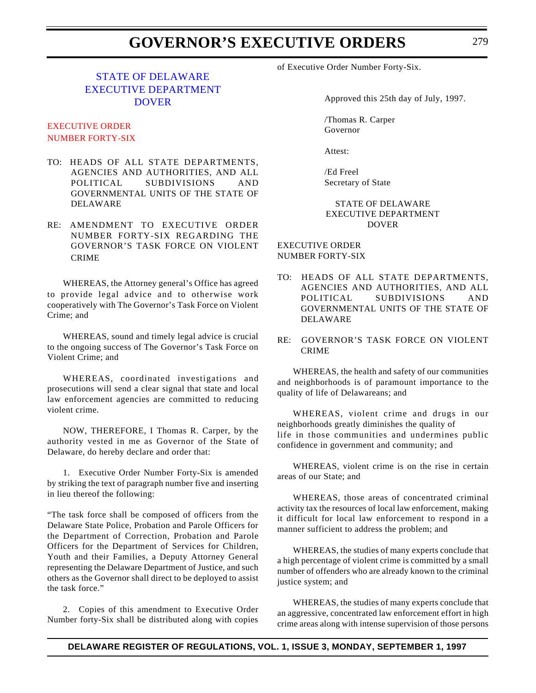# **GOVERNOR'S EXECUTIVE ORDERS**

## STATE OF DELAWARE [EXECUTIVE DEPARTMENT](http://www.state.de.us/govern/governor/introgov.htm) **DOVER**

## EXECUTIVE ORDER [NUMBER FORTY-SIX](#page-4-0)

- TO: HEADS OF ALL STATE DEPARTMENTS, AGENCIES AND AUTHORITIES, AND ALL POLITICAL SUBDIVISIONS AND GOVERNMENTAL UNITS OF THE STATE OF DELAWARE
- RE: AMENDMENT TO EXECUTIVE ORDER NUMBER FORTY-SIX REGARDING THE GOVERNOR'S TASK FORCE ON VIOLENT CRIME

WHEREAS, the Attorney general's Office has agreed to provide legal advice and to otherwise work cooperatively with The Governor's Task Force on Violent Crime; and

WHEREAS, sound and timely legal advice is crucial to the ongoing success of The Governor's Task Force on Violent Crime; and

WHEREAS, coordinated investigations and prosecutions will send a clear signal that state and local law enforcement agencies are committed to reducing violent crime.

NOW, THEREFORE, I Thomas R. Carper, by the authority vested in me as Governor of the State of Delaware, do hereby declare and order that:

1. Executive Order Number Forty-Six is amended by striking the text of paragraph number five and inserting in lieu thereof the following:

"The task force shall be composed of officers from the Delaware State Police, Probation and Parole Officers for the Department of Correction, Probation and Parole Officers for the Department of Services for Children, Youth and their Families, a Deputy Attorney General representing the Delaware Department of Justice, and such others as the Governor shall direct to be deployed to assist the task force."

2. Copies of this amendment to Executive Order Number forty-Six shall be distributed along with copies

of Executive Order Number Forty-Six.

Approved this 25th day of July, 1997.

/Thomas R. Carper Governor

Attest:

/Ed Freel Secretary of State

### STATE OF DELAWARE EXECUTIVE DEPARTMENT DOVER

EXECUTIVE ORDER NUMBER FORTY-SIX

- TO: HEADS OF ALL STATE DEPARTMENTS, AGENCIES AND AUTHORITIES, AND ALL POLITICAL SUBDIVISIONS AND GOVERNMENTAL UNITS OF THE STATE OF DELAWARE
- RE: GOVERNOR'S TASK FORCE ON VIOLENT CRIME

WHEREAS, the health and safety of our communities and neighborhoods is of paramount importance to the quality of life of Delawareans; and

WHEREAS, violent crime and drugs in our neighborhoods greatly diminishes the quality of life in those communities and undermines public confidence in government and community; and

WHEREAS, violent crime is on the rise in certain areas of our State; and

WHEREAS, those areas of concentrated criminal activity tax the resources of local law enforcement, making it difficult for local law enforcement to respond in a manner sufficient to address the problem; and

WHEREAS, the studies of many experts conclude that a high percentage of violent crime is committed by a small number of offenders who are already known to the criminal justice system; and

WHEREAS, the studies of many experts conclude that an aggressive, concentrated law enforcement effort in high crime areas along with intense supervision of those persons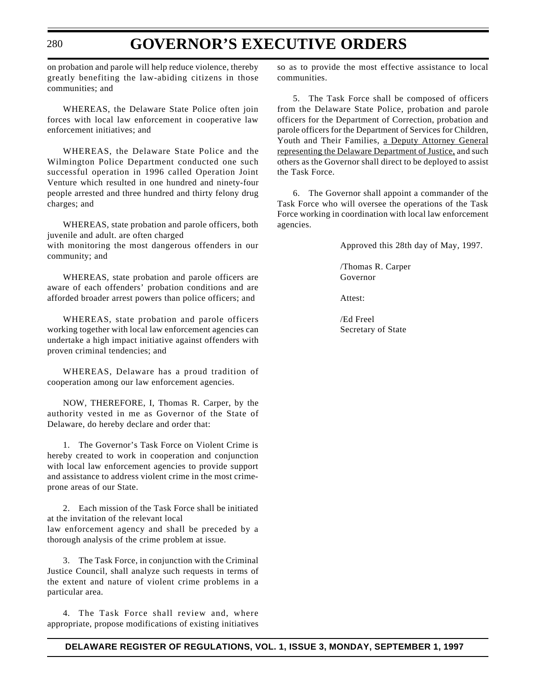# **GOVERNOR'S EXECUTIVE ORDERS**

on probation and parole will help reduce violence, thereby greatly benefiting the law-abiding citizens in those communities; and

WHEREAS, the Delaware State Police often join forces with local law enforcement in cooperative law enforcement initiatives; and

WHEREAS, the Delaware State Police and the Wilmington Police Department conducted one such successful operation in 1996 called Operation Joint Venture which resulted in one hundred and ninety-four people arrested and three hundred and thirty felony drug charges; and

WHEREAS, state probation and parole officers, both juvenile and adult. are often charged

with monitoring the most dangerous offenders in our community; and

WHEREAS, state probation and parole officers are aware of each offenders' probation conditions and are afforded broader arrest powers than police officers; and

WHEREAS, state probation and parole officers working together with local law enforcement agencies can undertake a high impact initiative against offenders with proven criminal tendencies; and

WHEREAS, Delaware has a proud tradition of cooperation among our law enforcement agencies.

NOW, THEREFORE, I, Thomas R. Carper, by the authority vested in me as Governor of the State of Delaware, do hereby declare and order that:

1. The Governor's Task Force on Violent Crime is hereby created to work in cooperation and conjunction with local law enforcement agencies to provide support and assistance to address violent crime in the most crimeprone areas of our State.

2. Each mission of the Task Force shall be initiated at the invitation of the relevant local law enforcement agency and shall be preceded by a thorough analysis of the crime problem at issue.

3. The Task Force, in conjunction with the Criminal Justice Council, shall analyze such requests in terms of the extent and nature of violent crime problems in a particular area.

4. The Task Force shall review and, where appropriate, propose modifications of existing initiatives so as to provide the most effective assistance to local communities.

5. The Task Force shall be composed of officers from the Delaware State Police, probation and parole officers for the Department of Correction, probation and parole officers for the Department of Services for Children, Youth and Their Families, a Deputy Attorney General representing the Delaware Department of Justice, and such others as the Governor shall direct to be deployed to assist the Task Force.

6. The Governor shall appoint a commander of the Task Force who will oversee the operations of the Task Force working in coordination with local law enforcement agencies.

Approved this 28th day of May, 1997.

/Thomas R. Carper Governor

Attest:

/Ed Freel Secretary of State

280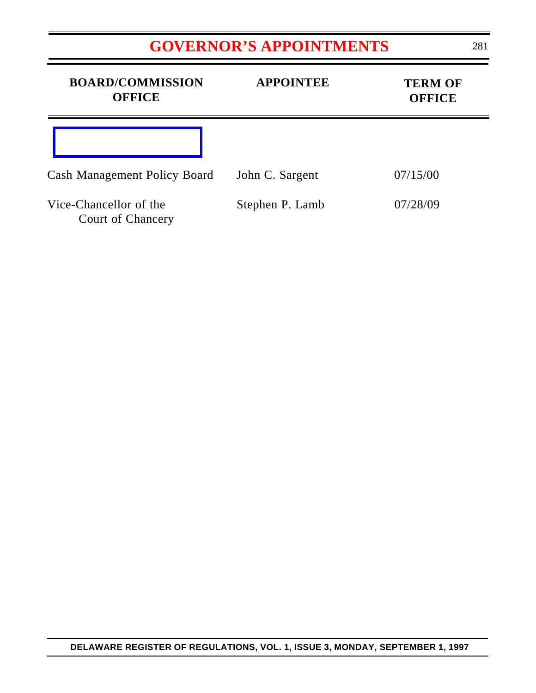# **[GOVERNOR'S APPOINTMENTS](#page-4-0)**

| <b>BOARD/COMMISSION</b><br><b>OFFICE</b>           | <b>APPOINTEE</b> | <b>TERM OF</b><br><b>OFFICE</b> |
|----------------------------------------------------|------------------|---------------------------------|
|                                                    |                  |                                 |
| <b>Cash Management Policy Board</b>                | John C. Sargent  | 07/15/00                        |
| Vice-Chancellor of the<br><b>Court of Chancery</b> | Stephen P. Lamb  | 07/28/09                        |

Ξ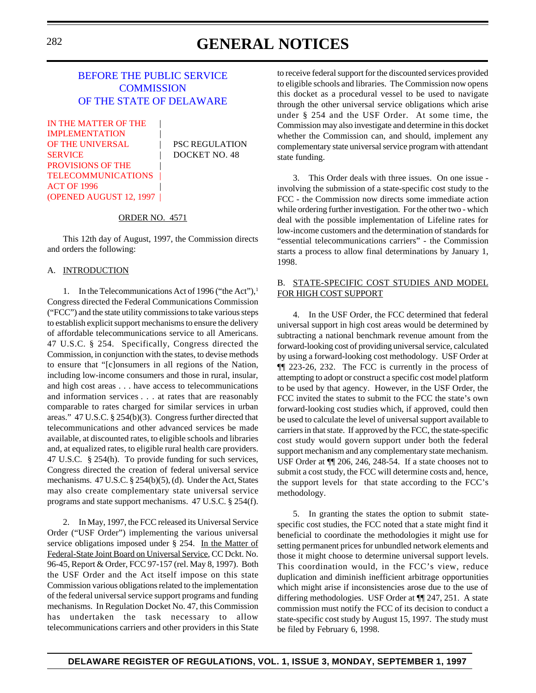# <sup>282</sup> **GENERAL NOTICES**

## [BEFORE THE PUBLIC SERVICE](http://www.state.de.us/govern/agencies/pubservc/delpsc.htm) **COMMISSION** OF THE STATE OF DELAWARE

IN THE MATTER OF THE **IMPLEMENTATION** OF THE UNIVERSAL PSC REGULATION SERVICE | DOCKET NO. 48 PROVISIONS OF THE | **TELECOMMUNICATIONS ACT OF 1996** [\(OPENED AUGUST 12, 1997](#page-4-0) |

#### ORDER NO. 4571

This 12th day of August, 1997, the Commission directs and orders the following:

#### A. INTRODUCTION

1. In the Telecommunications Act of 1996 ("the Act"),<sup>1</sup> Congress directed the Federal Communications Commission ("FCC") and the state utility commissions to take various steps to establish explicit support mechanisms to ensure the delivery of affordable telecommunications service to all Americans. 47 U.S.C. § 254. Specifically, Congress directed the Commission, in conjunction with the states, to devise methods to ensure that "[c]onsumers in all regions of the Nation, including low-income consumers and those in rural, insular, and high cost areas . . . have access to telecommunications and information services . . . at rates that are reasonably comparable to rates charged for similar services in urban areas." 47 U.S.C. § 254(b)(3). Congress further directed that telecommunications and other advanced services be made available, at discounted rates, to eligible schools and libraries and, at equalized rates, to eligible rural health care providers. 47 U.S.C. § 254(h). To provide funding for such services, Congress directed the creation of federal universal service mechanisms. 47 U.S.C. § 254(b)(5), (d). Under the Act, States may also create complementary state universal service programs and state support mechanisms. 47 U.S.C. § 254(f).

2. In May, 1997, the FCC released its Universal Service Order ("USF Order") implementing the various universal service obligations imposed under § 254. In the Matter of Federal-State Joint Board on Universal Service, CC Dckt. No. 96-45, Report & Order, FCC 97-157 (rel. May 8, 1997). Both the USF Order and the Act itself impose on this state Commission various obligations related to the implementation of the federal universal service support programs and funding mechanisms. In Regulation Docket No. 47, this Commission has undertaken the task necessary to allow telecommunications carriers and other providers in this State

to receive federal support for the discounted services provided to eligible schools and libraries. The Commission now opens this docket as a procedural vessel to be used to navigate through the other universal service obligations which arise under § 254 and the USF Order. At some time, the Commission may also investigate and determine in this docket whether the Commission can, and should, implement any complementary state universal service program with attendant state funding.

3. This Order deals with three issues. On one issue involving the submission of a state-specific cost study to the FCC - the Commission now directs some immediate action while ordering further investigation. For the other two - which deal with the possible implementation of Lifeline rates for low-income customers and the determination of standards for "essential telecommunications carriers" - the Commission starts a process to allow final determinations by January 1, 1998.

### B. STATE-SPECIFIC COST STUDIES AND MODEL FOR HIGH COST SUPPORT

4. In the USF Order, the FCC determined that federal universal support in high cost areas would be determined by subtracting a national benchmark revenue amount from the forward-looking cost of providing universal service, calculated by using a forward-looking cost methodology. USF Order at ¶¶ 223-26, 232. The FCC is currently in the process of attempting to adopt or construct a specific cost model platform to be used by that agency. However, in the USF Order, the FCC invited the states to submit to the FCC the state's own forward-looking cost studies which, if approved, could then be used to calculate the level of universal support available to carriers in that state. If approved by the FCC, the state-specific cost study would govern support under both the federal support mechanism and any complementary state mechanism. USF Order at ¶¶ 206, 246, 248-54. If a state chooses not to submit a cost study, the FCC will determine costs and, hence, the support levels for that state according to the FCC's methodology.

5. In granting the states the option to submit statespecific cost studies, the FCC noted that a state might find it beneficial to coordinate the methodologies it might use for setting permanent prices for unbundled network elements and those it might choose to determine universal support levels. This coordination would, in the FCC's view, reduce duplication and diminish inefficient arbitrage opportunities which might arise if inconsistencies arose due to the use of differing methodologies. USF Order at ¶¶ 247, 251. A state commission must notify the FCC of its decision to conduct a state-specific cost study by August 15, 1997. The study must be filed by February 6, 1998.

### **DELAWARE REGISTER OF REGULATIONS, VOL. 1, ISSUE 3, MONDAY, SEPTEMBER 1, 1997**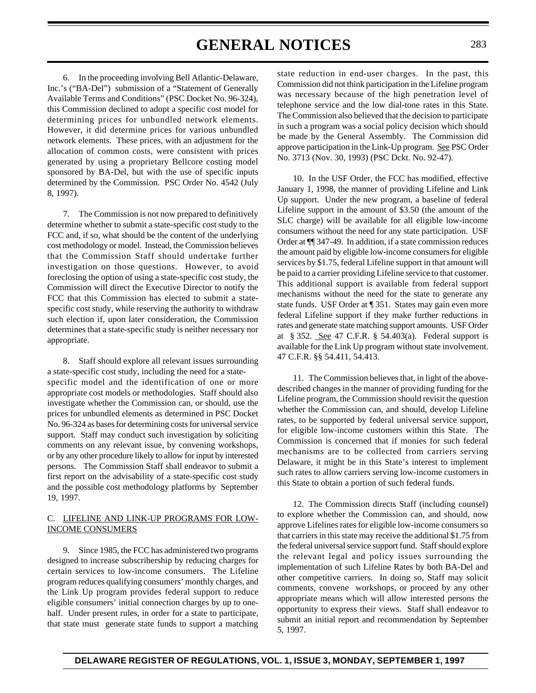# **GENERAL NOTICES** <sup>283</sup>

6. In the proceeding involving Bell Atlantic-Delaware, Inc.'s ("BA-Del") submission of a "Statement of Generally Available Terms and Conditions" (PSC Docket No. 96-324), this Commission declined to adopt a specific cost model for determining prices for unbundled network elements. However, it did determine prices for various unbundled network elements. These prices, with an adjustment for the allocation of common costs, were consistent with prices generated by using a proprietary Bellcore costing model sponsored by BA-Del, but with the use of specific inputs determined by the Commission. PSC Order No. 4542 (July 8, 1997).

7. The Commission is not now prepared to definitively determine whether to submit a state-specific cost study to the FCC and, if so, what should be the content of the underlying cost methodology or model. Instead, the Commission believes that the Commission Staff should undertake further investigation on those questions. However, to avoid foreclosing the option of using a state-specific cost study, the Commission will direct the Executive Director to notify the FCC that this Commission has elected to submit a statespecific cost study, while reserving the authority to withdraw such election if, upon later consideration, the Commission determines that a state-specific study is neither necessary nor appropriate.

8. Staff should explore all relevant issues surrounding a state-specific cost study, including the need for a statespecific model and the identification of one or more appropriate cost models or methodologies. Staff should also investigate whether the Commission can, or should, use the prices for unbundled elements as determined in PSC Docket No. 96-324 as bases for determining costs for universal service support. Staff may conduct such investigation by soliciting comments on any relevant issue, by convening workshops, or by any other procedure likely to allow for input by interested persons. The Commission Staff shall endeavor to submit a first report on the advisability of a state-specific cost study and the possible cost methodology platforms by September 19, 1997.

### C. LIFELINE AND LINK-UP PROGRAMS FOR LOW-INCOME CONSUMERS

9. Since 1985, the FCC has administered two programs designed to increase subscribership by reducing charges for certain services to low-income consumers. The Lifeline program reduces qualifying consumers' monthly charges, and the Link Up program provides federal support to reduce eligible consumers' initial connection charges by up to onehalf. Under present rules, in order for a state to participate, that state must generate state funds to support a matching

state reduction in end-user charges. In the past, this Commission did not think participation in the Lifeline program was necessary because of the high penetration level of telephone service and the low dial-tone rates in this State. The Commission also believed that the decision to participate in such a program was a social policy decision which should be made by the General Assembly. The Commission did approve participation in the Link-Up program. See PSC Order No. 3713 (Nov. 30, 1993) (PSC Dckt. No. 92-47).

10. In the USF Order, the FCC has modified, effective January 1, 1998, the manner of providing Lifeline and Link Up support. Under the new program, a baseline of federal Lifeline support in the amount of \$3.50 (the amount of the SLC charge) will be available for all eligible low-income consumers without the need for any state participation. USF Order at ¶¶ 347-49. In addition, if a state commission reduces the amount paid by eligible low-income consumers for eligible services by \$1.75, federal Lifeline support in that amount will be paid to a carrier providing Lifeline service to that customer. This additional support is available from federal support mechanisms without the need for the state to generate any state funds. USF Order at ¶ 351. States may gain even more federal Lifeline support if they make further reductions in rates and generate state matching support amounts. USF Order at § 352. See 47 C.F.R. § 54.403(a). Federal support is available for the Link Up program without state involvement. 47 C.F.R. §§ 54.411, 54.413.

11. The Commission believes that, in light of the abovedescribed changes in the manner of providing funding for the Lifeline program, the Commission should revisit the question whether the Commission can, and should, develop Lifeline rates, to be supported by federal universal service support, for eligible low-income customers within this State. The Commission is concerned that if monies for such federal mechanisms are to be collected from carriers serving Delaware, it might be in this State's interest to implement such rates to allow carriers serving low-income customers in this State to obtain a portion of such federal funds.

12. The Commission directs Staff (including counsel) to explore whether the Commission can, and should, now approve Lifelines rates for eligible low-income consumers so that carriers in this state may receive the additional \$1.75 from the federal universal service support fund. Staff should explore the relevant legal and policy issues surrounding the implementation of such Lifeline Rates by both BA-Del and other competitive carriers. In doing so, Staff may solicit comments, convene workshops, or proceed by any other appropriate means which will allow interested persons the opportunity to express their views. Staff shall endeavor to submit an initial report and recommendation by September 5, 1997.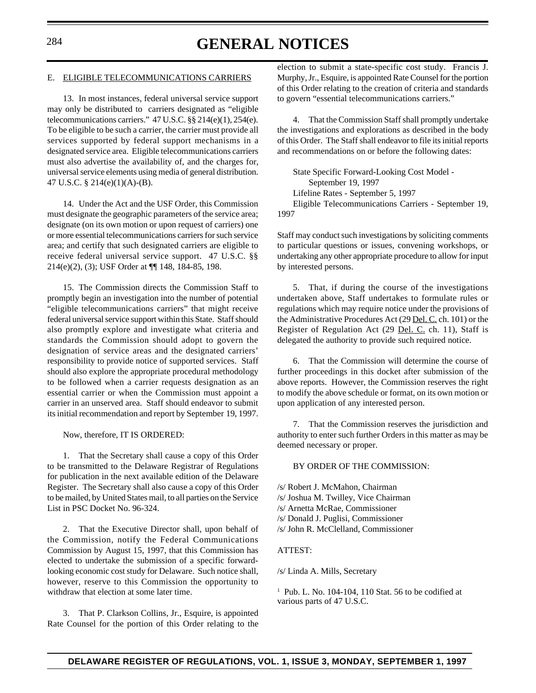# <sup>284</sup> **GENERAL NOTICES**

#### E. ELIGIBLE TELECOMMUNICATIONS CARRIERS

13. In most instances, federal universal service support may only be distributed to carriers designated as "eligible telecommunications carriers." 47 U.S.C. §§ 214(e)(1), 254(e). To be eligible to be such a carrier, the carrier must provide all services supported by federal support mechanisms in a designated service area. Eligible telecommunications carriers must also advertise the availability of, and the charges for, universal service elements using media of general distribution. 47 U.S.C. § 214(e)(1)(A)-(B).

14. Under the Act and the USF Order, this Commission must designate the geographic parameters of the service area; designate (on its own motion or upon request of carriers) one or more essential telecommunications carriers for such service area; and certify that such designated carriers are eligible to receive federal universal service support. 47 U.S.C. §§ 214(e)(2), (3); USF Order at ¶¶ 148, 184-85, 198.

15. The Commission directs the Commission Staff to promptly begin an investigation into the number of potential "eligible telecommunications carriers" that might receive federal universal service support within this State. Staff should also promptly explore and investigate what criteria and standards the Commission should adopt to govern the designation of service areas and the designated carriers' responsibility to provide notice of supported services. Staff should also explore the appropriate procedural methodology to be followed when a carrier requests designation as an essential carrier or when the Commission must appoint a carrier in an unserved area. Staff should endeavor to submit its initial recommendation and report by September 19, 1997.

Now, therefore, IT IS ORDERED:

1. That the Secretary shall cause a copy of this Order to be transmitted to the Delaware Registrar of Regulations for publication in the next available edition of the Delaware Register. The Secretary shall also cause a copy of this Order to be mailed, by United States mail, to all parties on the Service List in PSC Docket No. 96-324.

2. That the Executive Director shall, upon behalf of the Commission, notify the Federal Communications Commission by August 15, 1997, that this Commission has elected to undertake the submission of a specific forwardlooking economic cost study for Delaware. Such notice shall, however, reserve to this Commission the opportunity to withdraw that election at some later time.

3. That P. Clarkson Collins, Jr., Esquire, is appointed Rate Counsel for the portion of this Order relating to the election to submit a state-specific cost study. Francis J. Murphy, Jr., Esquire, is appointed Rate Counsel for the portion of this Order relating to the creation of criteria and standards to govern "essential telecommunications carriers."

4. That the Commission Staff shall promptly undertake the investigations and explorations as described in the body of this Order. The Staff shall endeavor to file its initial reports and recommendations on or before the following dates:

State Specific Forward-Looking Cost Model - September 19, 1997 Lifeline Rates - September 5, 1997 Eligible Telecommunications Carriers - September 19, 1997

Staff may conduct such investigations by soliciting comments to particular questions or issues, convening workshops, or undertaking any other appropriate procedure to allow for input by interested persons.

5. That, if during the course of the investigations undertaken above, Staff undertakes to formulate rules or regulations which may require notice under the provisions of the Administrative Procedures Act (29 Del. C. ch. 101) or the Register of Regulation Act (29 Del. C. ch. 11), Staff is delegated the authority to provide such required notice.

6. That the Commission will determine the course of further proceedings in this docket after submission of the above reports. However, the Commission reserves the right to modify the above schedule or format, on its own motion or upon application of any interested person.

7. That the Commission reserves the jurisdiction and authority to enter such further Orders in this matter as may be deemed necessary or proper.

### BY ORDER OF THE COMMISSION:

/s/ Robert J. McMahon, Chairman

- /s/ Joshua M. Twilley, Vice Chairman
- /s/ Arnetta McRae, Commissioner
- /s/ Donald J. Puglisi, Commissioner
- /s/ John R. McClelland, Commissioner

### ATTEST:

/s/ Linda A. Mills, Secretary

1 Pub. L. No. 104-104, 110 Stat. 56 to be codified at various parts of 47 U.S.C.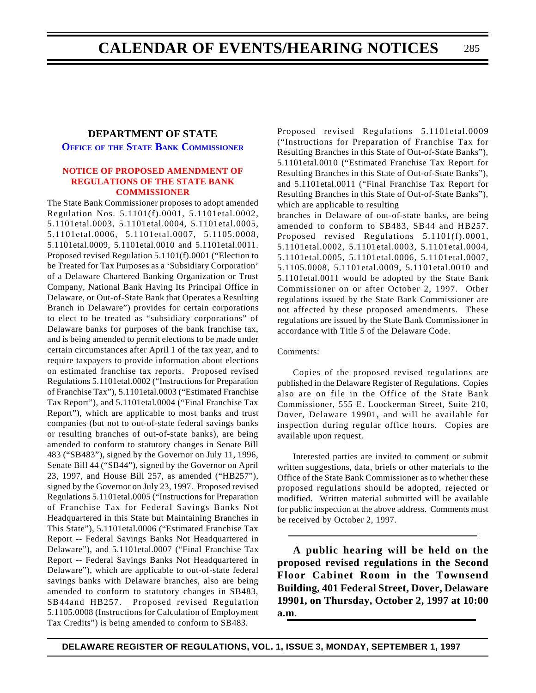## **DEPARTMENT OF STATE**

**OFFICE OF THE STATE BANK [COMMISSIONER](http://www.state.de.us/govern/agencies/bank/bank.htm)**

### **[NOTICE OF PROPOSED AMENDMENT OF](#page-4-0) REGULATIONS OF THE STATE BANK COMMISSIONER**

The State Bank Commissioner proposes to adopt amended Regulation Nos. 5.1101(f).0001, 5.1101etal.0002, 5.1101etal.0003, 5.1101etal.0004, 5.1101etal.0005, 5.1101etal.0006, 5.1101etal.0007, 5.1105.0008, 5.1101etal.0009, 5.1101etal.0010 and 5.1101etal.0011. Proposed revised Regulation 5.1101(f).0001 ("Election to be Treated for Tax Purposes as a 'Subsidiary Corporation' of a Delaware Chartered Banking Organization or Trust Company, National Bank Having Its Principal Office in Delaware, or Out-of-State Bank that Operates a Resulting Branch in Delaware") provides for certain corporations to elect to be treated as "subsidiary corporations" of Delaware banks for purposes of the bank franchise tax, and is being amended to permit elections to be made under certain circumstances after April 1 of the tax year, and to require taxpayers to provide information about elections on estimated franchise tax reports. Proposed revised Regulations 5.1101etal.0002 ("Instructions for Preparation of Franchise Tax"), 5.1101etal.0003 ("Estimated Franchise Tax Report"), and 5.1101etal.0004 ("Final Franchise Tax Report"), which are applicable to most banks and trust companies (but not to out-of-state federal savings banks or resulting branches of out-of-state banks), are being amended to conform to statutory changes in Senate Bill 483 ("SB483"), signed by the Governor on July 11, 1996, Senate Bill 44 ("SB44"), signed by the Governor on April 23, 1997, and House Bill 257, as amended ("HB257"), signed by the Governor on July 23, 1997. Proposed revised Regulations 5.1101etal.0005 ("Instructions for Preparation of Franchise Tax for Federal Savings Banks Not Headquartered in this State but Maintaining Branches in This State"), 5.1101etal.0006 ("Estimated Franchise Tax Report -- Federal Savings Banks Not Headquartered in Delaware"), and 5.1101etal.0007 ("Final Franchise Tax Report -- Federal Savings Banks Not Headquartered in Delaware"), which are applicable to out-of-state federal savings banks with Delaware branches, also are being amended to conform to statutory changes in SB483, SB44and HB257. Proposed revised Regulation 5.1105.0008 (Instructions for Calculation of Employment Tax Credits") is being amended to conform to SB483.

Proposed revised Regulations 5.1101etal.0009 ("Instructions for Preparation of Franchise Tax for Resulting Branches in this State of Out-of-State Banks"), 5.1101etal.0010 ("Estimated Franchise Tax Report for Resulting Branches in this State of Out-of-State Banks"), and 5.1101etal.0011 ("Final Franchise Tax Report for Resulting Branches in this State of Out-of-State Banks"), which are applicable to resulting

branches in Delaware of out-of-state banks, are being amended to conform to SB483, SB44 and HB257. Proposed revised Regulations 5.1101(f).0001, 5.1101etal.0002, 5.1101etal.0003, 5.1101etal.0004, 5.1101etal.0005, 5.1101etal.0006, 5.1101etal.0007, 5.1105.0008, 5.1101etal.0009, 5.1101etal.0010 and 5.1101etal.0011 would be adopted by the State Bank Commissioner on or after October 2, 1997. Other regulations issued by the State Bank Commissioner are not affected by these proposed amendments. These regulations are issued by the State Bank Commissioner in accordance with Title 5 of the Delaware Code.

## Comments:

Copies of the proposed revised regulations are published in the Delaware Register of Regulations. Copies also are on file in the Office of the State Bank Commissioner, 555 E. Loockerman Street, Suite 210, Dover, Delaware 19901, and will be available for inspection during regular office hours. Copies are available upon request.

Interested parties are invited to comment or submit written suggestions, data, briefs or other materials to the Office of the State Bank Commissioner as to whether these proposed regulations should be adopted, rejected or modified. Written material submitted will be available for public inspection at the above address. Comments must be received by October 2, 1997.

**A public hearing will be held on the proposed revised regulations in the Second Floor Cabinet Room in the Townsend Building, 401 Federal Street, Dover, Delaware 19901, on Thursday, October 2, 1997 at 10:00 a.m**.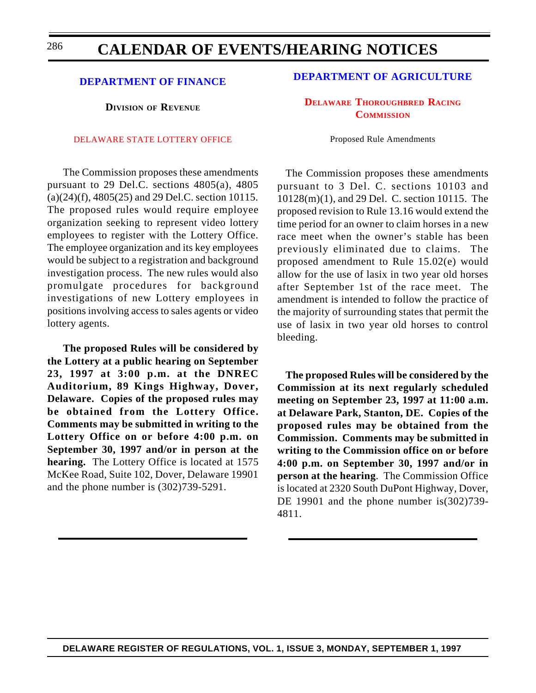### 286

## **CALENDAR OF EVENTS/HEARING NOTICES**

## **[DEPARTMENT OF FINANCE](http://www.state.de.us/govern/agencies/finance/finde.htm)**

**DIVISION OF REVENUE**

### [DELAWARE STATE LOTTERY OFFICE](#page-4-0)

The Commission proposes these amendments pursuant to 29 Del.C. sections 4805(a), 4805 (a)(24)(f), 4805(25) and 29 Del.C. section 10115. The proposed rules would require employee organization seeking to represent video lottery employees to register with the Lottery Office. The employee organization and its key employees would be subject to a registration and background investigation process. The new rules would also promulgate procedures for background investigations of new Lottery employees in positions involving access to sales agents or video lottery agents.

**The proposed Rules will be considered by the Lottery at a public hearing on September 23, 1997 at 3:00 p.m. at the DNREC Auditorium, 89 Kings Highway, Dover, Delaware. Copies of the proposed rules may be obtained from the Lottery Office. Comments may be submitted in writing to the Lottery Office on or before 4:00 p.m. on September 30, 1997 and/or in person at the hearing.** The Lottery Office is located at 1575 McKee Road, Suite 102, Dover, Delaware 19901 and the phone number is (302)739-5291.

## **[DEPARTMENT OF AGRICULTURE](http://www.state.de.us/deptagri/deptagri.htm)**

**DELAWARE [THOROUGHBRED](#page-4-0) RACING COMMISSION**

Proposed Rule Amendments

The Commission proposes these amendments pursuant to 3 Del. C. sections 10103 and 10128(m)(1), and 29 Del. C. section 10115. The proposed revision to Rule 13.16 would extend the time period for an owner to claim horses in a new race meet when the owner's stable has been previously eliminated due to claims. The proposed amendment to Rule 15.02(e) would allow for the use of lasix in two year old horses after September 1st of the race meet. The amendment is intended to follow the practice of the majority of surrounding states that permit the use of lasix in two year old horses to control bleeding.

**The proposed Rules will be considered by the Commission at its next regularly scheduled meeting on September 23, 1997 at 11:00 a.m. at Delaware Park, Stanton, DE. Copies of the proposed rules may be obtained from the Commission. Comments may be submitted in writing to the Commission office on or before 4:00 p.m. on September 30, 1997 and/or in person at the hearing**. The Commission Office is located at 2320 South DuPont Highway, Dover, DE 19901 and the phone number is (302) 739-4811.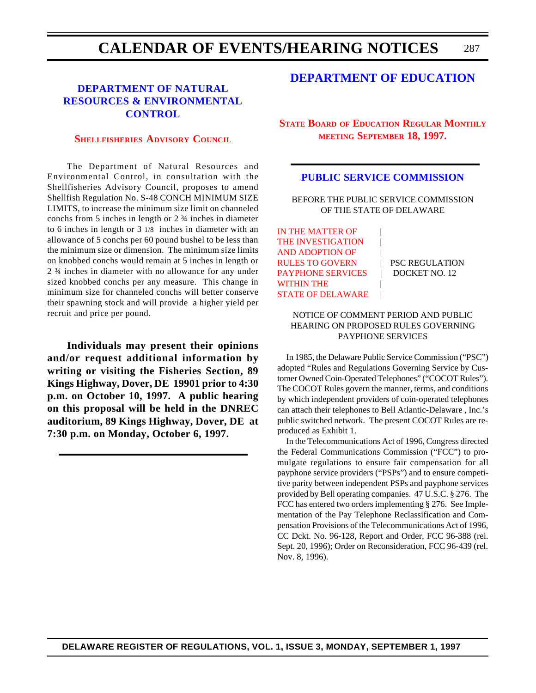#### 287 **CALENDAR OF EVENTS/HEARING NOTICES**

## **DEPARTMENT OF NATURAL [RESOURCES & ENVIRONMENTAL](http://www.dnrec.state.de.us/) CONTROL**

## **[SHELLFISHERIES](#page-4-0) ADVISORY COUNCIL**

The Department of Natural Resources and Environmental Control, in consultation with the Shellfisheries Advisory Council, proposes to amend Shellfish Regulation No. S-48 CONCH MINIMUM SIZE LIMITS, to increase the minimum size limit on channeled conchs from 5 inches in length or 2 ¾ inches in diameter to 6 inches in length or 3 1/8 inches in diameter with an allowance of 5 conchs per 60 pound bushel to be less than the minimum size or dimension. The minimum size limits on knobbed conchs would remain at 5 inches in length or 2 ¾ inches in diameter with no allowance for any under sized knobbed conchs per any measure. This change in minimum size for channeled conchs will better conserve their spawning stock and will provide a higher yield per recruit and price per pound.

**Individuals may present their opinions and/or request additional information by writing or visiting the Fisheries Section, 89 Kings Highway, Dover, DE 19901 prior to 4:30 p.m. on October 10, 1997. A public hearing on this proposal will be held in the DNREC auditorium, 89 Kings Highway, Dover, DE at 7:30 p.m. on Monday, October 6, 1997.**

## **[DEPARTMENT OF EDUCATION](http://www.state.de.us/high-ed/intro.htm)**

**STATE BOARD OF EDUCATION REGULAR MONTHLY MEETING [SEPTEMBER 18, 1997.](#page-4-0)**

### **[PUBLIC SERVICE COMMISSION](http://www.state.de.us/govern/agencies/pubservc/delpsc.htm)**

BEFORE THE PUBLIC SERVICE COMMISSION OF THE STATE OF DELAWARE

IN THE MATTER OF THE INVESTIGATION AND ADOPTION OF | RULES TO GOVERN FSC REGULATION PAYPHONE SERVICES | DOCKET NO. 12 WITHIN THE [STATE OF DELAWARE](#page-4-0)

### NOTICE OF COMMENT PERIOD AND PUBLIC HEARING ON PROPOSED RULES GOVERNING PAYPHONE SERVICES

In 1985, the Delaware Public Service Commission ("PSC") adopted "Rules and Regulations Governing Service by Customer Owned Coin-Operated Telephones" ("COCOT Rules"). The COCOT Rules govern the manner, terms, and conditions by which independent providers of coin-operated telephones can attach their telephones to Bell Atlantic-Delaware , Inc.'s public switched network. The present COCOT Rules are reproduced as Exhibit 1.

In the Telecommunications Act of 1996, Congress directed the Federal Communications Commission ("FCC") to promulgate regulations to ensure fair compensation for all payphone service providers ("PSPs") and to ensure competitive parity between independent PSPs and payphone services provided by Bell operating companies. 47 U.S.C. § 276. The FCC has entered two orders implementing § 276. See Implementation of the Pay Telephone Reclassification and Compensation Provisions of the Telecommunications Act of 1996, CC Dckt. No. 96-128, Report and Order, FCC 96-388 (rel. Sept. 20, 1996); Order on Reconsideration, FCC 96-439 (rel. Nov. 8, 1996).